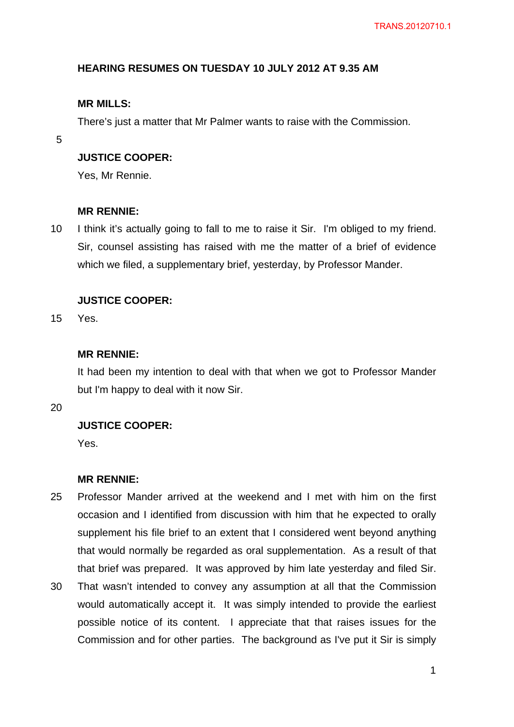## **HEARING RESUMES ON TUESDAY 10 JULY 2012 AT 9.35 AM**

## **MR MILLS:**

There's just a matter that Mr Palmer wants to raise with the Commission.

5

## **JUSTICE COOPER:**

Yes, Mr Rennie.

#### **MR RENNIE:**

10 I think it's actually going to fall to me to raise it Sir. I'm obliged to my friend. Sir, counsel assisting has raised with me the matter of a brief of evidence which we filed, a supplementary brief, yesterday, by Professor Mander.

## **JUSTICE COOPER:**

15 Yes.

### **MR RENNIE:**

It had been my intention to deal with that when we got to Professor Mander but I'm happy to deal with it now Sir.

20

## **JUSTICE COOPER:**

Yes.

#### **MR RENNIE:**

- 25 Professor Mander arrived at the weekend and I met with him on the first occasion and I identified from discussion with him that he expected to orally supplement his file brief to an extent that I considered went beyond anything that would normally be regarded as oral supplementation. As a result of that that brief was prepared. It was approved by him late yesterday and filed Sir.
- 30 That wasn't intended to convey any assumption at all that the Commission would automatically accept it. It was simply intended to provide the earliest possible notice of its content. I appreciate that that raises issues for the Commission and for other parties. The background as I've put it Sir is simply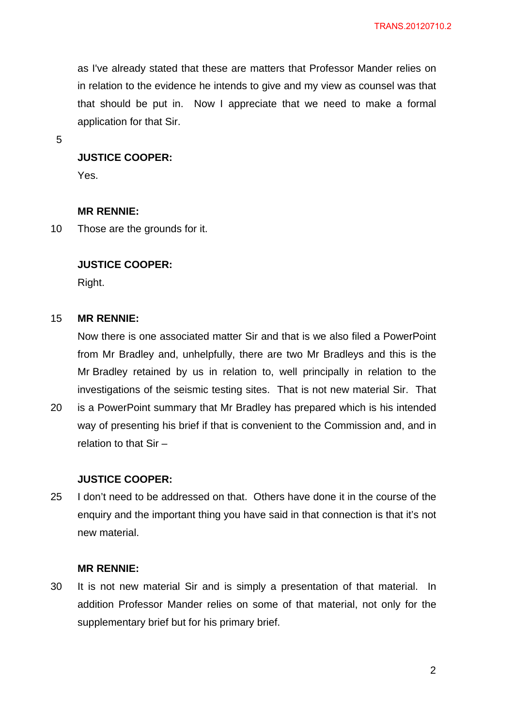as I've already stated that these are matters that Professor Mander relies on in relation to the evidence he intends to give and my view as counsel was that that should be put in. Now I appreciate that we need to make a formal application for that Sir.

5

## **JUSTICE COOPER:**

Yes.

#### **MR RENNIE:**

10 Those are the grounds for it.

## **JUSTICE COOPER:**

Right.

#### 15 **MR RENNIE:**

Now there is one associated matter Sir and that is we also filed a PowerPoint from Mr Bradley and, unhelpfully, there are two Mr Bradleys and this is the Mr Bradley retained by us in relation to, well principally in relation to the investigations of the seismic testing sites. That is not new material Sir. That

20 is a PowerPoint summary that Mr Bradley has prepared which is his intended way of presenting his brief if that is convenient to the Commission and, and in relation to that Sir –

### **JUSTICE COOPER:**

25 I don't need to be addressed on that. Others have done it in the course of the enquiry and the important thing you have said in that connection is that it's not new material.

### **MR RENNIE:**

30 It is not new material Sir and is simply a presentation of that material. In addition Professor Mander relies on some of that material, not only for the supplementary brief but for his primary brief.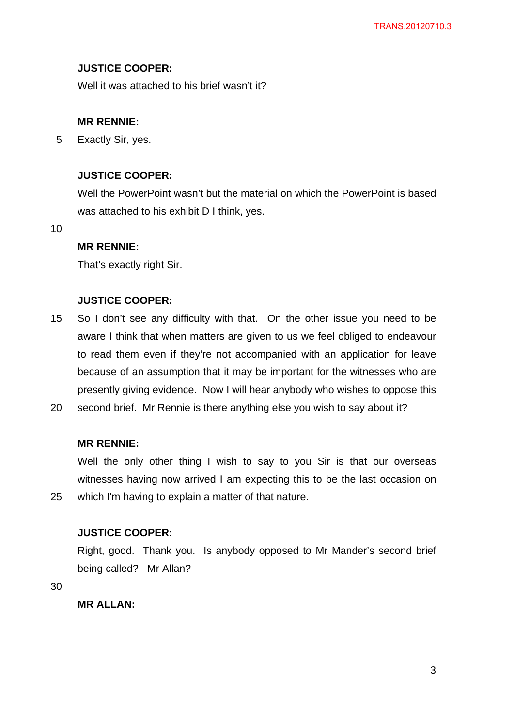## **JUSTICE COOPER:**

Well it was attached to his brief wasn't it?

### **MR RENNIE:**

5 Exactly Sir, yes.

## **JUSTICE COOPER:**

Well the PowerPoint wasn't but the material on which the PowerPoint is based was attached to his exhibit D I think, yes.

10

## **MR RENNIE:**

That's exactly right Sir.

## **JUSTICE COOPER:**

- 15 So I don't see any difficulty with that. On the other issue you need to be aware I think that when matters are given to us we feel obliged to endeavour to read them even if they're not accompanied with an application for leave because of an assumption that it may be important for the witnesses who are presently giving evidence. Now I will hear anybody who wishes to oppose this
- 20 second brief. Mr Rennie is there anything else you wish to say about it?

## **MR RENNIE:**

Well the only other thing I wish to say to you Sir is that our overseas witnesses having now arrived I am expecting this to be the last occasion on which I'm having to explain a matter of that nature.

## **JUSTICE COOPER:**

Right, good. Thank you. Is anybody opposed to Mr Mander's second brief being called? Mr Allan?

30

25

**MR ALLAN:**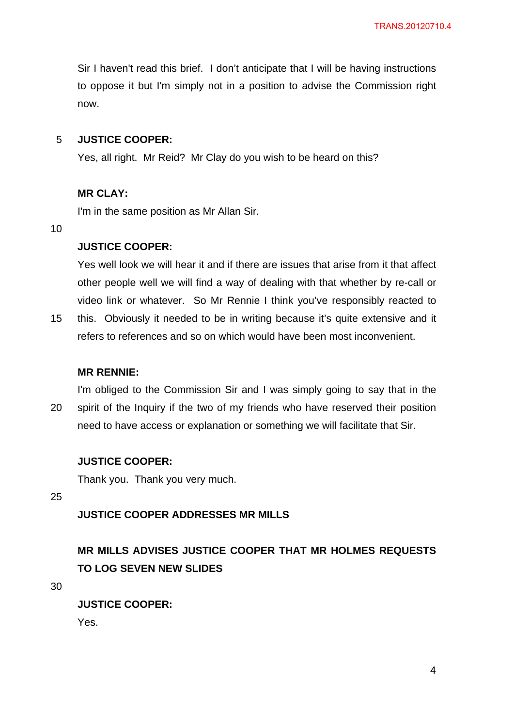Sir I haven't read this brief. I don't anticipate that I will be having instructions to oppose it but I'm simply not in a position to advise the Commission right now.

#### 5 **JUSTICE COOPER:**

Yes, all right. Mr Reid? Mr Clay do you wish to be heard on this?

### **MR CLAY:**

I'm in the same position as Mr Allan Sir.

10

### **JUSTICE COOPER:**

Yes well look we will hear it and if there are issues that arise from it that affect other people well we will find a way of dealing with that whether by re-call or video link or whatever. So Mr Rennie I think you've responsibly reacted to

15 this. Obviously it needed to be in writing because it's quite extensive and it refers to references and so on which would have been most inconvenient.

#### **MR RENNIE:**

20 I'm obliged to the Commission Sir and I was simply going to say that in the spirit of the Inquiry if the two of my friends who have reserved their position need to have access or explanation or something we will facilitate that Sir.

## **JUSTICE COOPER:**

Thank you. Thank you very much.

25

## **JUSTICE COOPER ADDRESSES MR MILLS**

# **MR MILLS ADVISES JUSTICE COOPER THAT MR HOLMES REQUESTS TO LOG SEVEN NEW SLIDES**

30

**JUSTICE COOPER:**  Yes.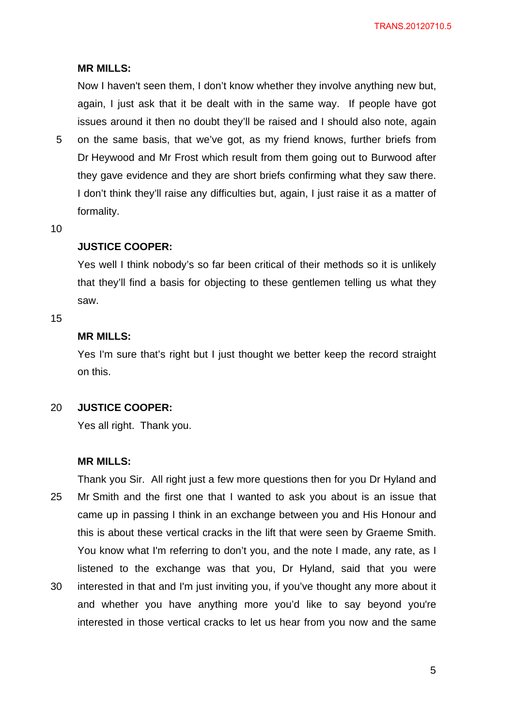### **MR MILLS:**

Now I haven't seen them, I don't know whether they involve anything new but, again, I just ask that it be dealt with in the same way. If people have got issues around it then no doubt they'll be raised and I should also note, again

5 on the same basis, that we've got, as my friend knows, further briefs from Dr Heywood and Mr Frost which result from them going out to Burwood after they gave evidence and they are short briefs confirming what they saw there. I don't think they'll raise any difficulties but, again, I just raise it as a matter of formality.

10

### **JUSTICE COOPER:**

Yes well I think nobody's so far been critical of their methods so it is unlikely that they'll find a basis for objecting to these gentlemen telling us what they saw.

15

## **MR MILLS:**

Yes I'm sure that's right but I just thought we better keep the record straight on this.

20 **JUSTICE COOPER:** 

Yes all right. Thank you.

#### **MR MILLS:**

25 30 Thank you Sir. All right just a few more questions then for you Dr Hyland and Mr Smith and the first one that I wanted to ask you about is an issue that came up in passing I think in an exchange between you and His Honour and this is about these vertical cracks in the lift that were seen by Graeme Smith. You know what I'm referring to don't you, and the note I made, any rate, as I listened to the exchange was that you, Dr Hyland, said that you were interested in that and I'm just inviting you, if you've thought any more about it

and whether you have anything more you'd like to say beyond you're interested in those vertical cracks to let us hear from you now and the same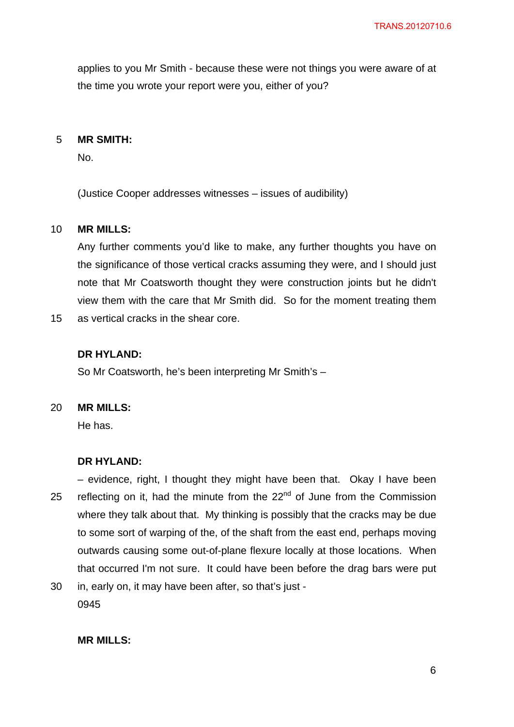applies to you Mr Smith - because these were not things you were aware of at the time you wrote your report were you, either of you?

#### 5 **MR SMITH:**

No.

(Justice Cooper addresses witnesses – issues of audibility)

#### 10 **MR MILLS:**

Any further comments you'd like to make, any further thoughts you have on the significance of those vertical cracks assuming they were, and I should just note that Mr Coatsworth thought they were construction joints but he didn't view them with the care that Mr Smith did. So for the moment treating them

15 as vertical cracks in the shear core.

## **DR HYLAND:**

So Mr Coatsworth, he's been interpreting Mr Smith's –

#### 20 **MR MILLS:**

He has.

### **DR HYLAND:**

25 – evidence, right, I thought they might have been that. Okay I have been reflecting on it, had the minute from the  $22<sup>nd</sup>$  of June from the Commission where they talk about that. My thinking is possibly that the cracks may be due to some sort of warping of the, of the shaft from the east end, perhaps moving outwards causing some out-of-plane flexure locally at those locations. When that occurred I'm not sure. It could have been before the drag bars were put

30 in, early on, it may have been after, so that's just - 0945

## **MR MILLS:**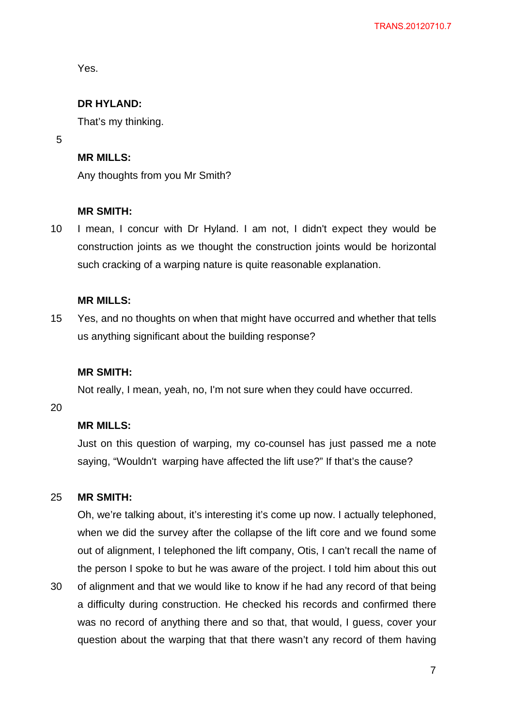Yes.

## **DR HYLAND:**

That's my thinking.

5

## **MR MILLS:**

Any thoughts from you Mr Smith?

### **MR SMITH:**

10 I mean, I concur with Dr Hyland. I am not, I didn't expect they would be construction joints as we thought the construction joints would be horizontal such cracking of a warping nature is quite reasonable explanation.

## **MR MILLS:**

15 Yes, and no thoughts on when that might have occurred and whether that tells us anything significant about the building response?

#### **MR SMITH:**

Not really, I mean, yeah, no, I'm not sure when they could have occurred.

20

## **MR MILLS:**

Just on this question of warping, my co-counsel has just passed me a note saying, "Wouldn't warping have affected the lift use?" If that's the cause?

#### 25 **MR SMITH:**

Oh, we're talking about, it's interesting it's come up now. I actually telephoned, when we did the survey after the collapse of the lift core and we found some out of alignment, I telephoned the lift company, Otis, I can't recall the name of the person I spoke to but he was aware of the project. I told him about this out of alignment and that we would like to know if he had any record of that being

30 a difficulty during construction. He checked his records and confirmed there was no record of anything there and so that, that would, I guess, cover your question about the warping that that there wasn't any record of them having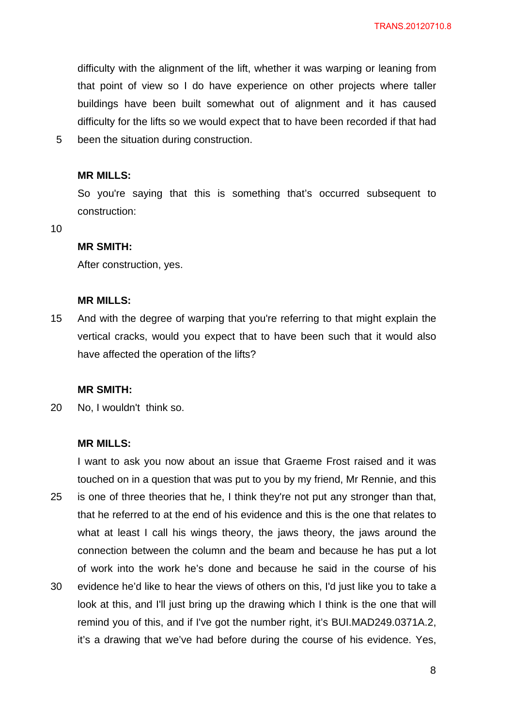difficulty with the alignment of the lift, whether it was warping or leaning from that point of view so I do have experience on other projects where taller buildings have been built somewhat out of alignment and it has caused difficulty for the lifts so we would expect that to have been recorded if that had been the situation during construction.

## **MR MILLS:**

So you're saying that this is something that's occurred subsequent to construction:

10

5

#### **MR SMITH:**

After construction, yes.

#### **MR MILLS:**

15 And with the degree of warping that you're referring to that might explain the vertical cracks, would you expect that to have been such that it would also have affected the operation of the lifts?

#### **MR SMITH:**

20 No, I wouldn't think so.

#### **MR MILLS:**

25 30 I want to ask you now about an issue that Graeme Frost raised and it was touched on in a question that was put to you by my friend, Mr Rennie, and this is one of three theories that he, I think they're not put any stronger than that, that he referred to at the end of his evidence and this is the one that relates to what at least I call his wings theory, the jaws theory, the jaws around the connection between the column and the beam and because he has put a lot of work into the work he's done and because he said in the course of his evidence he'd like to hear the views of others on this, I'd just like you to take a look at this, and I'll just bring up the drawing which I think is the one that will remind you of this, and if I've got the number right, it's BUI.MAD249.0371A.2, it's a drawing that we've had before during the course of his evidence. Yes,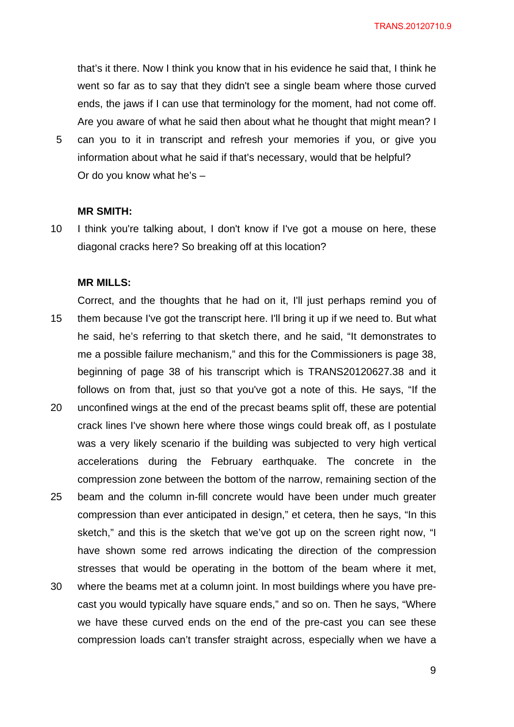TRANS.20120710.9

that's it there. Now I think you know that in his evidence he said that, I think he went so far as to say that they didn't see a single beam where those curved ends, the jaws if I can use that terminology for the moment, had not come off. Are you aware of what he said then about what he thought that might mean? I

5 can you to it in transcript and refresh your memories if you, or give you information about what he said if that's necessary, would that be helpful? Or do you know what he's –

#### **MR SMITH:**

10 I think you're talking about, I don't know if I've got a mouse on here, these diagonal cracks here? So breaking off at this location?

#### **MR MILLS:**

15 20 25 30 Correct, and the thoughts that he had on it, I'll just perhaps remind you of them because I've got the transcript here. I'll bring it up if we need to. But what he said, he's referring to that sketch there, and he said, "It demonstrates to me a possible failure mechanism," and this for the Commissioners is page 38, beginning of page 38 of his transcript which is TRANS20120627.38 and it follows on from that, just so that you've got a note of this. He says, "If the unconfined wings at the end of the precast beams split off, these are potential crack lines I've shown here where those wings could break off, as I postulate was a very likely scenario if the building was subjected to very high vertical accelerations during the February earthquake. The concrete in the compression zone between the bottom of the narrow, remaining section of the beam and the column in-fill concrete would have been under much greater compression than ever anticipated in design," et cetera, then he says, "In this sketch," and this is the sketch that we've got up on the screen right now, "I have shown some red arrows indicating the direction of the compression stresses that would be operating in the bottom of the beam where it met, where the beams met at a column joint. In most buildings where you have pre-

cast you would typically have square ends," and so on. Then he says, "Where we have these curved ends on the end of the pre-cast you can see these compression loads can't transfer straight across, especially when we have a

9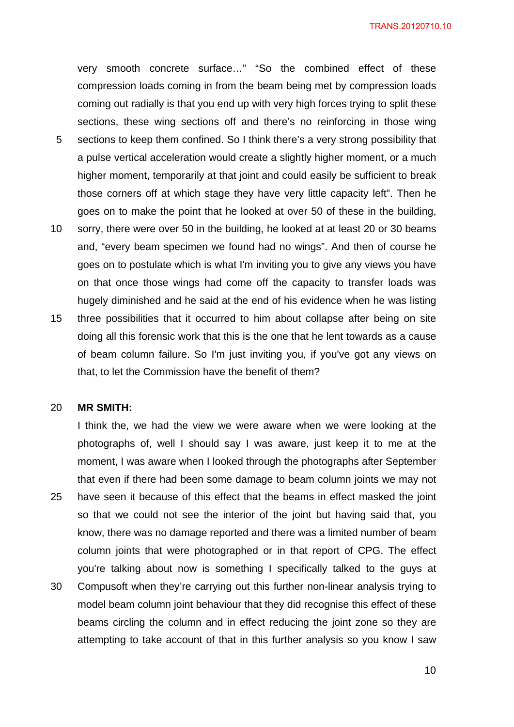very smooth concrete surface…" "So the combined effect of these compression loads coming in from the beam being met by compression loads coming out radially is that you end up with very high forces trying to split these sections, these wing sections off and there's no reinforcing in those wing

- 5 sections to keep them confined. So I think there's a very strong possibility that a pulse vertical acceleration would create a slightly higher moment, or a much higher moment, temporarily at that joint and could easily be sufficient to break those corners off at which stage they have very little capacity left". Then he goes on to make the point that he looked at over 50 of these in the building,
- 10 sorry, there were over 50 in the building, he looked at at least 20 or 30 beams and, "every beam specimen we found had no wings". And then of course he goes on to postulate which is what I'm inviting you to give any views you have on that once those wings had come off the capacity to transfer loads was hugely diminished and he said at the end of his evidence when he was listing
- 15 three possibilities that it occurred to him about collapse after being on site doing all this forensic work that this is the one that he lent towards as a cause of beam column failure. So I'm just inviting you, if you've got any views on that, to let the Commission have the benefit of them?

#### 20 **MR SMITH:**

25 30 I think the, we had the view we were aware when we were looking at the photographs of, well I should say I was aware, just keep it to me at the moment, I was aware when I looked through the photographs after September that even if there had been some damage to beam column joints we may not have seen it because of this effect that the beams in effect masked the joint so that we could not see the interior of the joint but having said that, you know, there was no damage reported and there was a limited number of beam column joints that were photographed or in that report of CPG. The effect you're talking about now is something I specifically talked to the guys at Compusoft when they're carrying out this further non-linear analysis trying to model beam column joint behaviour that they did recognise this effect of these beams circling the column and in effect reducing the joint zone so they are attempting to take account of that in this further analysis so you know I saw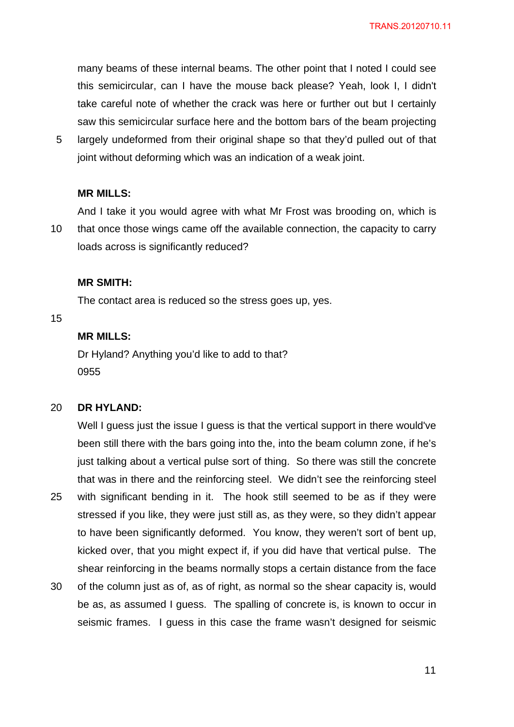many beams of these internal beams. The other point that I noted I could see this semicircular, can I have the mouse back please? Yeah, look I, I didn't take careful note of whether the crack was here or further out but I certainly saw this semicircular surface here and the bottom bars of the beam projecting

5 largely undeformed from their original shape so that they'd pulled out of that joint without deforming which was an indication of a weak joint.

#### **MR MILLS:**

10 And I take it you would agree with what Mr Frost was brooding on, which is that once those wings came off the available connection, the capacity to carry loads across is significantly reduced?

#### **MR SMITH:**

The contact area is reduced so the stress goes up, yes.

15

## **MR MILLS:**

Dr Hyland? Anything you'd like to add to that? 0955

#### 20 **DR HYLAND:**

25 Well I guess just the issue I guess is that the vertical support in there would've been still there with the bars going into the, into the beam column zone, if he's just talking about a vertical pulse sort of thing. So there was still the concrete that was in there and the reinforcing steel. We didn't see the reinforcing steel with significant bending in it. The hook still seemed to be as if they were stressed if you like, they were just still as, as they were, so they didn't appear to have been significantly deformed. You know, they weren't sort of bent up, kicked over, that you might expect if, if you did have that vertical pulse. The shear reinforcing in the beams normally stops a certain distance from the face

30 of the column just as of, as of right, as normal so the shear capacity is, would be as, as assumed I guess. The spalling of concrete is, is known to occur in seismic frames. I guess in this case the frame wasn't designed for seismic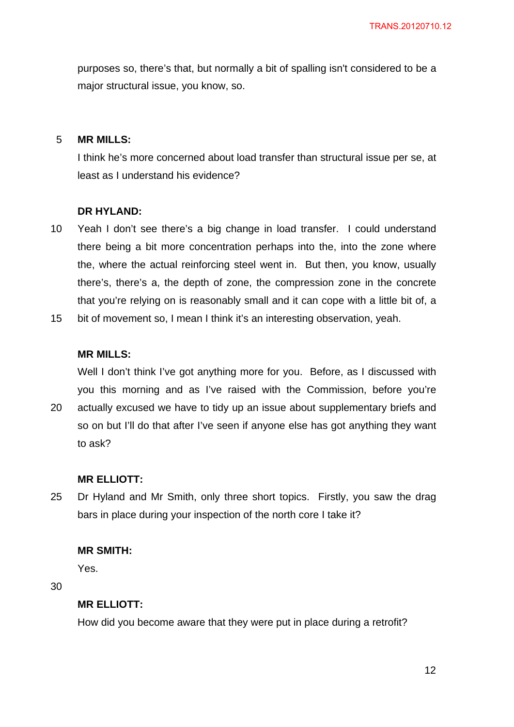purposes so, there's that, but normally a bit of spalling isn't considered to be a major structural issue, you know, so.

#### 5 **MR MILLS:**

I think he's more concerned about load transfer than structural issue per se, at least as I understand his evidence?

#### **DR HYLAND:**

- 10 Yeah I don't see there's a big change in load transfer. I could understand there being a bit more concentration perhaps into the, into the zone where the, where the actual reinforcing steel went in. But then, you know, usually there's, there's a, the depth of zone, the compression zone in the concrete that you're relying on is reasonably small and it can cope with a little bit of, a
- 15 bit of movement so, I mean I think it's an interesting observation, yeah.

## **MR MILLS:**

Well I don't think I've got anything more for you. Before, as I discussed with you this morning and as I've raised with the Commission, before you're

20 actually excused we have to tidy up an issue about supplementary briefs and so on but I'll do that after I've seen if anyone else has got anything they want to ask?

#### **MR ELLIOTT:**

25 Dr Hyland and Mr Smith, only three short topics. Firstly, you saw the drag bars in place during your inspection of the north core I take it?

#### **MR SMITH:**

Yes.

30

## **MR ELLIOTT:**

How did you become aware that they were put in place during a retrofit?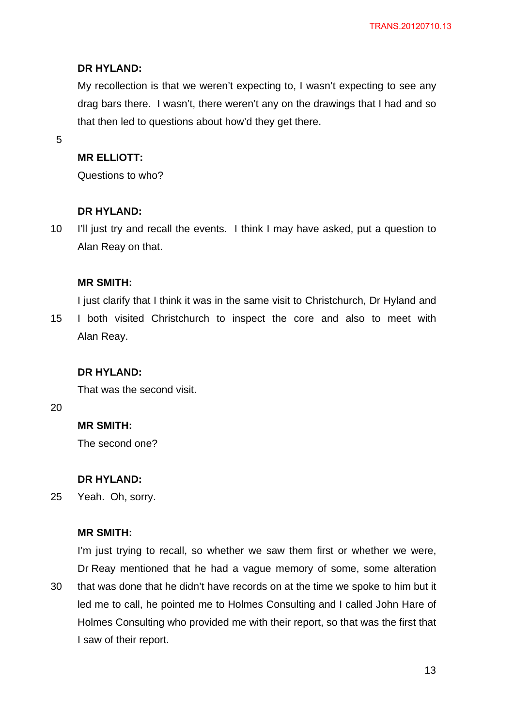My recollection is that we weren't expecting to, I wasn't expecting to see any drag bars there. I wasn't, there weren't any on the drawings that I had and so that then led to questions about how'd they get there.

5

## **MR ELLIOTT:**

Questions to who?

### **DR HYLAND:**

10 I'll just try and recall the events. I think I may have asked, put a question to Alan Reay on that.

## **MR SMITH:**

15 I just clarify that I think it was in the same visit to Christchurch, Dr Hyland and I both visited Christchurch to inspect the core and also to meet with Alan Reay.

### **DR HYLAND:**

That was the second visit.

20

## **MR SMITH:**

The second one?

### **DR HYLAND:**

25 Yeah. Oh, sorry.

### **MR SMITH:**

30 I'm just trying to recall, so whether we saw them first or whether we were, Dr Reay mentioned that he had a vague memory of some, some alteration that was done that he didn't have records on at the time we spoke to him but it led me to call, he pointed me to Holmes Consulting and I called John Hare of Holmes Consulting who provided me with their report, so that was the first that I saw of their report.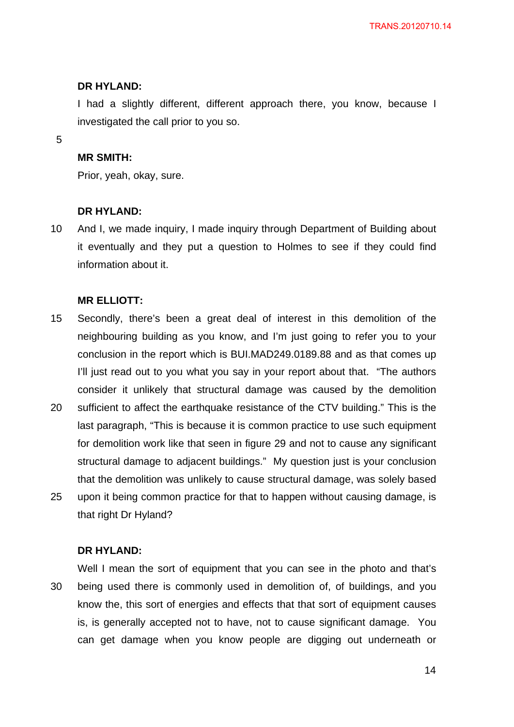I had a slightly different, different approach there, you know, because I investigated the call prior to you so.

5

## **MR SMITH:**

Prior, yeah, okay, sure.

## **DR HYLAND:**

10 And I, we made inquiry, I made inquiry through Department of Building about it eventually and they put a question to Holmes to see if they could find information about it.

## **MR ELLIOTT:**

- 15 Secondly, there's been a great deal of interest in this demolition of the neighbouring building as you know, and I'm just going to refer you to your conclusion in the report which is BUI.MAD249.0189.88 and as that comes up I'll just read out to you what you say in your report about that. "The authors consider it unlikely that structural damage was caused by the demolition
- 20 25 sufficient to affect the earthquake resistance of the CTV building." This is the last paragraph, "This is because it is common practice to use such equipment for demolition work like that seen in figure 29 and not to cause any significant structural damage to adjacent buildings." My question just is your conclusion that the demolition was unlikely to cause structural damage, was solely based upon it being common practice for that to happen without causing damage, is that right Dr Hyland?

## **DR HYLAND:**

30 Well I mean the sort of equipment that you can see in the photo and that's being used there is commonly used in demolition of, of buildings, and you know the, this sort of energies and effects that that sort of equipment causes is, is generally accepted not to have, not to cause significant damage. You can get damage when you know people are digging out underneath or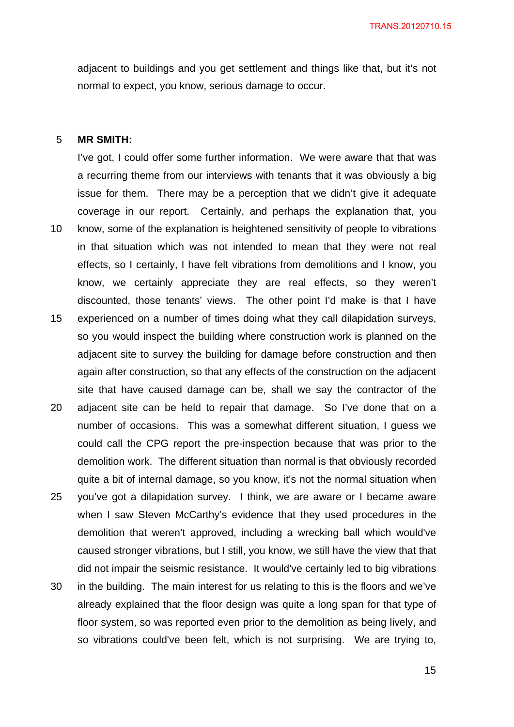adjacent to buildings and you get settlement and things like that, but it's not normal to expect, you know, serious damage to occur.

#### 5 **MR SMITH:**

10 15 20 I've got, I could offer some further information. We were aware that that was a recurring theme from our interviews with tenants that it was obviously a big issue for them. There may be a perception that we didn't give it adequate coverage in our report. Certainly, and perhaps the explanation that, you know, some of the explanation is heightened sensitivity of people to vibrations in that situation which was not intended to mean that they were not real effects, so I certainly, I have felt vibrations from demolitions and I know, you know, we certainly appreciate they are real effects, so they weren't discounted, those tenants' views. The other point I'd make is that I have experienced on a number of times doing what they call dilapidation surveys, so you would inspect the building where construction work is planned on the adjacent site to survey the building for damage before construction and then again after construction, so that any effects of the construction on the adjacent site that have caused damage can be, shall we say the contractor of the adjacent site can be held to repair that damage. So I've done that on a

- 25 number of occasions. This was a somewhat different situation, I guess we could call the CPG report the pre-inspection because that was prior to the demolition work. The different situation than normal is that obviously recorded quite a bit of internal damage, so you know, it's not the normal situation when you've got a dilapidation survey. I think, we are aware or I became aware when I saw Steven McCarthy's evidence that they used procedures in the demolition that weren't approved, including a wrecking ball which would've
- caused stronger vibrations, but I still, you know, we still have the view that that did not impair the seismic resistance. It would've certainly led to big vibrations
- 30 in the building. The main interest for us relating to this is the floors and we've already explained that the floor design was quite a long span for that type of floor system, so was reported even prior to the demolition as being lively, and so vibrations could've been felt, which is not surprising. We are trying to,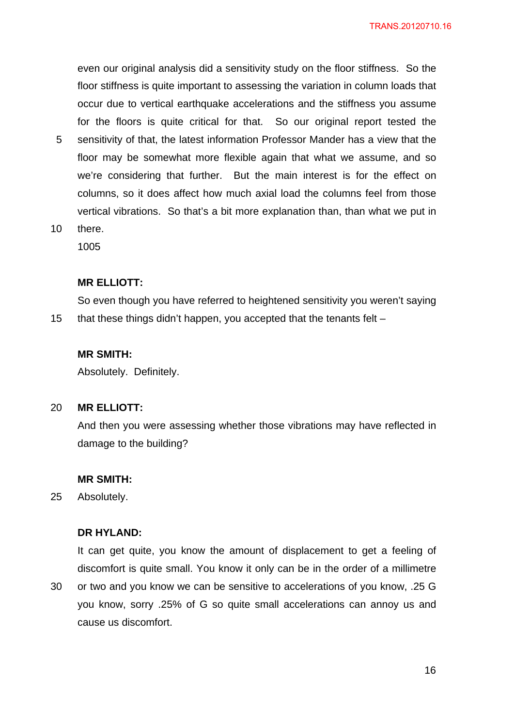even our original analysis did a sensitivity study on the floor stiffness. So the floor stiffness is quite important to assessing the variation in column loads that occur due to vertical earthquake accelerations and the stiffness you assume for the floors is quite critical for that. So our original report tested the sensitivity of that, the latest information Professor Mander has a view that the floor may be somewhat more flexible again that what we assume, and so we're considering that further. But the main interest is for the effect on columns, so it does affect how much axial load the columns feel from those vertical vibrations. So that's a bit more explanation than, than what we put in

10 there.

5

1005

#### **MR ELLIOTT:**

15 So even though you have referred to heightened sensitivity you weren't saying that these things didn't happen, you accepted that the tenants felt –

#### **MR SMITH:**

Absolutely. Definitely.

#### 20 **MR ELLIOTT:**

And then you were assessing whether those vibrations may have reflected in damage to the building?

#### **MR SMITH:**

25 Absolutely.

30

## **DR HYLAND:**

It can get quite, you know the amount of displacement to get a feeling of discomfort is quite small. You know it only can be in the order of a millimetre or two and you know we can be sensitive to accelerations of you know, .25 G

you know, sorry .25% of G so quite small accelerations can annoy us and cause us discomfort.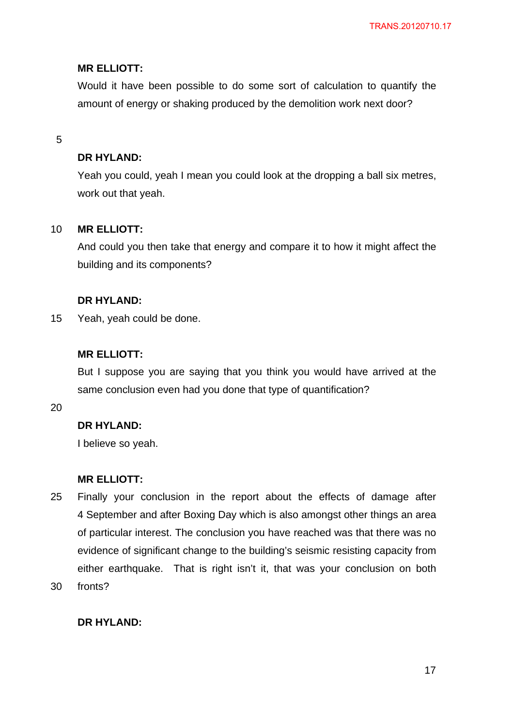## **MR ELLIOTT:**

Would it have been possible to do some sort of calculation to quantify the amount of energy or shaking produced by the demolition work next door?

### 5

## **DR HYLAND:**

Yeah you could, yeah I mean you could look at the dropping a ball six metres, work out that yeah.

#### 10 **MR ELLIOTT:**

And could you then take that energy and compare it to how it might affect the building and its components?

## **DR HYLAND:**

15 Yeah, yeah could be done.

## **MR ELLIOTT:**

But I suppose you are saying that you think you would have arrived at the same conclusion even had you done that type of quantification?

20

## **DR HYLAND:**

I believe so yeah.

### **MR ELLIOTT:**

- 25 30 Finally your conclusion in the report about the effects of damage after 4 September and after Boxing Day which is also amongst other things an area of particular interest. The conclusion you have reached was that there was no evidence of significant change to the building's seismic resisting capacity from either earthquake. That is right isn't it, that was your conclusion on both fronts?
	- **DR HYLAND:**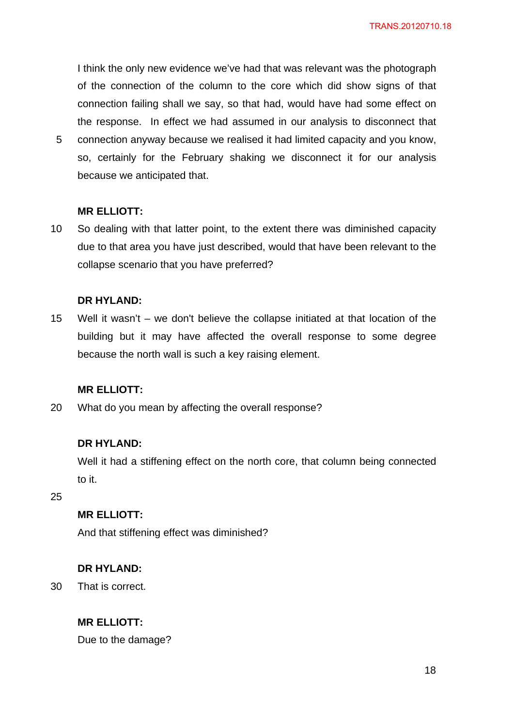I think the only new evidence we've had that was relevant was the photograph of the connection of the column to the core which did show signs of that connection failing shall we say, so that had, would have had some effect on the response. In effect we had assumed in our analysis to disconnect that connection anyway because we realised it had limited capacity and you know, so, certainly for the February shaking we disconnect it for our analysis

## **MR ELLIOTT:**

because we anticipated that.

5

10 So dealing with that latter point, to the extent there was diminished capacity due to that area you have just described, would that have been relevant to the collapse scenario that you have preferred?

## **DR HYLAND:**

15 Well it wasn't – we don't believe the collapse initiated at that location of the building but it may have affected the overall response to some degree because the north wall is such a key raising element.

## **MR ELLIOTT:**

20 What do you mean by affecting the overall response?

### **DR HYLAND:**

Well it had a stiffening effect on the north core, that column being connected to it.

25

## **MR ELLIOTT:**

And that stiffening effect was diminished?

### **DR HYLAND:**

30 That is correct.

## **MR ELLIOTT:**

Due to the damage?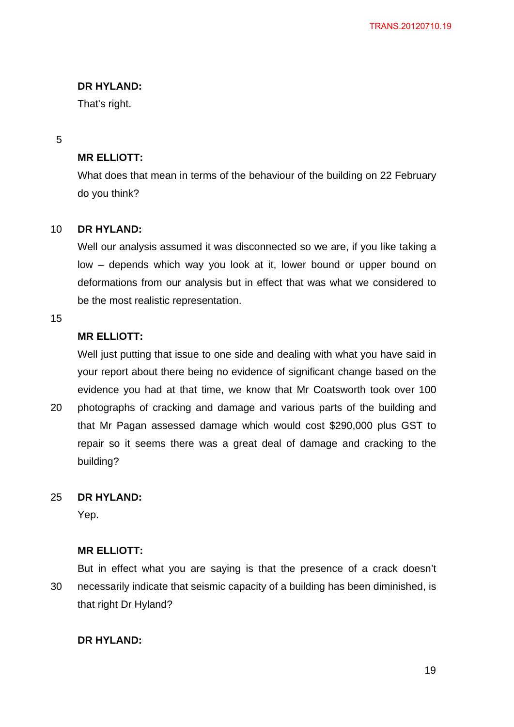That's right.

## 5

## **MR ELLIOTT:**

What does that mean in terms of the behaviour of the building on 22 February do you think?

#### 10 **DR HYLAND:**

Well our analysis assumed it was disconnected so we are, if you like taking a low – depends which way you look at it, lower bound or upper bound on deformations from our analysis but in effect that was what we considered to be the most realistic representation.

### 15

## **MR ELLIOTT:**

Well just putting that issue to one side and dealing with what you have said in your report about there being no evidence of significant change based on the evidence you had at that time, we know that Mr Coatsworth took over 100

20 photographs of cracking and damage and various parts of the building and that Mr Pagan assessed damage which would cost \$290,000 plus GST to repair so it seems there was a great deal of damage and cracking to the building?

#### 25 **DR HYLAND:**

Yep.

## **MR ELLIOTT:**

30 But in effect what you are saying is that the presence of a crack doesn't necessarily indicate that seismic capacity of a building has been diminished, is that right Dr Hyland?

## **DR HYLAND:**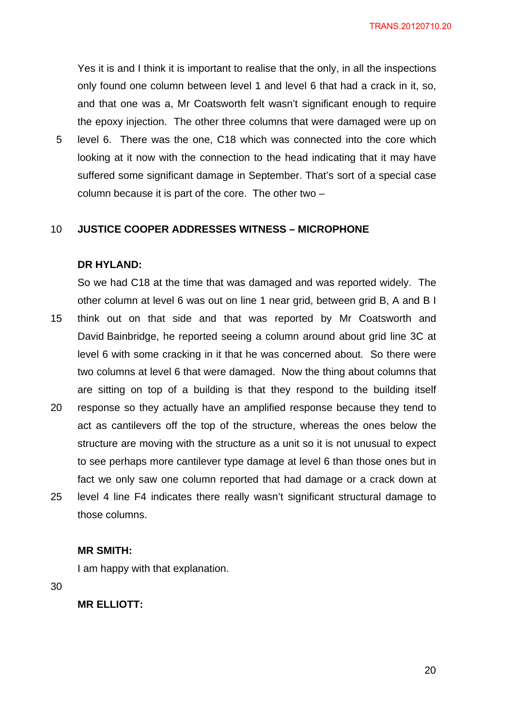TRANS.20120710.20

Yes it is and I think it is important to realise that the only, in all the inspections only found one column between level 1 and level 6 that had a crack in it, so, and that one was a, Mr Coatsworth felt wasn't significant enough to require the epoxy injection. The other three columns that were damaged were up on

5 level 6. There was the one, C18 which was connected into the core which looking at it now with the connection to the head indicating that it may have suffered some significant damage in September. That's sort of a special case column because it is part of the core. The other two –

#### 10 **JUSTICE COOPER ADDRESSES WITNESS – MICROPHONE**

### **DR HYLAND:**

15 20 So we had C18 at the time that was damaged and was reported widely. The other column at level 6 was out on line 1 near grid, between grid B, A and B I think out on that side and that was reported by Mr Coatsworth and David Bainbridge, he reported seeing a column around about grid line 3C at level 6 with some cracking in it that he was concerned about. So there were two columns at level 6 that were damaged. Now the thing about columns that are sitting on top of a building is that they respond to the building itself response so they actually have an amplified response because they tend to

25 act as cantilevers off the top of the structure, whereas the ones below the structure are moving with the structure as a unit so it is not unusual to expect to see perhaps more cantilever type damage at level 6 than those ones but in fact we only saw one column reported that had damage or a crack down at level 4 line F4 indicates there really wasn't significant structural damage to those columns.

#### **MR SMITH:**

I am happy with that explanation.

30

**MR ELLIOTT:** 

<u>20</u>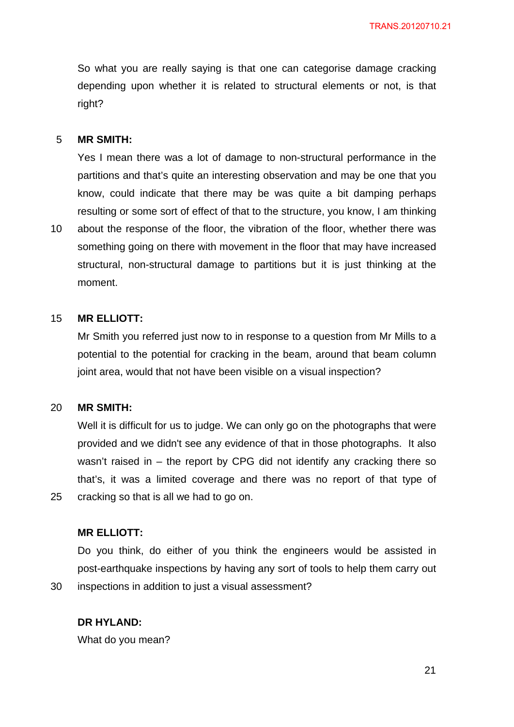So what you are really saying is that one can categorise damage cracking depending upon whether it is related to structural elements or not, is that right?

#### 5 **MR SMITH:**

Yes I mean there was a lot of damage to non-structural performance in the partitions and that's quite an interesting observation and may be one that you know, could indicate that there may be was quite a bit damping perhaps resulting or some sort of effect of that to the structure, you know, I am thinking

10 about the response of the floor, the vibration of the floor, whether there was something going on there with movement in the floor that may have increased structural, non-structural damage to partitions but it is just thinking at the moment.

#### 15 **MR ELLIOTT:**

Mr Smith you referred just now to in response to a question from Mr Mills to a potential to the potential for cracking in the beam, around that beam column joint area, would that not have been visible on a visual inspection?

#### 20 **MR SMITH:**

25

30

Well it is difficult for us to judge. We can only go on the photographs that were provided and we didn't see any evidence of that in those photographs. It also wasn't raised in – the report by CPG did not identify any cracking there so that's, it was a limited coverage and there was no report of that type of cracking so that is all we had to go on.

## **MR ELLIOTT:**

Do you think, do either of you think the engineers would be assisted in post-earthquake inspections by having any sort of tools to help them carry out inspections in addition to just a visual assessment?

## **DR HYLAND:**

What do you mean?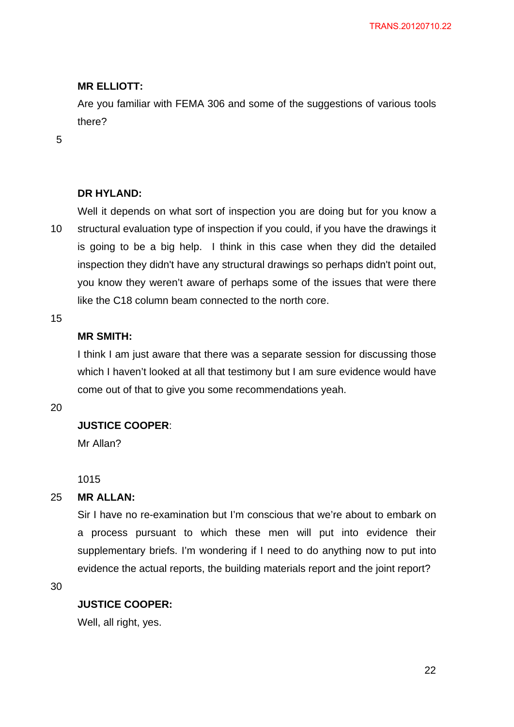## **MR ELLIOTT:**

Are you familiar with FEMA 306 and some of the suggestions of various tools there?

5

## **DR HYLAND:**

10 Well it depends on what sort of inspection you are doing but for you know a structural evaluation type of inspection if you could, if you have the drawings it is going to be a big help. I think in this case when they did the detailed inspection they didn't have any structural drawings so perhaps didn't point out, you know they weren't aware of perhaps some of the issues that were there like the C18 column beam connected to the north core.

15

## **MR SMITH:**

I think I am just aware that there was a separate session for discussing those which I haven't looked at all that testimony but I am sure evidence would have come out of that to give you some recommendations yeah.

20

## **JUSTICE COOPER**:

Mr Allan?

1015

#### 25 **MR ALLAN:**

Sir I have no re-examination but I'm conscious that we're about to embark on a process pursuant to which these men will put into evidence their supplementary briefs. I'm wondering if I need to do anything now to put into evidence the actual reports, the building materials report and the joint report?

30

### **JUSTICE COOPER:**

Well, all right, yes.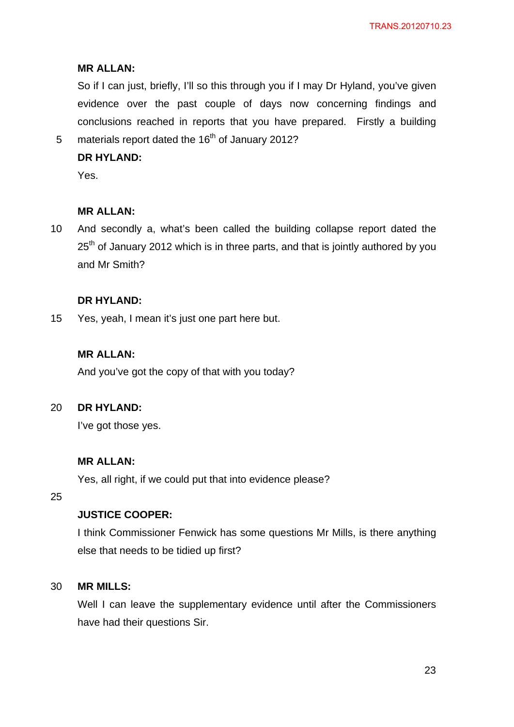## **MR ALLAN:**

So if I can just, briefly, I'll so this through you if I may Dr Hyland, you've given evidence over the past couple of days now concerning findings and conclusions reached in reports that you have prepared. Firstly a building materials report dated the  $16<sup>th</sup>$  of January 2012?

# **DR HYLAND:**

Yes.

5

#### **MR ALLAN:**

10 And secondly a, what's been called the building collapse report dated the  $25<sup>th</sup>$  of January 2012 which is in three parts, and that is jointly authored by you and Mr Smith?

### **DR HYLAND:**

15 Yes, yeah, I mean it's just one part here but.

## **MR ALLAN:**

And you've got the copy of that with you today?

#### 20 **DR HYLAND:**

I've got those yes.

## **MR ALLAN:**

Yes, all right, if we could put that into evidence please?

25

## **JUSTICE COOPER:**

I think Commissioner Fenwick has some questions Mr Mills, is there anything else that needs to be tidied up first?

#### 30 **MR MILLS:**

Well I can leave the supplementary evidence until after the Commissioners have had their questions Sir.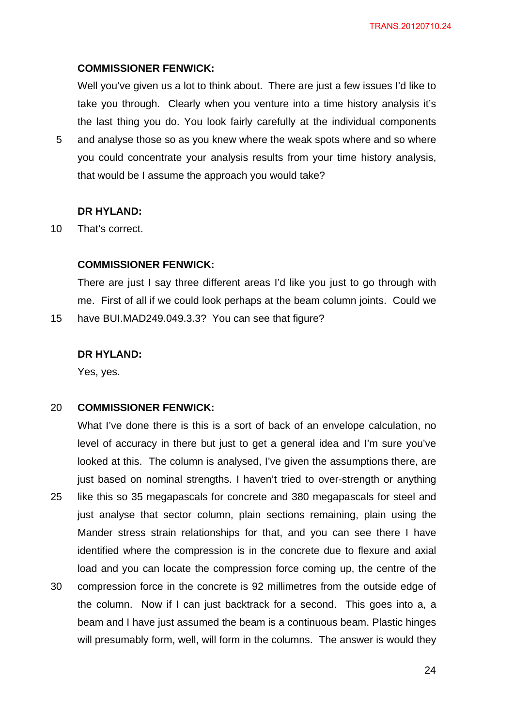#### **COMMISSIONER FENWICK:**

Well you've given us a lot to think about. There are just a few issues I'd like to take you through. Clearly when you venture into a time history analysis it's the last thing you do. You look fairly carefully at the individual components

5 and analyse those so as you knew where the weak spots where and so where you could concentrate your analysis results from your time history analysis, that would be I assume the approach you would take?

#### **DR HYLAND:**

10 That's correct.

## **COMMISSIONER FENWICK:**

There are just I say three different areas I'd like you just to go through with me. First of all if we could look perhaps at the beam column joints. Could we have BUI.MAD249.049.3.3? You can see that figure?

#### **DR HYLAND:**

Yes, yes.

15

#### 20 **COMMISSIONER FENWICK:**

25 30 What I've done there is this is a sort of back of an envelope calculation, no level of accuracy in there but just to get a general idea and I'm sure you've looked at this. The column is analysed, I've given the assumptions there, are just based on nominal strengths. I haven't tried to over-strength or anything like this so 35 megapascals for concrete and 380 megapascals for steel and just analyse that sector column, plain sections remaining, plain using the Mander stress strain relationships for that, and you can see there I have identified where the compression is in the concrete due to flexure and axial load and you can locate the compression force coming up, the centre of the compression force in the concrete is 92 millimetres from the outside edge of

the column. Now if I can just backtrack for a second. This goes into a, a beam and I have just assumed the beam is a continuous beam. Plastic hinges will presumably form, well, will form in the columns. The answer is would they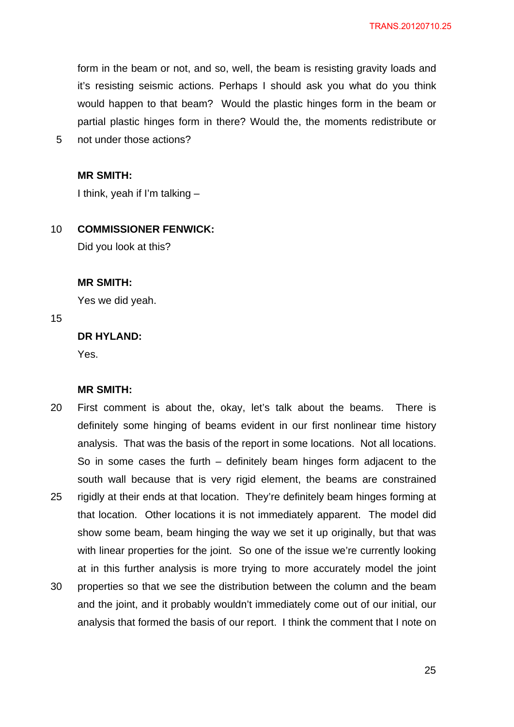form in the beam or not, and so, well, the beam is resisting gravity loads and it's resisting seismic actions. Perhaps I should ask you what do you think would happen to that beam? Would the plastic hinges form in the beam or partial plastic hinges form in there? Would the, the moments redistribute or

5 not under those actions?

#### **MR SMITH:**

I think, yeah if I'm talking –

#### 10 **COMMISSIONER FENWICK:**

Did you look at this?

#### **MR SMITH:**

Yes we did yeah.

15

## **DR HYLAND:**

Yes.

#### **MR SMITH:**

- 20 25 30 First comment is about the, okay, let's talk about the beams. There is definitely some hinging of beams evident in our first nonlinear time history analysis. That was the basis of the report in some locations. Not all locations. So in some cases the furth – definitely beam hinges form adjacent to the south wall because that is very rigid element, the beams are constrained rigidly at their ends at that location. They're definitely beam hinges forming at that location. Other locations it is not immediately apparent. The model did show some beam, beam hinging the way we set it up originally, but that was with linear properties for the joint. So one of the issue we're currently looking at in this further analysis is more trying to more accurately model the joint properties so that we see the distribution between the column and the beam
- and the joint, and it probably wouldn't immediately come out of our initial, our analysis that formed the basis of our report. I think the comment that I note on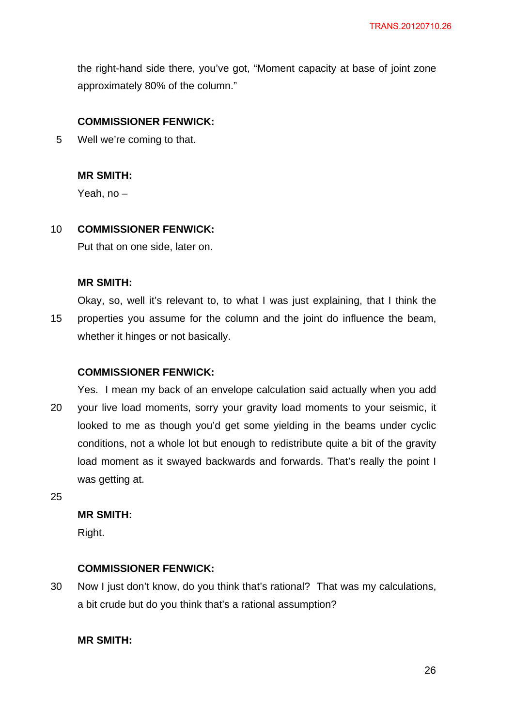the right-hand side there, you've got, "Moment capacity at base of joint zone approximately 80% of the column."

## **COMMISSIONER FENWICK:**

5 Well we're coming to that.

## **MR SMITH:**

Yeah, no –

#### 10 **COMMISSIONER FENWICK:**

Put that on one side, later on.

### **MR SMITH:**

15 Okay, so, well it's relevant to, to what I was just explaining, that I think the properties you assume for the column and the joint do influence the beam, whether it hinges or not basically.

## **COMMISSIONER FENWICK:**

20 Yes. I mean my back of an envelope calculation said actually when you add your live load moments, sorry your gravity load moments to your seismic, it looked to me as though you'd get some yielding in the beams under cyclic conditions, not a whole lot but enough to redistribute quite a bit of the gravity load moment as it swayed backwards and forwards. That's really the point I was getting at.

25

## **MR SMITH:**

Right.

## **COMMISSIONER FENWICK:**

30 Now I just don't know, do you think that's rational? That was my calculations, a bit crude but do you think that's a rational assumption?

### **MR SMITH:**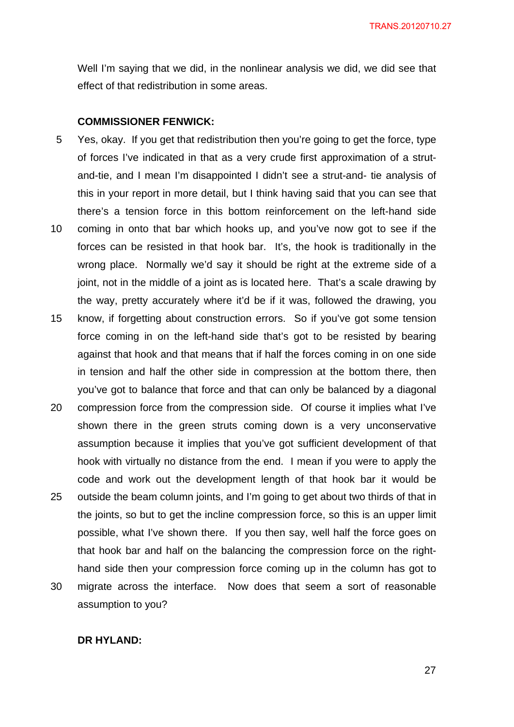Well I'm saying that we did, in the nonlinear analysis we did, we did see that effect of that redistribution in some areas.

### **COMMISSIONER FENWICK:**

- 5 10 Yes, okay. If you get that redistribution then you're going to get the force, type of forces I've indicated in that as a very crude first approximation of a strutand-tie, and I mean I'm disappointed I didn't see a strut-and- tie analysis of this in your report in more detail, but I think having said that you can see that there's a tension force in this bottom reinforcement on the left-hand side coming in onto that bar which hooks up, and you've now got to see if the forces can be resisted in that hook bar. It's, the hook is traditionally in the wrong place. Normally we'd say it should be right at the extreme side of a joint, not in the middle of a joint as is located here. That's a scale drawing by
- 15 know, if forgetting about construction errors. So if you've got some tension force coming in on the left-hand side that's got to be resisted by bearing against that hook and that means that if half the forces coming in on one side in tension and half the other side in compression at the bottom there, then you've got to balance that force and that can only be balanced by a diagonal

the way, pretty accurately where it'd be if it was, followed the drawing, you

- 20 25 compression force from the compression side. Of course it implies what I've shown there in the green struts coming down is a very unconservative assumption because it implies that you've got sufficient development of that hook with virtually no distance from the end. I mean if you were to apply the code and work out the development length of that hook bar it would be outside the beam column joints, and I'm going to get about two thirds of that in
- 30 the joints, so but to get the incline compression force, so this is an upper limit possible, what I've shown there. If you then say, well half the force goes on that hook bar and half on the balancing the compression force on the righthand side then your compression force coming up in the column has got to migrate across the interface. Now does that seem a sort of reasonable
- assumption to you?

## **DR HYLAND:**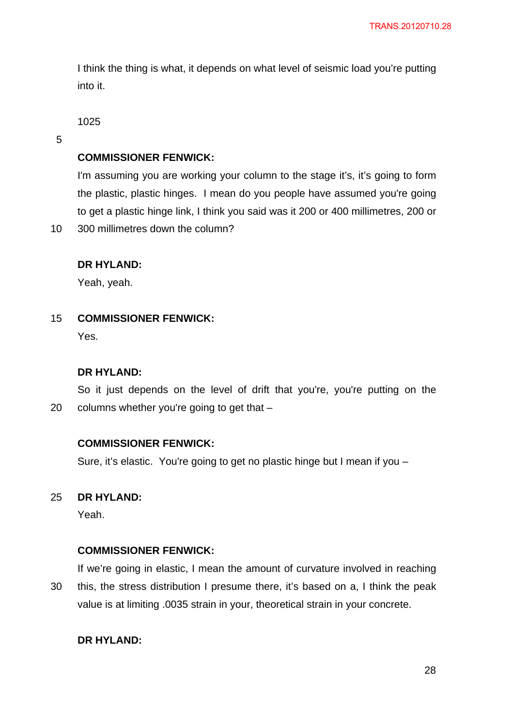I think the thing is what, it depends on what level of seismic load you're putting into it.

1025

5

## **COMMISSIONER FENWICK:**

I'm assuming you are working your column to the stage it's, it's going to form the plastic, plastic hinges. I mean do you people have assumed you're going to get a plastic hinge link, I think you said was it 200 or 400 millimetres, 200 or

10 300 millimetres down the column?

## **DR HYLAND:**

Yeah, yeah.

15 **COMMISSIONER FENWICK:** 

Yes.

#### **DR HYLAND:**

20 So it just depends on the level of drift that you're, you're putting on the columns whether you're going to get that –

### **COMMISSIONER FENWICK:**

Sure, it's elastic. You're going to get no plastic hinge but I mean if you –

#### 25 **DR HYLAND:**

Yeah.

### **COMMISSIONER FENWICK:**

30 If we're going in elastic, I mean the amount of curvature involved in reaching this, the stress distribution I presume there, it's based on a, I think the peak value is at limiting .0035 strain in your, theoretical strain in your concrete.

## **DR HYLAND:**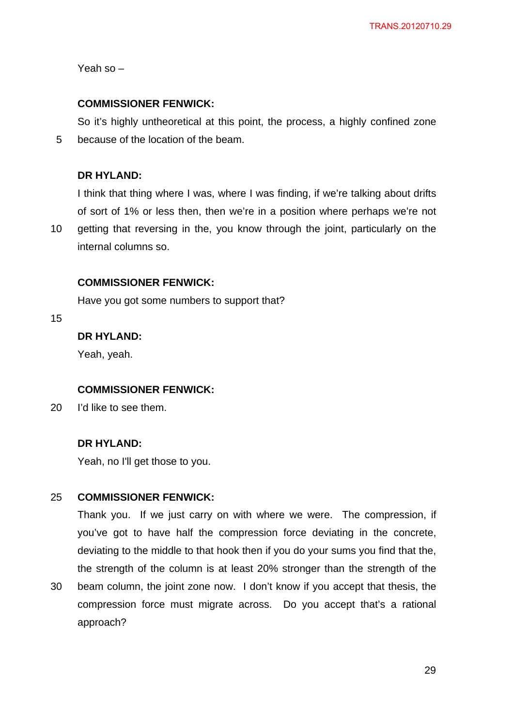Yeah so –

## **COMMISSIONER FENWICK:**

5 So it's highly untheoretical at this point, the process, a highly confined zone because of the location of the beam.

## **DR HYLAND:**

I think that thing where I was, where I was finding, if we're talking about drifts of sort of 1% or less then, then we're in a position where perhaps we're not

10 getting that reversing in the, you know through the joint, particularly on the internal columns so.

## **COMMISSIONER FENWICK:**

Have you got some numbers to support that?

15

## **DR HYLAND:**

Yeah, yeah.

## **COMMISSIONER FENWICK:**

20 I'd like to see them.

## **DR HYLAND:**

Yeah, no I'll get those to you.

#### 25 **COMMISSIONER FENWICK:**

Thank you. If we just carry on with where we were. The compression, if you've got to have half the compression force deviating in the concrete, deviating to the middle to that hook then if you do your sums you find that the, the strength of the column is at least 20% stronger than the strength of the

30 beam column, the joint zone now. I don't know if you accept that thesis, the compression force must migrate across. Do you accept that's a rational approach?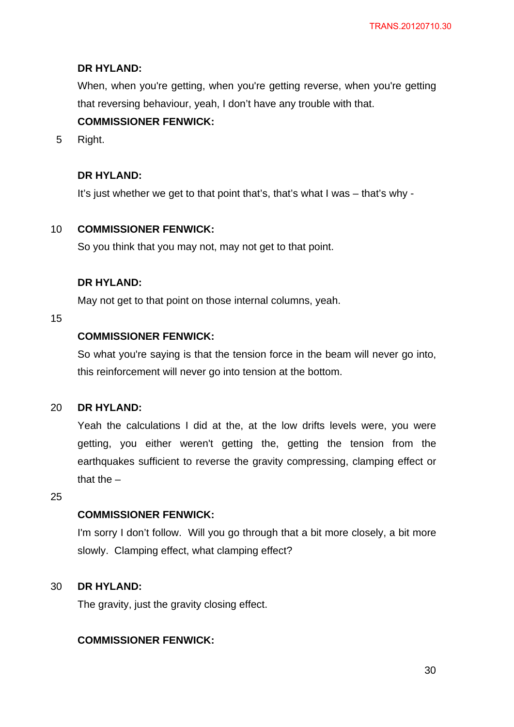When, when you're getting, when you're getting reverse, when you're getting that reversing behaviour, yeah, I don't have any trouble with that.

## **COMMISSIONER FENWICK:**

5 Right.

## **DR HYLAND:**

It's just whether we get to that point that's, that's what I was – that's why -

#### 10 **COMMISSIONER FENWICK:**

So you think that you may not, may not get to that point.

## **DR HYLAND:**

May not get to that point on those internal columns, yeah.

## 15

## **COMMISSIONER FENWICK:**

So what you're saying is that the tension force in the beam will never go into, this reinforcement will never go into tension at the bottom.

#### 20 **DR HYLAND:**

Yeah the calculations I did at the, at the low drifts levels were, you were getting, you either weren't getting the, getting the tension from the earthquakes sufficient to reverse the gravity compressing, clamping effect or that the –

25

## **COMMISSIONER FENWICK:**

I'm sorry I don't follow. Will you go through that a bit more closely, a bit more slowly. Clamping effect, what clamping effect?

#### 30 **DR HYLAND:**

The gravity, just the gravity closing effect.

## **COMMISSIONER FENWICK:**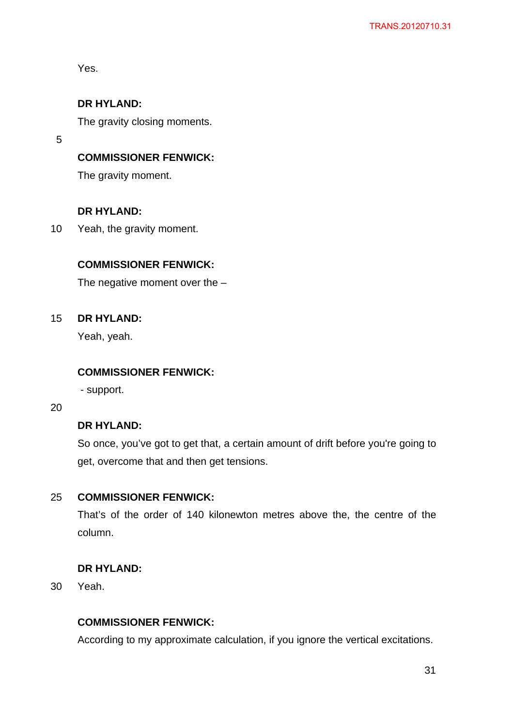Yes.

## **DR HYLAND:**

The gravity closing moments.

5

## **COMMISSIONER FENWICK:**

The gravity moment.

## **DR HYLAND:**

10 Yeah, the gravity moment.

## **COMMISSIONER FENWICK:**

The negative moment over the –

#### 15 **DR HYLAND:**

Yeah, yeah.

## **COMMISSIONER FENWICK:**

- support.

20

## **DR HYLAND:**

So once, you've got to get that, a certain amount of drift before you're going to get, overcome that and then get tensions.

#### 25 **COMMISSIONER FENWICK:**

That's of the order of 140 kilonewton metres above the, the centre of the column.

## **DR HYLAND:**

30 Yeah.

## **COMMISSIONER FENWICK:**

According to my approximate calculation, if you ignore the vertical excitations.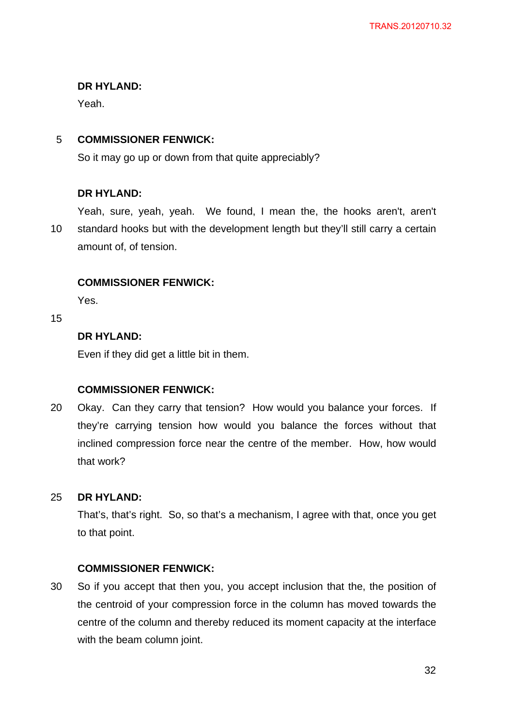Yeah.

#### 5 **COMMISSIONER FENWICK:**

So it may go up or down from that quite appreciably?

## **DR HYLAND:**

10 Yeah, sure, yeah, yeah. We found, I mean the, the hooks aren't, aren't standard hooks but with the development length but they'll still carry a certain amount of, of tension.

### **COMMISSIONER FENWICK:**

Yes.

15

## **DR HYLAND:**

Even if they did get a little bit in them.

### **COMMISSIONER FENWICK:**

20 Okay. Can they carry that tension? How would you balance your forces. If they're carrying tension how would you balance the forces without that inclined compression force near the centre of the member. How, how would that work?

#### 25 **DR HYLAND:**

That's, that's right. So, so that's a mechanism, I agree with that, once you get to that point.

### **COMMISSIONER FENWICK:**

30 So if you accept that then you, you accept inclusion that the, the position of the centroid of your compression force in the column has moved towards the centre of the column and thereby reduced its moment capacity at the interface with the beam column joint.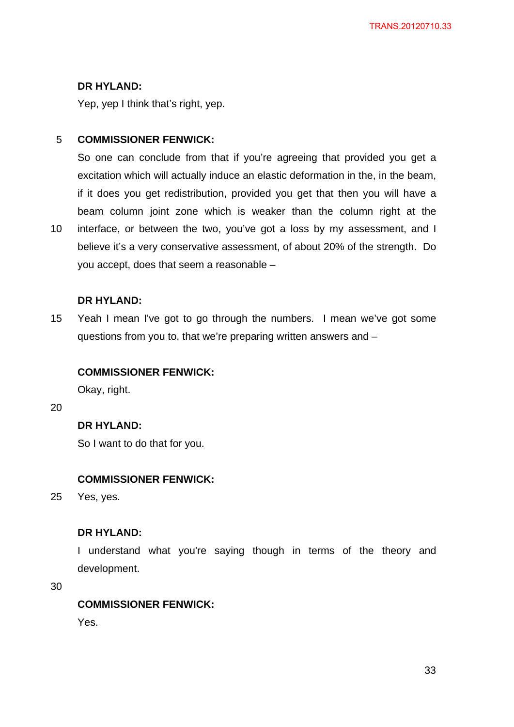Yep, yep I think that's right, yep.

#### 5 **COMMISSIONER FENWICK:**

So one can conclude from that if you're agreeing that provided you get a excitation which will actually induce an elastic deformation in the, in the beam, if it does you get redistribution, provided you get that then you will have a beam column joint zone which is weaker than the column right at the

10 interface, or between the two, you've got a loss by my assessment, and I believe it's a very conservative assessment, of about 20% of the strength. Do you accept, does that seem a reasonable –

## **DR HYLAND:**

15 Yeah I mean I've got to go through the numbers. I mean we've got some questions from you to, that we're preparing written answers and –

## **COMMISSIONER FENWICK:**

Okay, right.

20

## **DR HYLAND:**

So I want to do that for you.

## **COMMISSIONER FENWICK:**

25 Yes, yes.

## **DR HYLAND:**

I understand what you're saying though in terms of the theory and development.

30

## **COMMISSIONER FENWICK:**

Yes.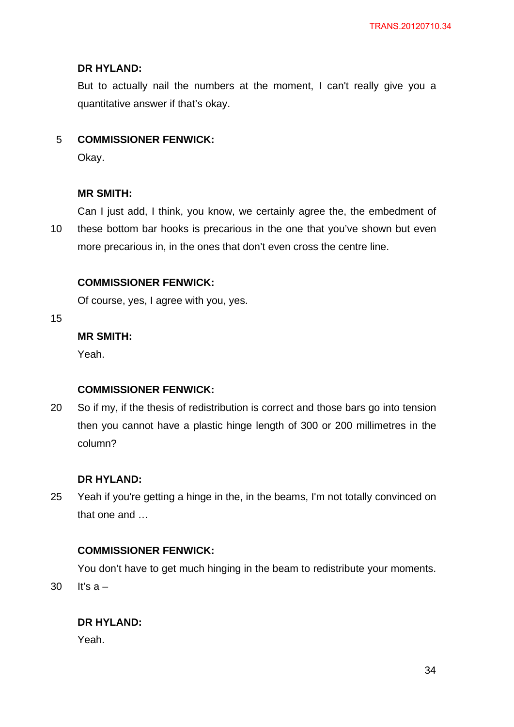But to actually nail the numbers at the moment, I can't really give you a quantitative answer if that's okay.

#### 5 **COMMISSIONER FENWICK:**

Okay.

### **MR SMITH:**

10 Can I just add, I think, you know, we certainly agree the, the embedment of these bottom bar hooks is precarious in the one that you've shown but even more precarious in, in the ones that don't even cross the centre line.

## **COMMISSIONER FENWICK:**

Of course, yes, I agree with you, yes.

15

## **MR SMITH:**

Yeah.

## **COMMISSIONER FENWICK:**

20 So if my, if the thesis of redistribution is correct and those bars go into tension then you cannot have a plastic hinge length of 300 or 200 millimetres in the column?

#### **DR HYLAND:**

25 Yeah if you're getting a hinge in the, in the beams, I'm not totally convinced on that one and …

### **COMMISSIONER FENWICK:**

You don't have to get much hinging in the beam to redistribute your moments. It's  $a -$ 

## **DR HYLAND:**

Yeah.

30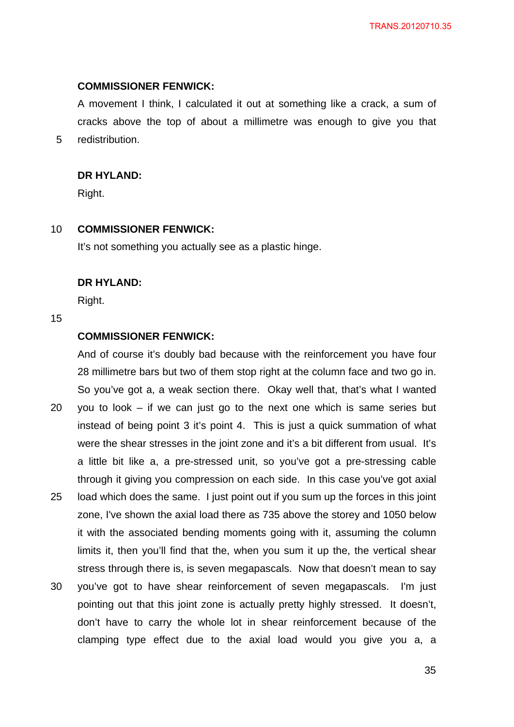#### **COMMISSIONER FENWICK:**

A movement I think, I calculated it out at something like a crack, a sum of cracks above the top of about a millimetre was enough to give you that redistribution.

#### **DR HYLAND:**

Right.

#### 10 **COMMISSIONER FENWICK:**

It's not something you actually see as a plastic hinge.

#### **DR HYLAND:**

Right.

### 15

20

5

## **COMMISSIONER FENWICK:**

And of course it's doubly bad because with the reinforcement you have four 28 millimetre bars but two of them stop right at the column face and two go in. So you've got a, a weak section there. Okay well that, that's what I wanted you to look – if we can just go to the next one which is same series but

- 25 instead of being point 3 it's point 4. This is just a quick summation of what were the shear stresses in the joint zone and it's a bit different from usual. It's a little bit like a, a pre-stressed unit, so you've got a pre-stressing cable through it giving you compression on each side. In this case you've got axial load which does the same. I just point out if you sum up the forces in this joint
- zone, I've shown the axial load there as 735 above the storey and 1050 below it with the associated bending moments going with it, assuming the column limits it, then you'll find that the, when you sum it up the, the vertical shear stress through there is, is seven megapascals. Now that doesn't mean to say
- 30 you've got to have shear reinforcement of seven megapascals. I'm just pointing out that this joint zone is actually pretty highly stressed. It doesn't, don't have to carry the whole lot in shear reinforcement because of the clamping type effect due to the axial load would you give you a, a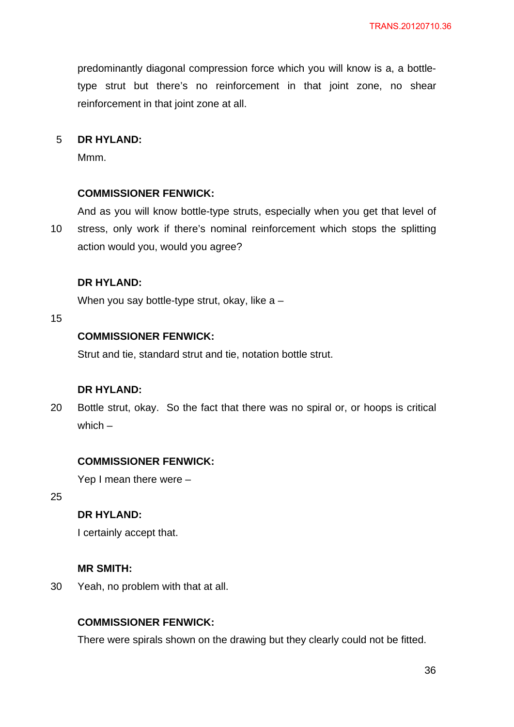predominantly diagonal compression force which you will know is a, a bottletype strut but there's no reinforcement in that joint zone, no shear reinforcement in that joint zone at all.

#### 5 **DR HYLAND:**

Mmm.

#### **COMMISSIONER FENWICK:**

10 And as you will know bottle-type struts, especially when you get that level of stress, only work if there's nominal reinforcement which stops the splitting action would you, would you agree?

#### **DR HYLAND:**

When you say bottle-type strut, okay, like a –

15

## **COMMISSIONER FENWICK:**

Strut and tie, standard strut and tie, notation bottle strut.

## **DR HYLAND:**

20 Bottle strut, okay. So the fact that there was no spiral or, or hoops is critical which –

### **COMMISSIONER FENWICK:**

Yep I mean there were –

25

## **DR HYLAND:**

I certainly accept that.

#### **MR SMITH:**

30 Yeah, no problem with that at all.

## **COMMISSIONER FENWICK:**

There were spirals shown on the drawing but they clearly could not be fitted.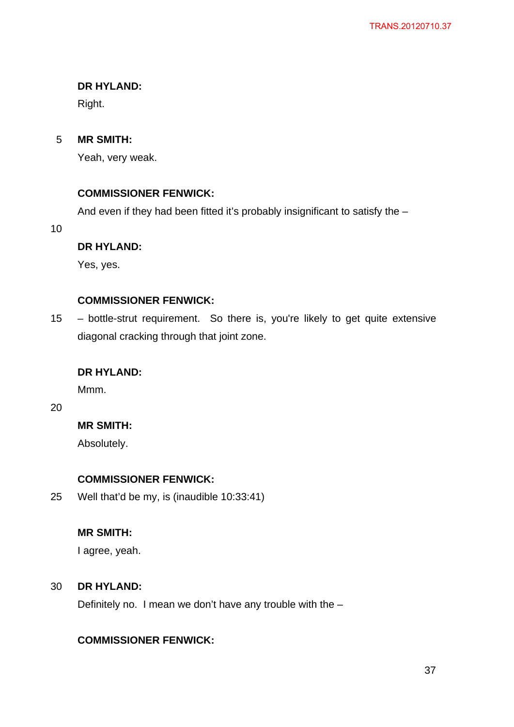## **DR HYLAND:**

Right.

#### 5 **MR SMITH:**

Yeah, very weak.

## **COMMISSIONER FENWICK:**

And even if they had been fitted it's probably insignificant to satisfy the –

10

## **DR HYLAND:**

Yes, yes.

## **COMMISSIONER FENWICK:**

15 – bottle-strut requirement. So there is, you're likely to get quite extensive diagonal cracking through that joint zone.

## **DR HYLAND:**

Mmm.

20

## **MR SMITH:**

Absolutely.

## **COMMISSIONER FENWICK:**

25 Well that'd be my, is (inaudible 10:33:41)

## **MR SMITH:**

I agree, yeah.

#### 30 **DR HYLAND:**

Definitely no. I mean we don't have any trouble with the –

## **COMMISSIONER FENWICK:**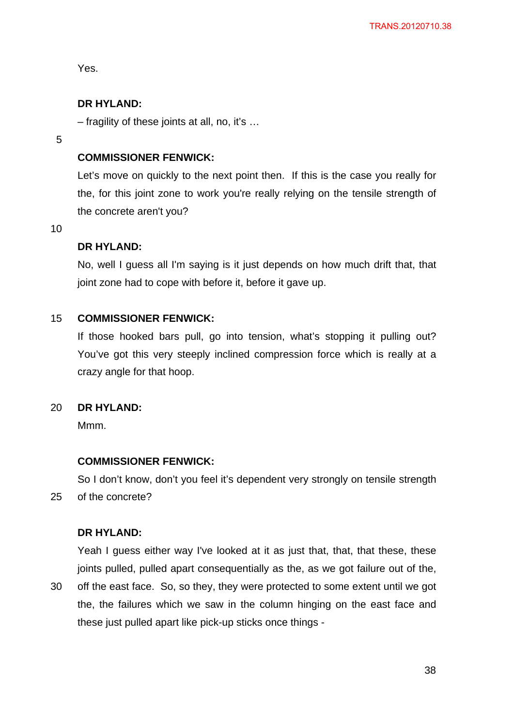Yes.

## **DR HYLAND:**

– fragility of these joints at all, no, it's …

5

## **COMMISSIONER FENWICK:**

Let's move on quickly to the next point then. If this is the case you really for the, for this joint zone to work you're really relying on the tensile strength of the concrete aren't you?

10

## **DR HYLAND:**

No, well I guess all I'm saying is it just depends on how much drift that, that joint zone had to cope with before it, before it gave up.

#### 15 **COMMISSIONER FENWICK:**

If those hooked bars pull, go into tension, what's stopping it pulling out? You've got this very steeply inclined compression force which is really at a crazy angle for that hoop.

#### 20 **DR HYLAND:**

M<sub>mm</sub>.

## **COMMISSIONER FENWICK:**

25 So I don't know, don't you feel it's dependent very strongly on tensile strength of the concrete?

## **DR HYLAND:**

Yeah I guess either way I've looked at it as just that, that, that these, these joints pulled, pulled apart consequentially as the, as we got failure out of the,

30 off the east face. So, so they, they were protected to some extent until we got the, the failures which we saw in the column hinging on the east face and these just pulled apart like pick-up sticks once things -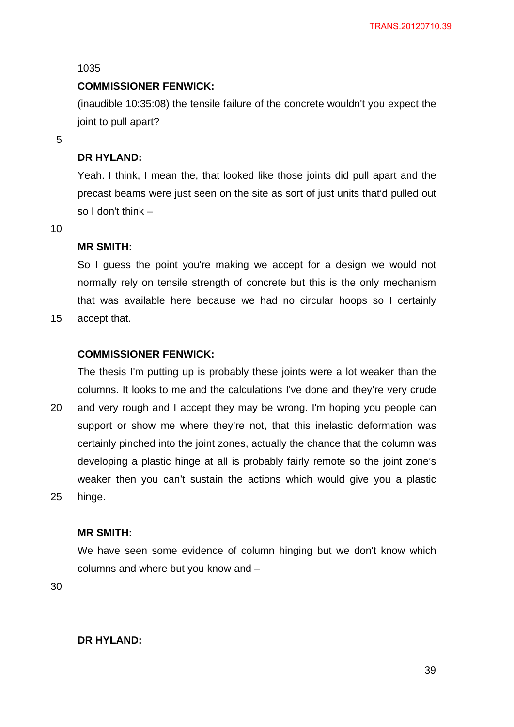#### 1035

#### **COMMISSIONER FENWICK:**

(inaudible 10:35:08) the tensile failure of the concrete wouldn't you expect the joint to pull apart?

5

#### **DR HYLAND:**

Yeah. I think, I mean the, that looked like those joints did pull apart and the precast beams were just seen on the site as sort of just units that'd pulled out so I don't think –

10

#### **MR SMITH:**

So I guess the point you're making we accept for a design we would not normally rely on tensile strength of concrete but this is the only mechanism that was available here because we had no circular hoops so I certainly

15 accept that.

### **COMMISSIONER FENWICK:**

The thesis I'm putting up is probably these joints were a lot weaker than the columns. It looks to me and the calculations I've done and they're very crude

20 25 and very rough and I accept they may be wrong. I'm hoping you people can support or show me where they're not, that this inelastic deformation was certainly pinched into the joint zones, actually the chance that the column was developing a plastic hinge at all is probably fairly remote so the joint zone's weaker then you can't sustain the actions which would give you a plastic hinge.

### **MR SMITH:**

We have seen some evidence of column hinging but we don't know which columns and where but you know and –

30

### **DR HYLAND:**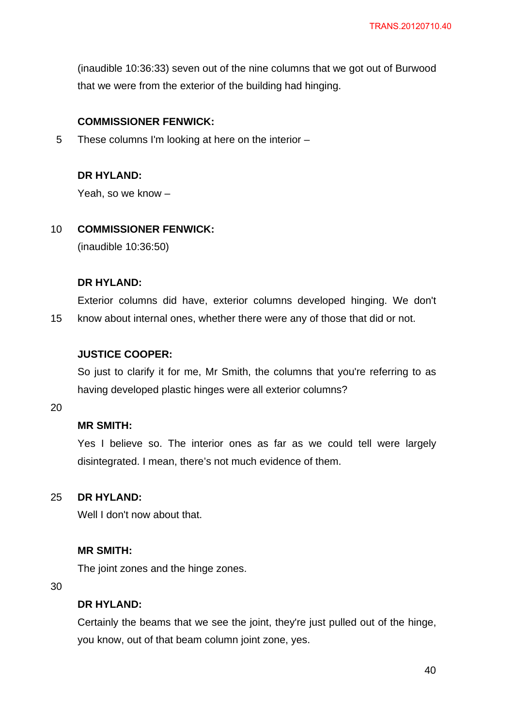(inaudible 10:36:33) seven out of the nine columns that we got out of Burwood that we were from the exterior of the building had hinging.

### **COMMISSIONER FENWICK:**

5 These columns I'm looking at here on the interior –

## **DR HYLAND:**

Yeah, so we know –

#### 10 **COMMISSIONER FENWICK:**

(inaudible 10:36:50)

### **DR HYLAND:**

15 Exterior columns did have, exterior columns developed hinging. We don't know about internal ones, whether there were any of those that did or not.

### **JUSTICE COOPER:**

So just to clarify it for me, Mr Smith, the columns that you're referring to as having developed plastic hinges were all exterior columns?

20

## **MR SMITH:**

Yes I believe so. The interior ones as far as we could tell were largely disintegrated. I mean, there's not much evidence of them.

#### 25 **DR HYLAND:**

Well I don't now about that.

### **MR SMITH:**

The joint zones and the hinge zones.

30

## **DR HYLAND:**

Certainly the beams that we see the joint, they're just pulled out of the hinge, you know, out of that beam column joint zone, yes.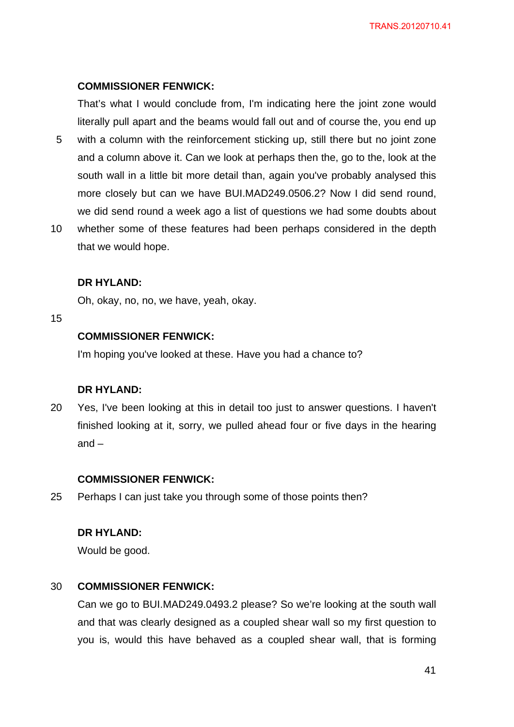### **COMMISSIONER FENWICK:**

That's what I would conclude from, I'm indicating here the joint zone would literally pull apart and the beams would fall out and of course the, you end up

- 5 with a column with the reinforcement sticking up, still there but no joint zone and a column above it. Can we look at perhaps then the, go to the, look at the south wall in a little bit more detail than, again you've probably analysed this more closely but can we have BUI.MAD249.0506.2? Now I did send round, we did send round a week ago a list of questions we had some doubts about
- 10 whether some of these features had been perhaps considered in the depth that we would hope.

#### **DR HYLAND:**

Oh, okay, no, no, we have, yeah, okay.

#### 15

## **COMMISSIONER FENWICK:**

I'm hoping you've looked at these. Have you had a chance to?

### **DR HYLAND:**

20 Yes, I've been looking at this in detail too just to answer questions. I haven't finished looking at it, sorry, we pulled ahead four or five days in the hearing and –

#### **COMMISSIONER FENWICK:**

25 Perhaps I can just take you through some of those points then?

### **DR HYLAND:**

Would be good.

#### 30 **COMMISSIONER FENWICK:**

Can we go to BUI.MAD249.0493.2 please? So we're looking at the south wall and that was clearly designed as a coupled shear wall so my first question to you is, would this have behaved as a coupled shear wall, that is forming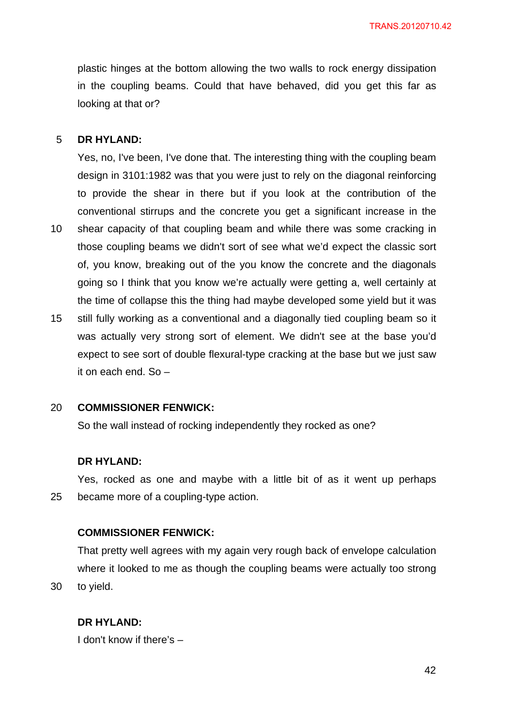plastic hinges at the bottom allowing the two walls to rock energy dissipation in the coupling beams. Could that have behaved, did you get this far as looking at that or?

#### 5 **DR HYLAND:**

Yes, no, I've been, I've done that. The interesting thing with the coupling beam design in 3101:1982 was that you were just to rely on the diagonal reinforcing to provide the shear in there but if you look at the contribution of the conventional stirrups and the concrete you get a significant increase in the

- 10 shear capacity of that coupling beam and while there was some cracking in those coupling beams we didn't sort of see what we'd expect the classic sort of, you know, breaking out of the you know the concrete and the diagonals going so I think that you know we're actually were getting a, well certainly at the time of collapse this the thing had maybe developed some yield but it was
- 15 still fully working as a conventional and a diagonally tied coupling beam so it was actually very strong sort of element. We didn't see at the base you'd expect to see sort of double flexural-type cracking at the base but we just saw it on each end. So –

#### 20 **COMMISSIONER FENWICK:**

So the wall instead of rocking independently they rocked as one?

#### **DR HYLAND:**

25 Yes, rocked as one and maybe with a little bit of as it went up perhaps became more of a coupling-type action.

### **COMMISSIONER FENWICK:**

That pretty well agrees with my again very rough back of envelope calculation where it looked to me as though the coupling beams were actually too strong to yield.

#### **DR HYLAND:**

30

I don't know if there's –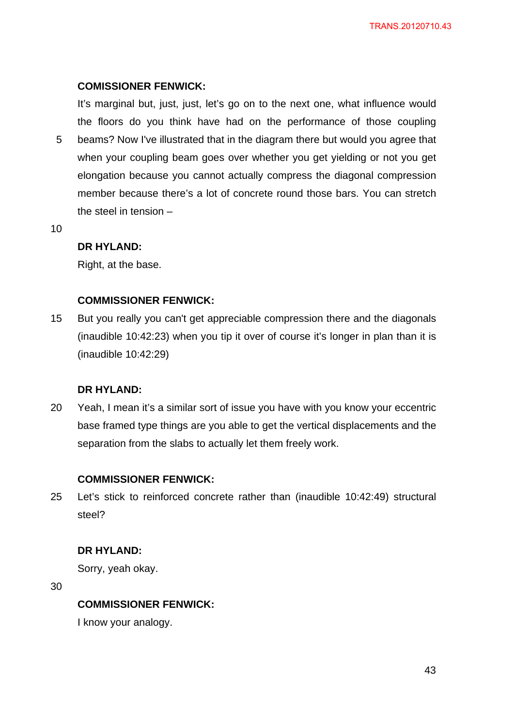## **COMISSIONER FENWICK:**

5 It's marginal but, just, just, let's go on to the next one, what influence would the floors do you think have had on the performance of those coupling beams? Now I've illustrated that in the diagram there but would you agree that when your coupling beam goes over whether you get yielding or not you get elongation because you cannot actually compress the diagonal compression member because there's a lot of concrete round those bars. You can stretch the steel in tension –

10

## **DR HYLAND:**

Right, at the base.

## **COMMISSIONER FENWICK:**

15 But you really you can't get appreciable compression there and the diagonals (inaudible 10:42:23) when you tip it over of course it's longer in plan than it is (inaudible 10:42:29)

## **DR HYLAND:**

20 Yeah, I mean it's a similar sort of issue you have with you know your eccentric base framed type things are you able to get the vertical displacements and the separation from the slabs to actually let them freely work.

## **COMMISSIONER FENWICK:**

25 Let's stick to reinforced concrete rather than (inaudible 10:42:49) structural steel?

## **DR HYLAND:**

Sorry, yeah okay.

30

## **COMMISSIONER FENWICK:**

I know your analogy.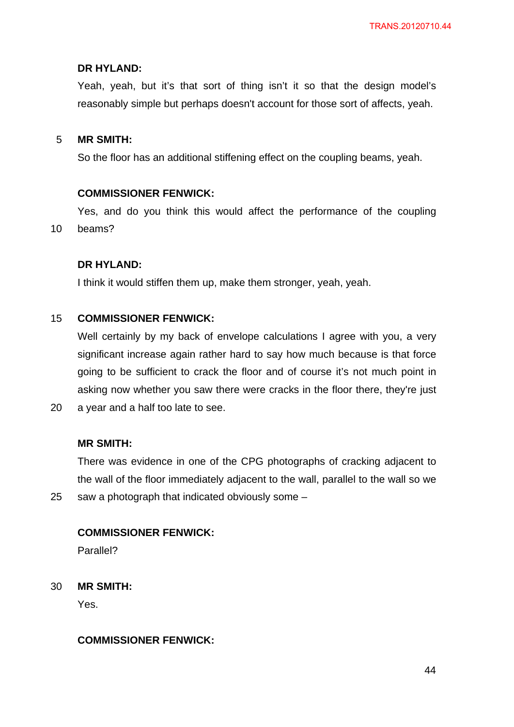## **DR HYLAND:**

Yeah, yeah, but it's that sort of thing isn't it so that the design model's reasonably simple but perhaps doesn't account for those sort of affects, yeah.

#### 5 **MR SMITH:**

So the floor has an additional stiffening effect on the coupling beams, yeah.

### **COMMISSIONER FENWICK:**

10 Yes, and do you think this would affect the performance of the coupling beams?

### **DR HYLAND:**

I think it would stiffen them up, make them stronger, yeah, yeah.

#### 15 **COMMISSIONER FENWICK:**

Well certainly by my back of envelope calculations I agree with you, a very significant increase again rather hard to say how much because is that force going to be sufficient to crack the floor and of course it's not much point in asking now whether you saw there were cracks in the floor there, they're just a year and a half too late to see.

# **MR SMITH:**

20

25

There was evidence in one of the CPG photographs of cracking adjacent to the wall of the floor immediately adjacent to the wall, parallel to the wall so we saw a photograph that indicated obviously some –

#### **COMMISSIONER FENWICK:**

Parallel?

30 **MR SMITH:** 

Yes.

## **COMMISSIONER FENWICK:**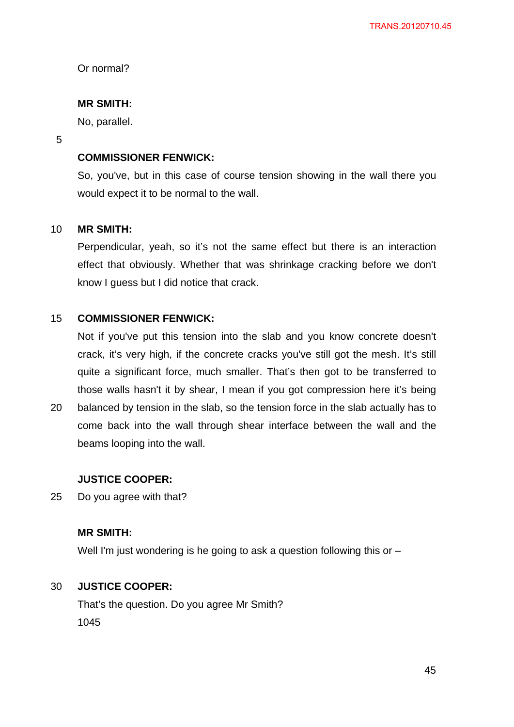Or normal?

## **MR SMITH:**

No, parallel.

#### 5

## **COMMISSIONER FENWICK:**

So, you've, but in this case of course tension showing in the wall there you would expect it to be normal to the wall.

#### 10 **MR SMITH:**

Perpendicular, yeah, so it's not the same effect but there is an interaction effect that obviously. Whether that was shrinkage cracking before we don't know I guess but I did notice that crack.

#### 15 **COMMISSIONER FENWICK:**

Not if you've put this tension into the slab and you know concrete doesn't crack, it's very high, if the concrete cracks you've still got the mesh. It's still quite a significant force, much smaller. That's then got to be transferred to those walls hasn't it by shear, I mean if you got compression here it's being

20 balanced by tension in the slab, so the tension force in the slab actually has to come back into the wall through shear interface between the wall and the beams looping into the wall.

## **JUSTICE COOPER:**

25 Do you agree with that?

## **MR SMITH:**

Well I'm just wondering is he going to ask a question following this or –

#### 30 **JUSTICE COOPER:**

That's the question. Do you agree Mr Smith? 1045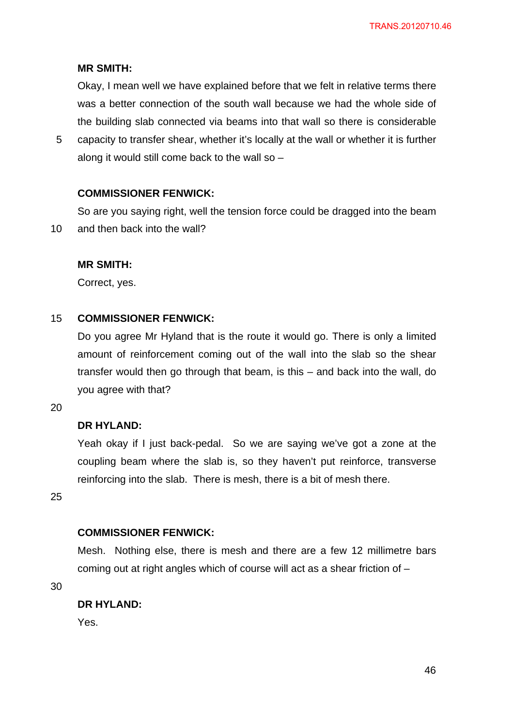## **MR SMITH:**

Okay, I mean well we have explained before that we felt in relative terms there was a better connection of the south wall because we had the whole side of the building slab connected via beams into that wall so there is considerable

5 capacity to transfer shear, whether it's locally at the wall or whether it is further along it would still come back to the wall so –

## **COMMISSIONER FENWICK:**

10 So are you saying right, well the tension force could be dragged into the beam and then back into the wall?

### **MR SMITH:**

Correct, yes.

#### 15 **COMMISSIONER FENWICK:**

Do you agree Mr Hyland that is the route it would go. There is only a limited amount of reinforcement coming out of the wall into the slab so the shear transfer would then go through that beam, is this – and back into the wall, do you agree with that?

20

## **DR HYLAND:**

Yeah okay if I just back-pedal. So we are saying we've got a zone at the coupling beam where the slab is, so they haven't put reinforce, transverse reinforcing into the slab. There is mesh, there is a bit of mesh there.

25

## **COMMISSIONER FENWICK:**

Mesh. Nothing else, there is mesh and there are a few 12 millimetre bars coming out at right angles which of course will act as a shear friction of –

30

### **DR HYLAND:**

Yes.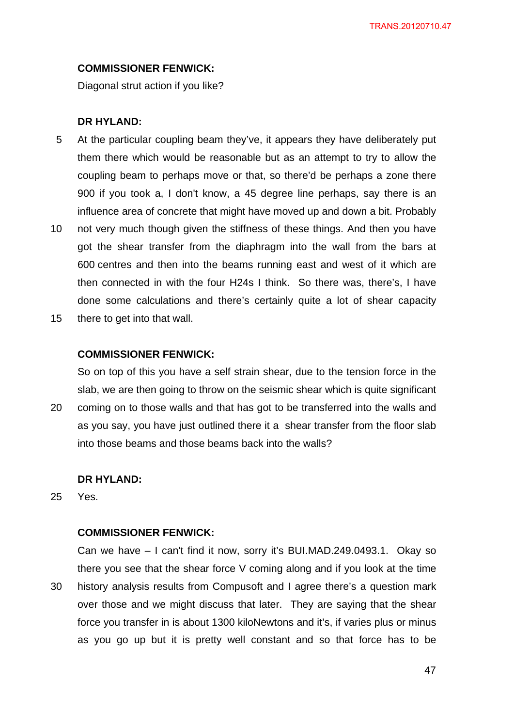#### **COMMISSIONER FENWICK:**

Diagonal strut action if you like?

#### **DR HYLAND:**

- 5 At the particular coupling beam they've, it appears they have deliberately put them there which would be reasonable but as an attempt to try to allow the coupling beam to perhaps move or that, so there'd be perhaps a zone there 900 if you took a, I don't know, a 45 degree line perhaps, say there is an influence area of concrete that might have moved up and down a bit. Probably
- 10 not very much though given the stiffness of these things. And then you have got the shear transfer from the diaphragm into the wall from the bars at 600 centres and then into the beams running east and west of it which are then connected in with the four H24s I think. So there was, there's, I have done some calculations and there's certainly quite a lot of shear capacity
- 15 there to get into that wall.

### **COMMISSIONER FENWICK:**

So on top of this you have a self strain shear, due to the tension force in the slab, we are then going to throw on the seismic shear which is quite significant coming on to those walls and that has got to be transferred into the walls and as you say, you have just outlined there it a shear transfer from the floor slab

into those beams and those beams back into the walls?

### **DR HYLAND:**

25 Yes.

20

### **COMMISSIONER FENWICK:**

30 Can we have – I can't find it now, sorry it's BUI.MAD.249.0493.1. Okay so there you see that the shear force V coming along and if you look at the time history analysis results from Compusoft and I agree there's a question mark over those and we might discuss that later. They are saying that the shear force you transfer in is about 1300 kiloNewtons and it's, if varies plus or minus as you go up but it is pretty well constant and so that force has to be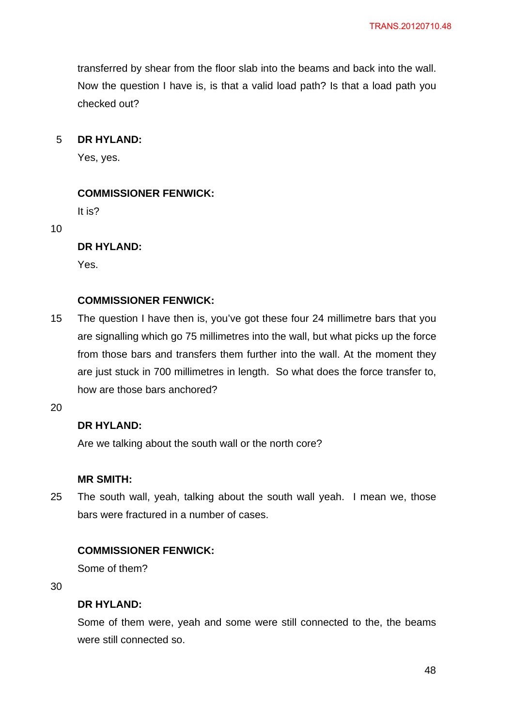transferred by shear from the floor slab into the beams and back into the wall. Now the question I have is, is that a valid load path? Is that a load path you checked out?

#### 5 **DR HYLAND:**

Yes, yes.

### **COMMISSIONER FENWICK:**

It is?

10

### **DR HYLAND:**

Yes.

### **COMMISSIONER FENWICK:**

15 The question I have then is, you've got these four 24 millimetre bars that you are signalling which go 75 millimetres into the wall, but what picks up the force from those bars and transfers them further into the wall. At the moment they are just stuck in 700 millimetres in length. So what does the force transfer to, how are those bars anchored?

20

## **DR HYLAND:**

Are we talking about the south wall or the north core?

### **MR SMITH:**

25 The south wall, yeah, talking about the south wall yeah. I mean we, those bars were fractured in a number of cases.

## **COMMISSIONER FENWICK:**

Some of them?

30

### **DR HYLAND:**

Some of them were, yeah and some were still connected to the, the beams were still connected so.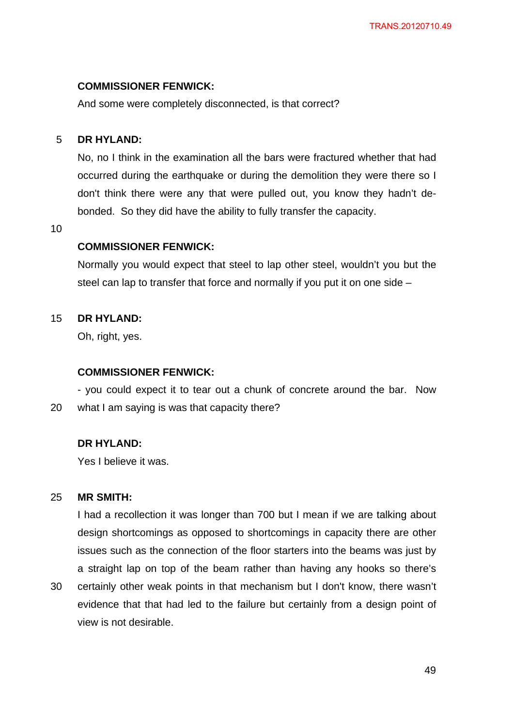### **COMMISSIONER FENWICK:**

And some were completely disconnected, is that correct?

#### 5 **DR HYLAND:**

No, no I think in the examination all the bars were fractured whether that had occurred during the earthquake or during the demolition they were there so I don't think there were any that were pulled out, you know they hadn't debonded. So they did have the ability to fully transfer the capacity.

10

### **COMMISSIONER FENWICK:**

Normally you would expect that steel to lap other steel, wouldn't you but the steel can lap to transfer that force and normally if you put it on one side –

#### 15 **DR HYLAND:**

Oh, right, yes.

### **COMMISSIONER FENWICK:**

20 - you could expect it to tear out a chunk of concrete around the bar. Now what I am saying is was that capacity there?

### **DR HYLAND:**

Yes I believe it was.

#### 25 **MR SMITH:**

I had a recollection it was longer than 700 but I mean if we are talking about design shortcomings as opposed to shortcomings in capacity there are other issues such as the connection of the floor starters into the beams was just by a straight lap on top of the beam rather than having any hooks so there's

30 certainly other weak points in that mechanism but I don't know, there wasn't evidence that that had led to the failure but certainly from a design point of view is not desirable.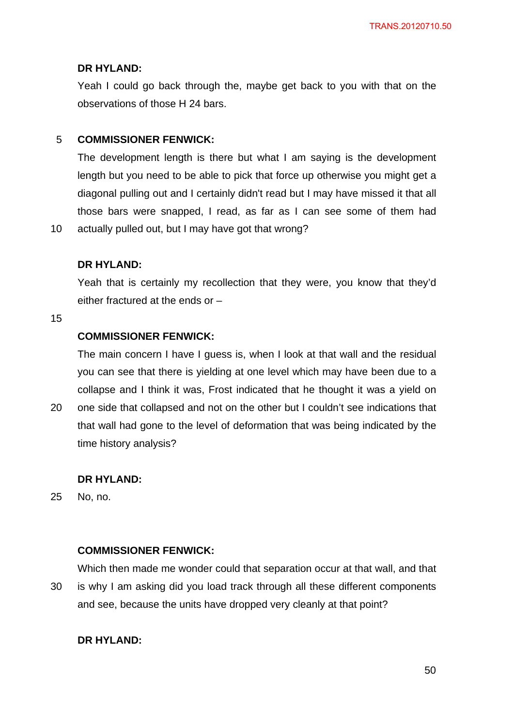## **DR HYLAND:**

Yeah I could go back through the, maybe get back to you with that on the observations of those H 24 bars.

#### 5 **COMMISSIONER FENWICK:**

The development length is there but what I am saying is the development length but you need to be able to pick that force up otherwise you might get a diagonal pulling out and I certainly didn't read but I may have missed it that all those bars were snapped, I read, as far as I can see some of them had

10 actually pulled out, but I may have got that wrong?

### **DR HYLAND:**

Yeah that is certainly my recollection that they were, you know that they'd either fractured at the ends or –

#### 15

20

## **COMMISSIONER FENWICK:**

The main concern I have I guess is, when I look at that wall and the residual you can see that there is yielding at one level which may have been due to a collapse and I think it was, Frost indicated that he thought it was a yield on one side that collapsed and not on the other but I couldn't see indications that that wall had gone to the level of deformation that was being indicated by the

time history analysis?

### **DR HYLAND:**

25 No, no.

### **COMMISSIONER FENWICK:**

30 Which then made me wonder could that separation occur at that wall, and that is why I am asking did you load track through all these different components and see, because the units have dropped very cleanly at that point?

### **DR HYLAND:**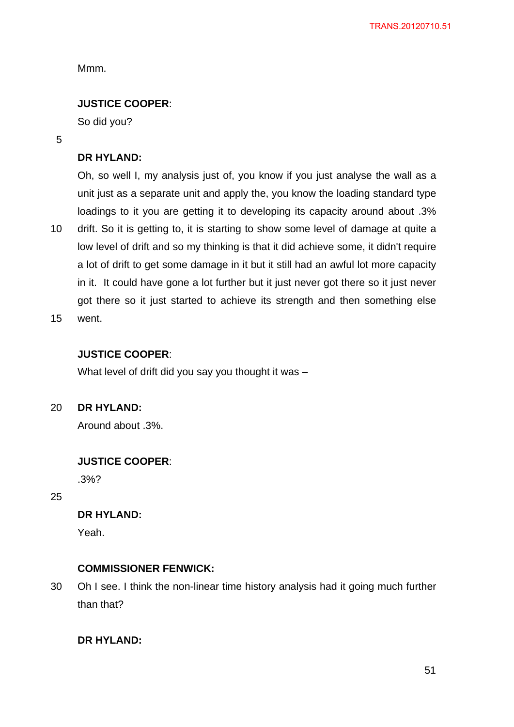Mmm.

## **JUSTICE COOPER**:

So did you?

5

### **DR HYLAND:**

10 Oh, so well I, my analysis just of, you know if you just analyse the wall as a unit just as a separate unit and apply the, you know the loading standard type loadings to it you are getting it to developing its capacity around about .3% drift. So it is getting to, it is starting to show some level of damage at quite a low level of drift and so my thinking is that it did achieve some, it didn't require a lot of drift to get some damage in it but it still had an awful lot more capacity in it. It could have gone a lot further but it just never got there so it just never got there so it just started to achieve its strength and then something else went

15

## **JUSTICE COOPER**:

What level of drift did you say you thought it was –

20 **DR HYLAND:**

Around about .3%.

### **JUSTICE COOPER**:

.3%?

25

## **DR HYLAND:**

Yeah.

### **COMMISSIONER FENWICK:**

30 Oh I see. I think the non-linear time history analysis had it going much further than that?

## **DR HYLAND:**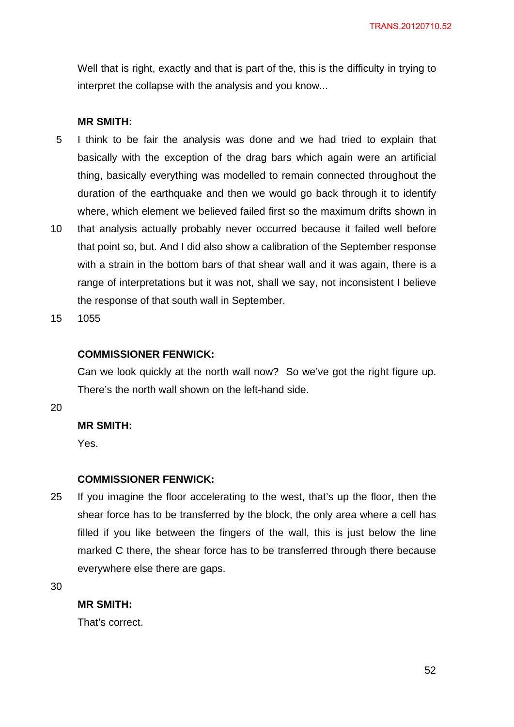Well that is right, exactly and that is part of the, this is the difficulty in trying to interpret the collapse with the analysis and you know...

#### **MR SMITH:**

- 5 I think to be fair the analysis was done and we had tried to explain that basically with the exception of the drag bars which again were an artificial thing, basically everything was modelled to remain connected throughout the duration of the earthquake and then we would go back through it to identify where, which element we believed failed first so the maximum drifts shown in
- 10 that analysis actually probably never occurred because it failed well before that point so, but. And I did also show a calibration of the September response with a strain in the bottom bars of that shear wall and it was again, there is a range of interpretations but it was not, shall we say, not inconsistent I believe the response of that south wall in September.
- 15 1055

#### **COMMISSIONER FENWICK:**

Can we look quickly at the north wall now? So we've got the right figure up. There's the north wall shown on the left-hand side.

20

### **MR SMITH:**

Yes.

#### **COMMISSIONER FENWICK:**

25 If you imagine the floor accelerating to the west, that's up the floor, then the shear force has to be transferred by the block, the only area where a cell has filled if you like between the fingers of the wall, this is just below the line marked C there, the shear force has to be transferred through there because everywhere else there are gaps.

30

#### **MR SMITH:**

That's correct.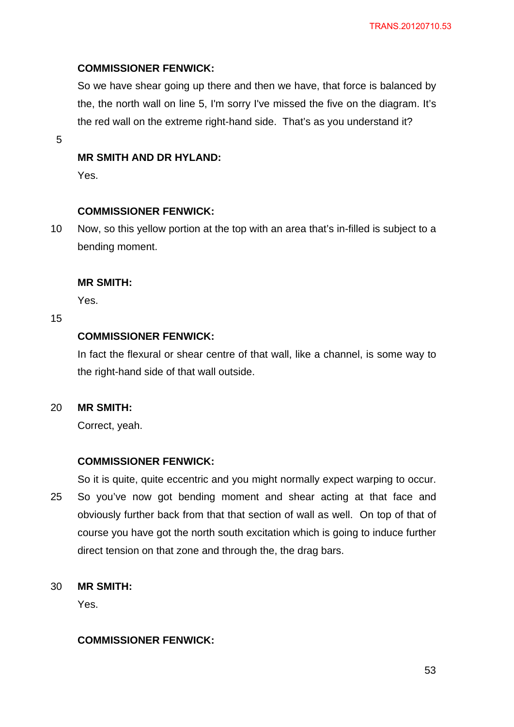## **COMMISSIONER FENWICK:**

So we have shear going up there and then we have, that force is balanced by the, the north wall on line 5, I'm sorry I've missed the five on the diagram. It's the red wall on the extreme right-hand side. That's as you understand it?

5

## **MR SMITH AND DR HYLAND:**

Yes.

### **COMMISSIONER FENWICK:**

10 Now, so this yellow portion at the top with an area that's in-filled is subject to a bending moment.

### **MR SMITH:**

Yes.

15

## **COMMISSIONER FENWICK:**

In fact the flexural or shear centre of that wall, like a channel, is some way to the right-hand side of that wall outside.

#### 20 **MR SMITH:**

Correct, yeah.

### **COMMISSIONER FENWICK:**

25 So it is quite, quite eccentric and you might normally expect warping to occur. So you've now got bending moment and shear acting at that face and obviously further back from that that section of wall as well. On top of that of course you have got the north south excitation which is going to induce further

direct tension on that zone and through the, the drag bars.

#### 30 **MR SMITH:**

Yes.

## **COMMISSIONER FENWICK:**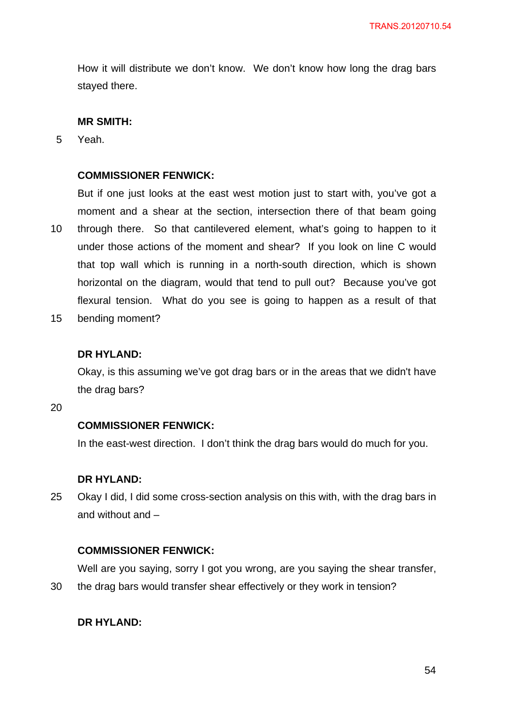How it will distribute we don't know. We don't know how long the drag bars stayed there.

## **MR SMITH:**

5 Yeah.

## **COMMISSIONER FENWICK:**

10 But if one just looks at the east west motion just to start with, you've got a moment and a shear at the section, intersection there of that beam going through there. So that cantilevered element, what's going to happen to it under those actions of the moment and shear? If you look on line C would that top wall which is running in a north-south direction, which is shown horizontal on the diagram, would that tend to pull out? Because you've got flexural tension. What do you see is going to happen as a result of that

15 bending moment?

### **DR HYLAND:**

Okay, is this assuming we've got drag bars or in the areas that we didn't have the drag bars?

20

#### **COMMISSIONER FENWICK:**

In the east-west direction. I don't think the drag bars would do much for you.

#### **DR HYLAND:**

25 Okay I did, I did some cross-section analysis on this with, with the drag bars in and without and –

### **COMMISSIONER FENWICK:**

Well are you saying, sorry I got you wrong, are you saying the shear transfer,

30 the drag bars would transfer shear effectively or they work in tension?

### **DR HYLAND:**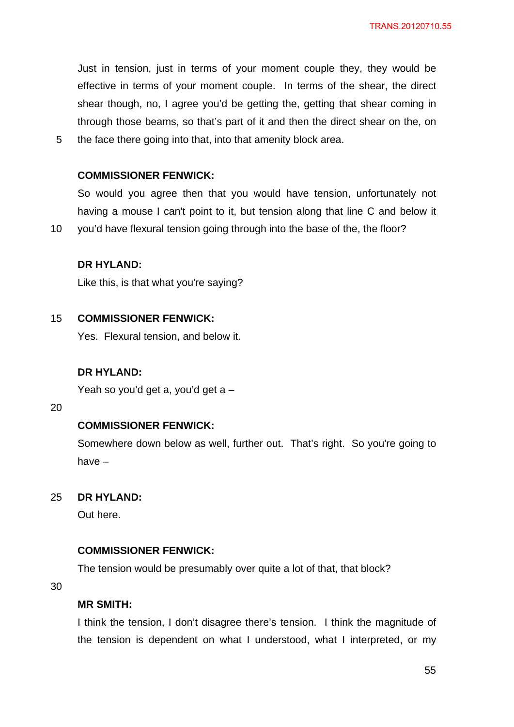Just in tension, just in terms of your moment couple they, they would be effective in terms of your moment couple. In terms of the shear, the direct shear though, no, I agree you'd be getting the, getting that shear coming in through those beams, so that's part of it and then the direct shear on the, on the face there going into that, into that amenity block area.

### **COMMISSIONER FENWICK:**

So would you agree then that you would have tension, unfortunately not having a mouse I can't point to it, but tension along that line C and below it

10 you'd have flexural tension going through into the base of the, the floor?

### **DR HYLAND:**

Like this, is that what you're saying?

#### 15 **COMMISSIONER FENWICK:**

Yes. Flexural tension, and below it.

#### **DR HYLAND:**

Yeah so you'd get a, you'd get a –

### 20

5

#### **COMMISSIONER FENWICK:**

Somewhere down below as well, further out. That's right. So you're going to have –

#### 25 **DR HYLAND:**

Out here.

#### **COMMISSIONER FENWICK:**

The tension would be presumably over quite a lot of that, that block?

30

#### **MR SMITH:**

I think the tension, I don't disagree there's tension. I think the magnitude of the tension is dependent on what I understood, what I interpreted, or my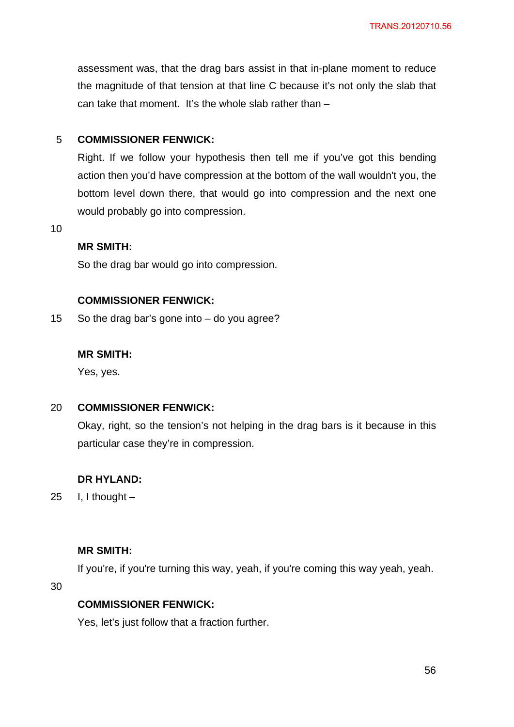assessment was, that the drag bars assist in that in-plane moment to reduce the magnitude of that tension at that line C because it's not only the slab that can take that moment. It's the whole slab rather than –

#### 5 **COMMISSIONER FENWICK:**

Right. If we follow your hypothesis then tell me if you've got this bending action then you'd have compression at the bottom of the wall wouldn't you, the bottom level down there, that would go into compression and the next one would probably go into compression.

10

## **MR SMITH:**

So the drag bar would go into compression.

### **COMMISSIONER FENWICK:**

15 So the drag bar's gone into – do you agree?

### **MR SMITH:**

Yes, yes.

#### 20 **COMMISSIONER FENWICK:**

Okay, right, so the tension's not helping in the drag bars is it because in this particular case they're in compression.

#### **DR HYLAND:**

25 I. I thought  $-$ 

### **MR SMITH:**

If you're, if you're turning this way, yeah, if you're coming this way yeah, yeah.

30

### **COMMISSIONER FENWICK:**

Yes, let's just follow that a fraction further.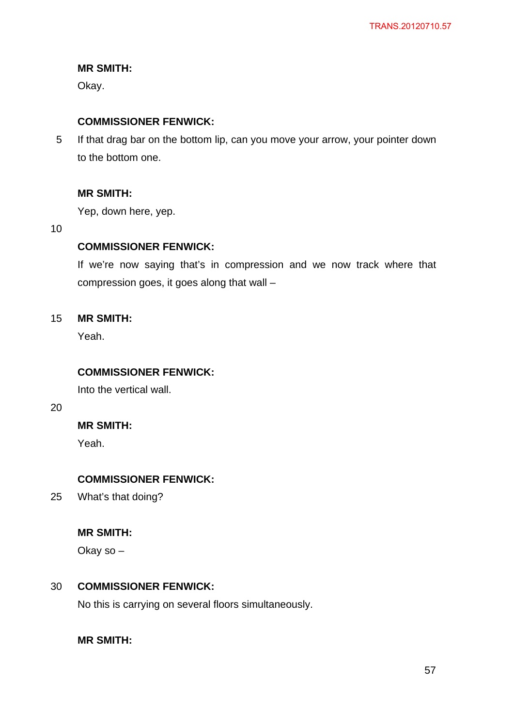## **MR SMITH:**

Okay.

## **COMMISSIONER FENWICK:**

5 If that drag bar on the bottom lip, can you move your arrow, your pointer down to the bottom one.

## **MR SMITH:**

Yep, down here, yep.

10

## **COMMISSIONER FENWICK:**

If we're now saying that's in compression and we now track where that compression goes, it goes along that wall –

#### 15 **MR SMITH:**

Yeah.

## **COMMISSIONER FENWICK:**

Into the vertical wall.

20

## **MR SMITH:**

Yeah.

## **COMMISSIONER FENWICK:**

25 What's that doing?

## **MR SMITH:**

Okay so –

#### 30 **COMMISSIONER FENWICK:**

No this is carrying on several floors simultaneously.

**MR SMITH:**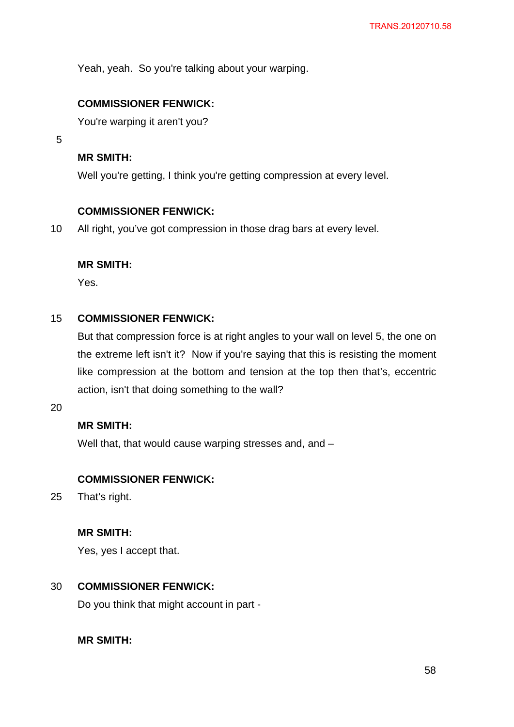Yeah, yeah. So you're talking about your warping.

## **COMMISSIONER FENWICK:**

You're warping it aren't you?

5

## **MR SMITH:**

Well you're getting, I think you're getting compression at every level.

## **COMMISSIONER FENWICK:**

10 All right, you've got compression in those drag bars at every level.

### **MR SMITH:**

Yes.

#### 15 **COMMISSIONER FENWICK:**

But that compression force is at right angles to your wall on level 5, the one on the extreme left isn't it? Now if you're saying that this is resisting the moment like compression at the bottom and tension at the top then that's, eccentric action, isn't that doing something to the wall?

20

## **MR SMITH:**

Well that, that would cause warping stresses and, and -

## **COMMISSIONER FENWICK:**

25 That's right.

### **MR SMITH:**

Yes, yes I accept that.

#### 30 **COMMISSIONER FENWICK:**

Do you think that might account in part -

## **MR SMITH:**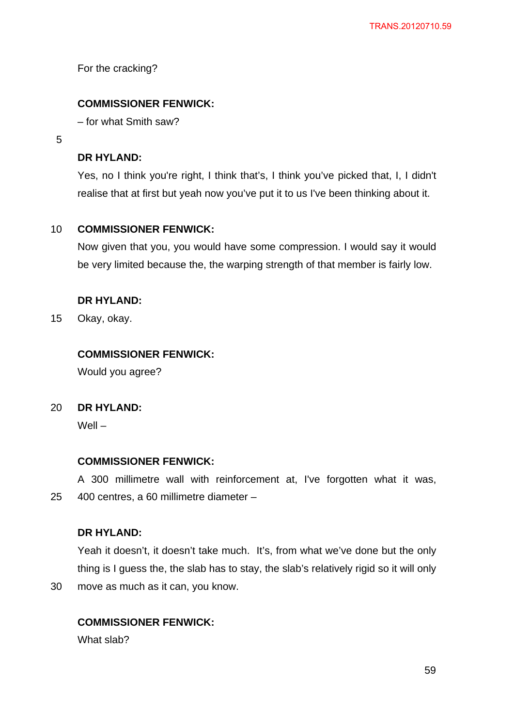For the cracking?

## **COMMISSIONER FENWICK:**

– for what Smith saw?

5

### **DR HYLAND:**

Yes, no I think you're right, I think that's, I think you've picked that, I, I didn't realise that at first but yeah now you've put it to us I've been thinking about it.

#### 10 **COMMISSIONER FENWICK:**

Now given that you, you would have some compression. I would say it would be very limited because the, the warping strength of that member is fairly low.

### **DR HYLAND:**

15 Okay, okay.

## **COMMISSIONER FENWICK:**

Would you agree?

#### $20<sub>2</sub>$ **DR HYLAND:**

Well –

### **COMMISSIONER FENWICK:**

25 A 300 millimetre wall with reinforcement at, I've forgotten what it was, 400 centres, a 60 millimetre diameter –

### **DR HYLAND:**

Yeah it doesn't, it doesn't take much. It's, from what we've done but the only thing is I guess the, the slab has to stay, the slab's relatively rigid so it will only

30 move as much as it can, you know.

### **COMMISSIONER FENWICK:**

What slab?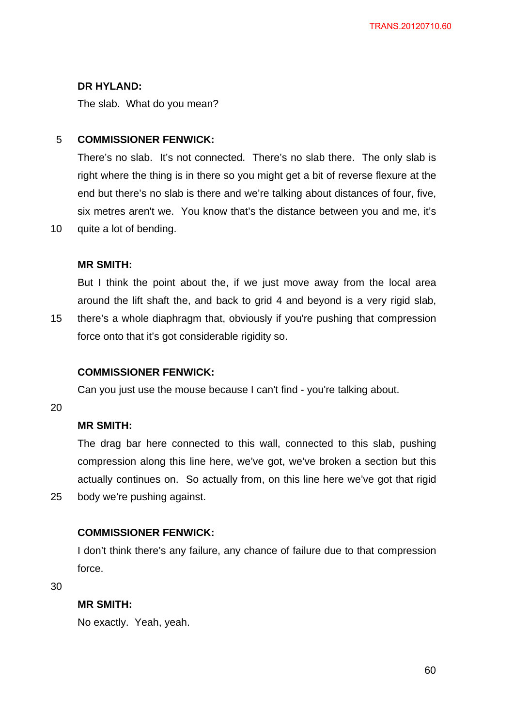## **DR HYLAND:**

The slab. What do you mean?

#### 5 **COMMISSIONER FENWICK:**

There's no slab. It's not connected. There's no slab there. The only slab is right where the thing is in there so you might get a bit of reverse flexure at the end but there's no slab is there and we're talking about distances of four, five, six metres aren't we. You know that's the distance between you and me, it's quite a lot of bending.

## **MR SMITH:**

But I think the point about the, if we just move away from the local area around the lift shaft the, and back to grid 4 and beyond is a very rigid slab,

15 there's a whole diaphragm that, obviously if you're pushing that compression force onto that it's got considerable rigidity so.

## **COMMISSIONER FENWICK:**

Can you just use the mouse because I can't find - you're talking about.

20

25

10

## **MR SMITH:**

The drag bar here connected to this wall, connected to this slab, pushing compression along this line here, we've got, we've broken a section but this actually continues on. So actually from, on this line here we've got that rigid body we're pushing against.

## **COMMISSIONER FENWICK:**

I don't think there's any failure, any chance of failure due to that compression force.

30

## **MR SMITH:**

No exactly. Yeah, yeah.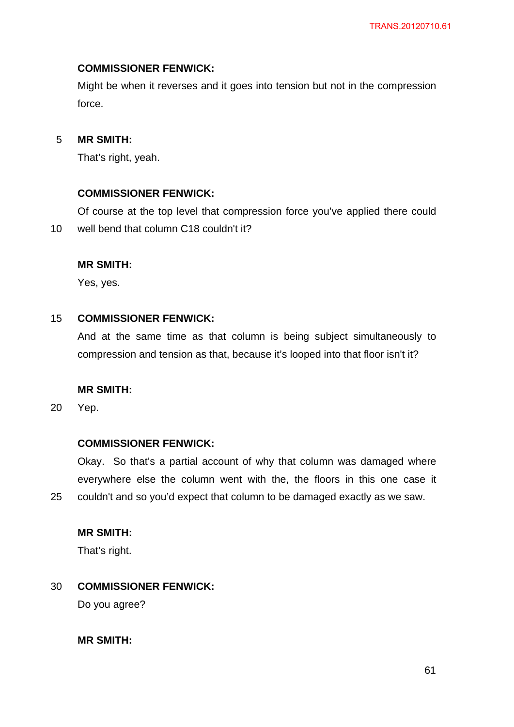## **COMMISSIONER FENWICK:**

Might be when it reverses and it goes into tension but not in the compression force.

#### 5 **MR SMITH:**

That's right, yeah.

### **COMMISSIONER FENWICK:**

10 Of course at the top level that compression force you've applied there could well bend that column C18 couldn't it?

### **MR SMITH:**

Yes, yes.

#### 15 **COMMISSIONER FENWICK:**

And at the same time as that column is being subject simultaneously to compression and tension as that, because it's looped into that floor isn't it?

#### **MR SMITH:**

20 Yep.

25

#### **COMMISSIONER FENWICK:**

Okay. So that's a partial account of why that column was damaged where everywhere else the column went with the, the floors in this one case it couldn't and so you'd expect that column to be damaged exactly as we saw.

## **MR SMITH:**

That's right.

#### 30 **COMMISSIONER FENWICK:**

Do you agree?

**MR SMITH:**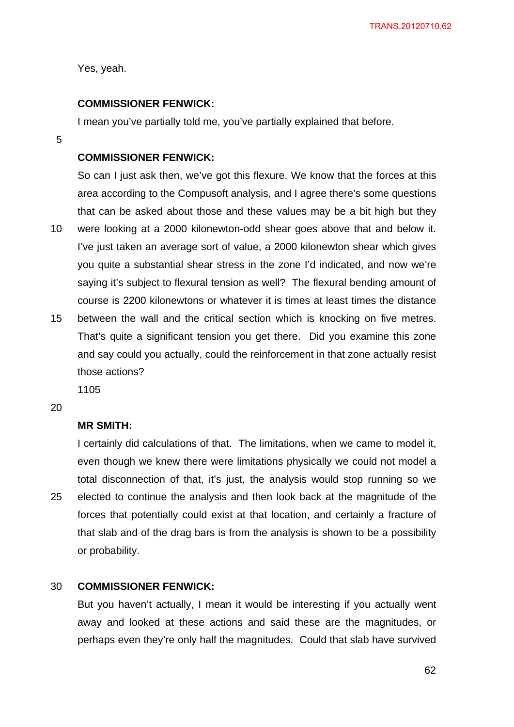Yes, yeah.

## **COMMISSIONER FENWICK:**

I mean you've partially told me, you've partially explained that before.

5

## **COMMISSIONER FENWICK:**

10 So can I just ask then, we've got this flexure. We know that the forces at this area according to the Compusoft analysis, and I agree there's some questions that can be asked about those and these values may be a bit high but they were looking at a 2000 kilonewton-odd shear goes above that and below it. I've just taken an average sort of value, a 2000 kilonewton shear which gives you quite a substantial shear stress in the zone I'd indicated, and now we're saying it's subject to flexural tension as well? The flexural bending amount of course is 2200 kilonewtons or whatever it is times at least times the distance

15 between the wall and the critical section which is knocking on five metres. That's quite a significant tension you get there. Did you examine this zone and say could you actually, could the reinforcement in that zone actually resist those actions?

1105

20

## **MR SMITH:**

25 I certainly did calculations of that. The limitations, when we came to model it, even though we knew there were limitations physically we could not model a total disconnection of that, it's just, the analysis would stop running so we elected to continue the analysis and then look back at the magnitude of the forces that potentially could exist at that location, and certainly a fracture of that slab and of the drag bars is from the analysis is shown to be a possibility or probability.

#### 30 **COMMISSIONER FENWICK:**

But you haven't actually, I mean it would be interesting if you actually went away and looked at these actions and said these are the magnitudes, or perhaps even they're only half the magnitudes. Could that slab have survived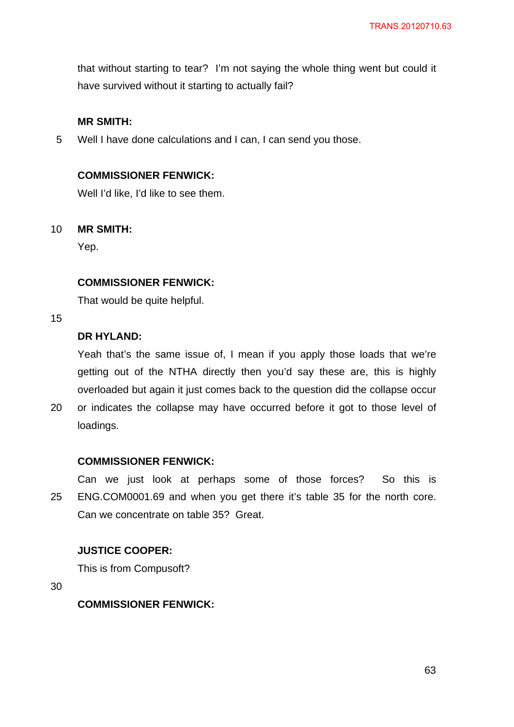that without starting to tear? I'm not saying the whole thing went but could it have survived without it starting to actually fail?

### **MR SMITH:**

5 Well I have done calculations and I can, I can send you those.

## **COMMISSIONER FENWICK:**

Well I'd like, I'd like to see them.

#### 10 **MR SMITH:**

Yep.

### **COMMISSIONER FENWICK:**

That would be quite helpful.

15

## **DR HYLAND:**

Yeah that's the same issue of, I mean if you apply those loads that we're getting out of the NTHA directly then you'd say these are, this is highly overloaded but again it just comes back to the question did the collapse occur

20 or indicates the collapse may have occurred before it got to those level of loadings.

### **COMMISSIONER FENWICK:**

25 Can we just look at perhaps some of those forces? So this is ENG.COM0001.69 and when you get there it's table 35 for the north core. Can we concentrate on table 35? Great.

## **JUSTICE COOPER:**

This is from Compusoft?

30

**COMMISSIONER FENWICK:**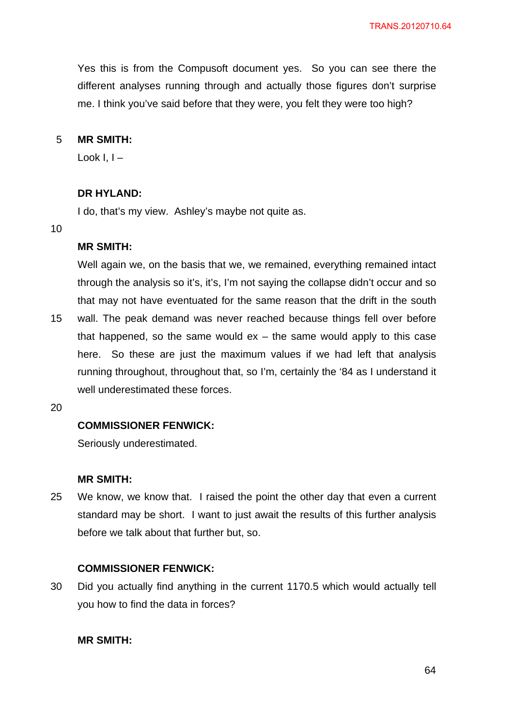Yes this is from the Compusoft document yes. So you can see there the different analyses running through and actually those figures don't surprise me. I think you've said before that they were, you felt they were too high?

#### 5 **MR SMITH:**

Look  $I -$ 

## **DR HYLAND:**

I do, that's my view. Ashley's maybe not quite as.

#### 10

### **MR SMITH:**

Well again we, on the basis that we, we remained, everything remained intact through the analysis so it's, it's, I'm not saying the collapse didn't occur and so that may not have eventuated for the same reason that the drift in the south wall. The peak demand was never reached because things fell over before

15 that happened, so the same would  $ex - the same would apply to this case$ here. So these are just the maximum values if we had left that analysis running throughout, throughout that, so I'm, certainly the '84 as I understand it well underestimated these forces.

20

### **COMMISSIONER FENWICK:**

Seriously underestimated.

### **MR SMITH:**

25 We know, we know that. I raised the point the other day that even a current standard may be short. I want to just await the results of this further analysis before we talk about that further but, so.

### **COMMISSIONER FENWICK:**

30 Did you actually find anything in the current 1170.5 which would actually tell you how to find the data in forces?

### **MR SMITH:**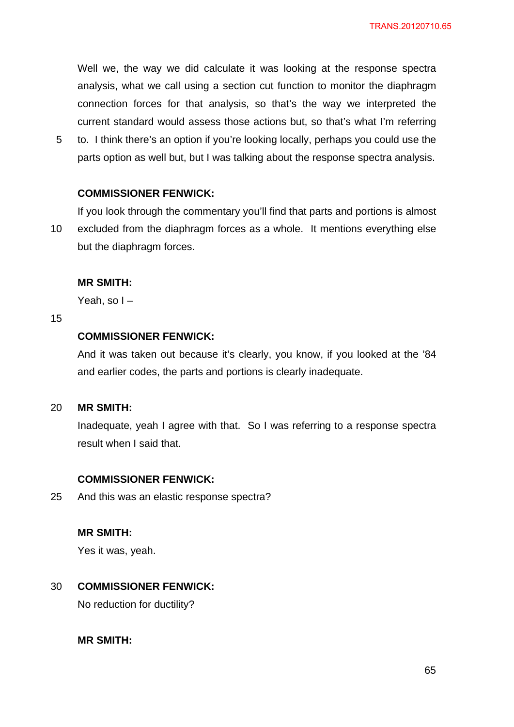Well we, the way we did calculate it was looking at the response spectra analysis, what we call using a section cut function to monitor the diaphragm connection forces for that analysis, so that's the way we interpreted the current standard would assess those actions but, so that's what I'm referring

5 to. I think there's an option if you're looking locally, perhaps you could use the parts option as well but, but I was talking about the response spectra analysis.

### **COMMISSIONER FENWICK:**

10 If you look through the commentary you'll find that parts and portions is almost excluded from the diaphragm forces as a whole. It mentions everything else but the diaphragm forces.

#### **MR SMITH:**

Yeah, so I –

#### 15

## **COMMISSIONER FENWICK:**

And it was taken out because it's clearly, you know, if you looked at the '84 and earlier codes, the parts and portions is clearly inadequate.

#### 20 **MR SMITH:**

Inadequate, yeah I agree with that. So I was referring to a response spectra result when I said that.

#### **COMMISSIONER FENWICK:**

25 And this was an elastic response spectra?

#### **MR SMITH:**

Yes it was, yeah.

#### 30 **COMMISSIONER FENWICK:**

No reduction for ductility?

### **MR SMITH:**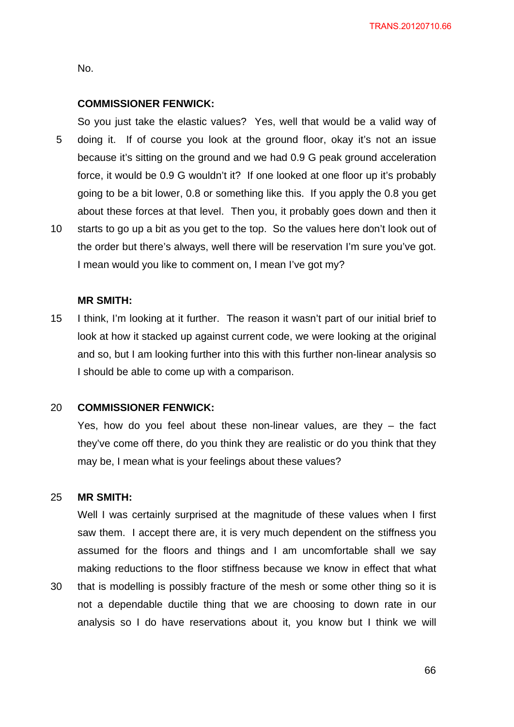TRANS.20120710.66

No.

#### **COMMISSIONER FENWICK:**

5 10 So you just take the elastic values? Yes, well that would be a valid way of doing it. If of course you look at the ground floor, okay it's not an issue because it's sitting on the ground and we had 0.9 G peak ground acceleration force, it would be 0.9 G wouldn't it? If one looked at one floor up it's probably going to be a bit lower, 0.8 or something like this. If you apply the 0.8 you get about these forces at that level. Then you, it probably goes down and then it starts to go up a bit as you get to the top. So the values here don't look out of

the order but there's always, well there will be reservation I'm sure you've got. I mean would you like to comment on, I mean I've got my?

## **MR SMITH:**

15 I think, I'm looking at it further. The reason it wasn't part of our initial brief to look at how it stacked up against current code, we were looking at the original and so, but I am looking further into this with this further non-linear analysis so I should be able to come up with a comparison.

#### 20 **COMMISSIONER FENWICK:**

Yes, how do you feel about these non-linear values, are they – the fact they've come off there, do you think they are realistic or do you think that they may be, I mean what is your feelings about these values?

#### 25 **MR SMITH:**

Well I was certainly surprised at the magnitude of these values when I first saw them. I accept there are, it is very much dependent on the stiffness you assumed for the floors and things and I am uncomfortable shall we say making reductions to the floor stiffness because we know in effect that what

30 that is modelling is possibly fracture of the mesh or some other thing so it is not a dependable ductile thing that we are choosing to down rate in our analysis so I do have reservations about it, you know but I think we will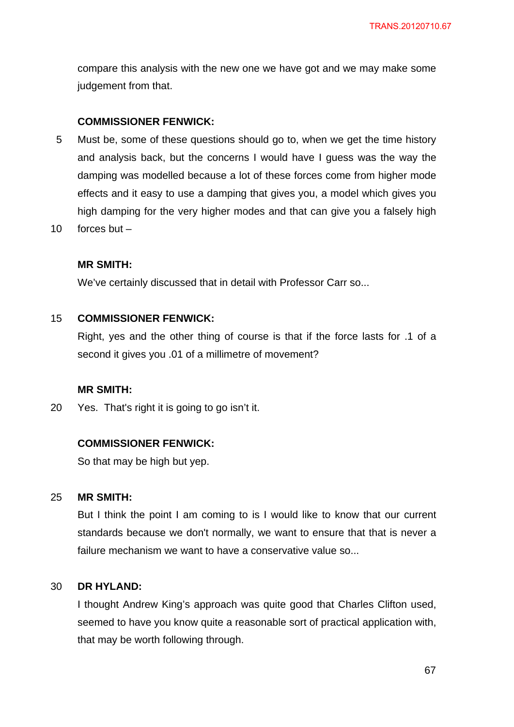compare this analysis with the new one we have got and we may make some judgement from that.

#### **COMMISSIONER FENWICK:**

- 5 Must be, some of these questions should go to, when we get the time history and analysis back, but the concerns I would have I guess was the way the damping was modelled because a lot of these forces come from higher mode effects and it easy to use a damping that gives you, a model which gives you high damping for the very higher modes and that can give you a falsely high
- 10 forces but –

### **MR SMITH:**

We've certainly discussed that in detail with Professor Carr so...

#### 15 **COMMISSIONER FENWICK:**

Right, yes and the other thing of course is that if the force lasts for .1 of a second it gives you .01 of a millimetre of movement?

### **MR SMITH:**

20 Yes. That's right it is going to go isn't it.

### **COMMISSIONER FENWICK:**

So that may be high but yep.

#### 25 **MR SMITH:**

But I think the point I am coming to is I would like to know that our current standards because we don't normally, we want to ensure that that is never a failure mechanism we want to have a conservative value so...

#### 30 **DR HYLAND:**

I thought Andrew King's approach was quite good that Charles Clifton used, seemed to have you know quite a reasonable sort of practical application with, that may be worth following through.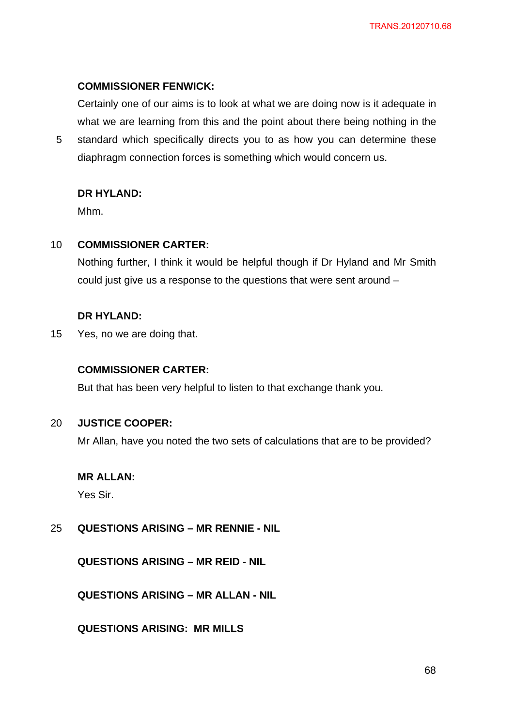#### **COMMISSIONER FENWICK:**

Certainly one of our aims is to look at what we are doing now is it adequate in what we are learning from this and the point about there being nothing in the

5 standard which specifically directs you to as how you can determine these diaphragm connection forces is something which would concern us.

#### **DR HYLAND:**

Mhm.

#### 10 **COMMISSIONER CARTER:**

Nothing further, I think it would be helpful though if Dr Hyland and Mr Smith could just give us a response to the questions that were sent around –

#### **DR HYLAND:**

15 Yes, no we are doing that.

### **COMMISSIONER CARTER:**

But that has been very helpful to listen to that exchange thank you.

#### 20 **JUSTICE COOPER:**

Mr Allan, have you noted the two sets of calculations that are to be provided?

#### **MR ALLAN:**

Yes Sir.

#### 25 **QUESTIONS ARISING – MR RENNIE - NIL**

**QUESTIONS ARISING – MR REID - NIL** 

**QUESTIONS ARISING – MR ALLAN - NIL** 

**QUESTIONS ARISING: MR MILLS**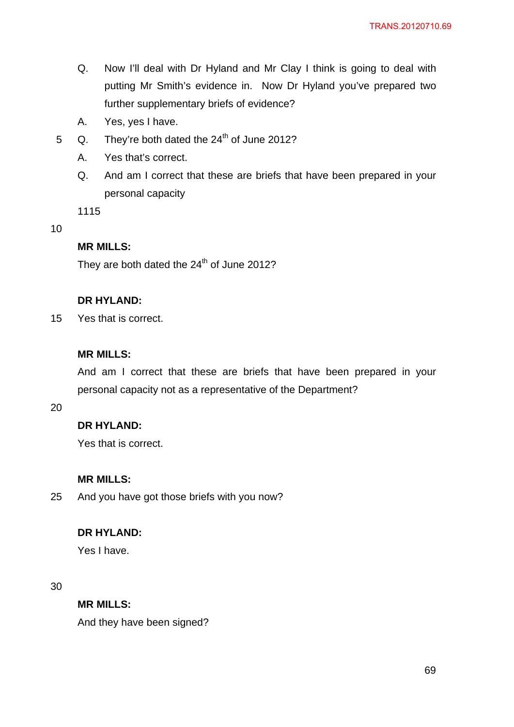- Q. Now I'll deal with Dr Hyland and Mr Clay I think is going to deal with putting Mr Smith's evidence in. Now Dr Hyland you've prepared two further supplementary briefs of evidence?
- A. Yes, yes I have.
- 5  $Q.$  They're both dated the 24<sup>th</sup> of June 2012?
	- A. Yes that's correct.
	- Q. And am I correct that these are briefs that have been prepared in your personal capacity

1115

#### 10

## **MR MILLS:**

They are both dated the  $24<sup>th</sup>$  of June 2012?

### **DR HYLAND:**

15 Yes that is correct.

## **MR MILLS:**

And am I correct that these are briefs that have been prepared in your personal capacity not as a representative of the Department?

20

## **DR HYLAND:**

Yes that is correct.

## **MR MILLS:**

25 And you have got those briefs with you now?

#### **DR HYLAND:**

Yes I have.

30

## **MR MILLS:**

And they have been signed?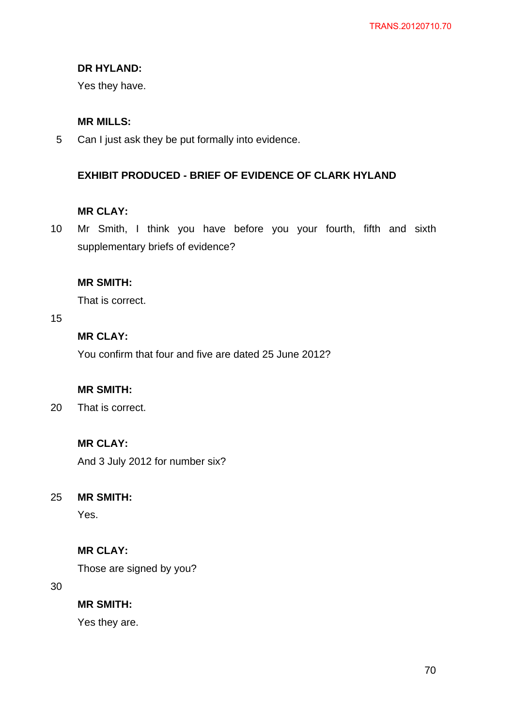## **DR HYLAND:**

Yes they have.

## **MR MILLS:**

5 Can I just ask they be put formally into evidence.

## **EXHIBIT PRODUCED - BRIEF OF EVIDENCE OF CLARK HYLAND**

## **MR CLAY:**

10 Mr Smith, I think you have before you your fourth, fifth and sixth supplementary briefs of evidence?

### **MR SMITH:**

That is correct.

15

## **MR CLAY:**

You confirm that four and five are dated 25 June 2012?

## **MR SMITH:**

20 That is correct.

## **MR CLAY:**

And 3 July 2012 for number six?

#### 25 **MR SMITH:**

Yes.

## **MR CLAY:**

Those are signed by you?

30

**MR SMITH:** 

Yes they are.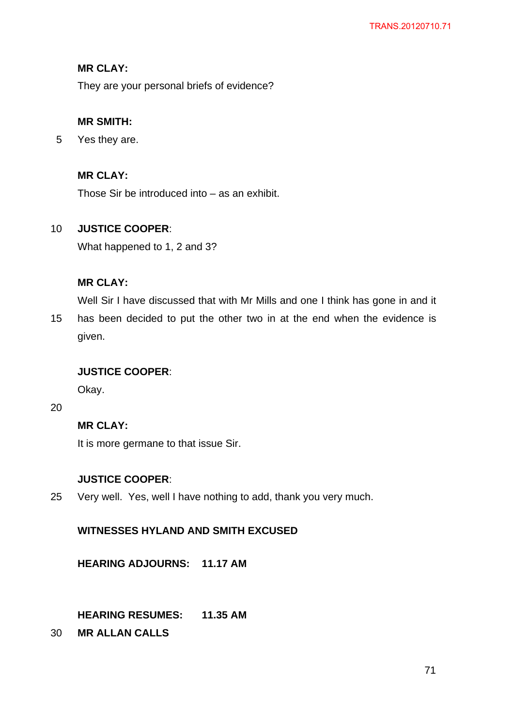## **MR CLAY:**

They are your personal briefs of evidence?

## **MR SMITH:**

5 Yes they are.

## **MR CLAY:**

Those Sir be introduced into – as an exhibit.

#### 10 **JUSTICE COOPER**:

What happened to 1, 2 and 3?

## **MR CLAY:**

Well Sir I have discussed that with Mr Mills and one I think has gone in and it

15 has been decided to put the other two in at the end when the evidence is given.

## **JUSTICE COOPER**:

Okay.

20

## **MR CLAY:**

It is more germane to that issue Sir.

## **JUSTICE COOPER**:

25 Very well. Yes, well I have nothing to add, thank you very much.

## **WITNESSES HYLAND AND SMITH EXCUSED**

**HEARING ADJOURNS: 11.17 AM** 

## **HEARING RESUMES: 11.35 AM**

30 **MR ALLAN CALLS**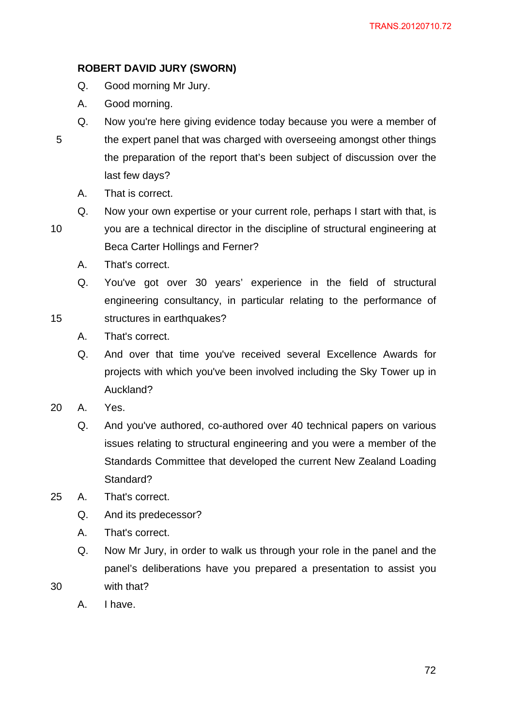## **ROBERT DAVID JURY (SWORN)**

- Q. Good morning Mr Jury.
- A. Good morning.
- 5 Q. Now you're here giving evidence today because you were a member of the expert panel that was charged with overseeing amongst other things the preparation of the report that's been subject of discussion over the last few days?
	- A. That is correct.
	- Q. Now your own expertise or your current role, perhaps I start with that, is

10

15

you are a technical director in the discipline of structural engineering at Beca Carter Hollings and Ferner?

- A. That's correct.
- Q. You've got over 30 years' experience in the field of structural engineering consultancy, in particular relating to the performance of structures in earthquakes?
- A. That's correct.
- Q. And over that time you've received several Excellence Awards for projects with which you've been involved including the Sky Tower up in Auckland?
- 20 A. Yes.
	- Q. And you've authored, co-authored over 40 technical papers on various issues relating to structural engineering and you were a member of the Standards Committee that developed the current New Zealand Loading Standard?
- 25 A. That's correct.
	- Q. And its predecessor?
	- A. That's correct.
	- Q. Now Mr Jury, in order to walk us through your role in the panel and the panel's deliberations have you prepared a presentation to assist you with that?
	- A. I have.

30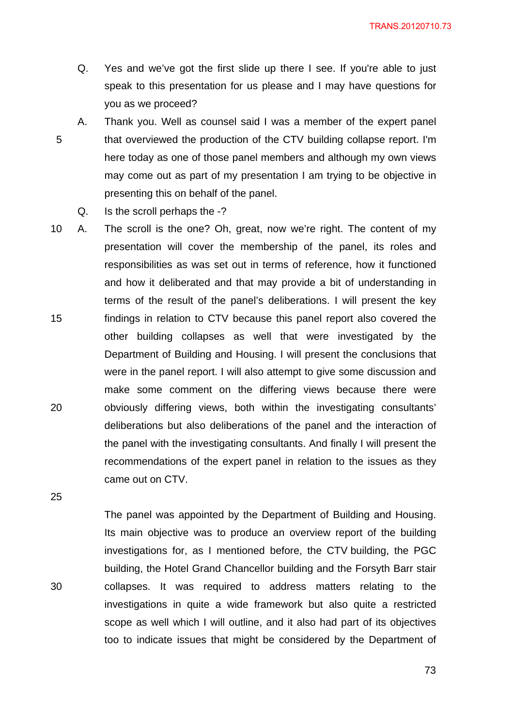TRANS.20120710.73

- Q. Yes and we've got the first slide up there I see. If you're able to just speak to this presentation for us please and I may have questions for you as we proceed?
- 5 A. Thank you. Well as counsel said I was a member of the expert panel that overviewed the production of the CTV building collapse report. I'm here today as one of those panel members and although my own views may come out as part of my presentation I am trying to be objective in presenting this on behalf of the panel.
	- Q. Is the scroll perhaps the -?
- 15 20 10 A. The scroll is the one? Oh, great, now we're right. The content of my presentation will cover the membership of the panel, its roles and responsibilities as was set out in terms of reference, how it functioned and how it deliberated and that may provide a bit of understanding in terms of the result of the panel's deliberations. I will present the key findings in relation to CTV because this panel report also covered the other building collapses as well that were investigated by the Department of Building and Housing. I will present the conclusions that were in the panel report. I will also attempt to give some discussion and make some comment on the differing views because there were obviously differing views, both within the investigating consultants' deliberations but also deliberations of the panel and the interaction of the panel with the investigating consultants. And finally I will present the recommendations of the expert panel in relation to the issues as they came out on CTV.

25

30

The panel was appointed by the Department of Building and Housing. Its main objective was to produce an overview report of the building investigations for, as I mentioned before, the CTV building, the PGC building, the Hotel Grand Chancellor building and the Forsyth Barr stair collapses. It was required to address matters relating to the investigations in quite a wide framework but also quite a restricted scope as well which I will outline, and it also had part of its objectives too to indicate issues that might be considered by the Department of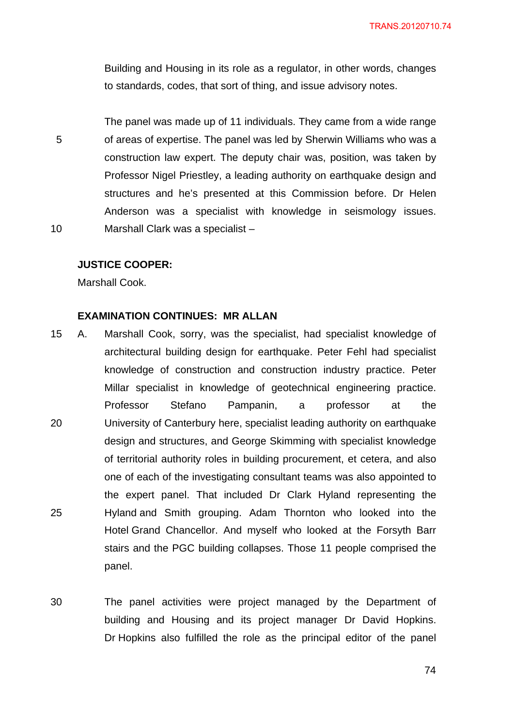Building and Housing in its role as a regulator, in other words, changes to standards, codes, that sort of thing, and issue advisory notes.

5 10 The panel was made up of 11 individuals. They came from a wide range of areas of expertise. The panel was led by Sherwin Williams who was a construction law expert. The deputy chair was, position, was taken by Professor Nigel Priestley, a leading authority on earthquake design and structures and he's presented at this Commission before. Dr Helen Anderson was a specialist with knowledge in seismology issues. Marshall Clark was a specialist –

#### **JUSTICE COOPER:**

Marshall Cook.

## **EXAMINATION CONTINUES: MR ALLAN**

- 20 25 15 A. Marshall Cook, sorry, was the specialist, had specialist knowledge of architectural building design for earthquake. Peter Fehl had specialist knowledge of construction and construction industry practice. Peter Millar specialist in knowledge of geotechnical engineering practice. Professor Stefano Pampanin, a professor at the University of Canterbury here, specialist leading authority on earthquake design and structures, and George Skimming with specialist knowledge of territorial authority roles in building procurement, et cetera, and also one of each of the investigating consultant teams was also appointed to the expert panel. That included Dr Clark Hyland representing the Hyland and Smith grouping. Adam Thornton who looked into the Hotel Grand Chancellor. And myself who looked at the Forsyth Barr stairs and the PGC building collapses. Those 11 people comprised the panel.
- 30 The panel activities were project managed by the Department of building and Housing and its project manager Dr David Hopkins. Dr Hopkins also fulfilled the role as the principal editor of the panel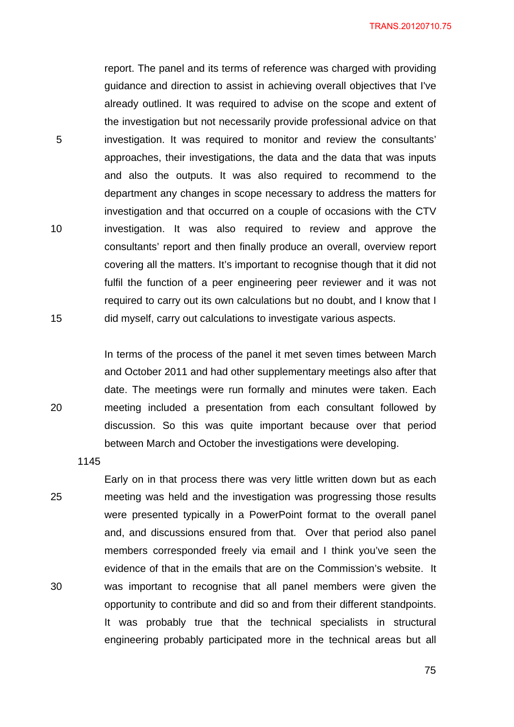TRANS.20120710.75

report. The panel and its terms of reference was charged with providing guidance and direction to assist in achieving overall objectives that I've already outlined. It was required to advise on the scope and extent of the investigation but not necessarily provide professional advice on that investigation. It was required to monitor and review the consultants' approaches, their investigations, the data and the data that was inputs and also the outputs. It was also required to recommend to the department any changes in scope necessary to address the matters for investigation and that occurred on a couple of occasions with the CTV investigation. It was also required to review and approve the consultants' report and then finally produce an overall, overview report covering all the matters. It's important to recognise though that it did not fulfil the function of a peer engineering peer reviewer and it was not required to carry out its own calculations but no doubt, and I know that I did myself, carry out calculations to investigate various aspects.

In terms of the process of the panel it met seven times between March and October 2011 and had other supplementary meetings also after that date. The meetings were run formally and minutes were taken. Each meeting included a presentation from each consultant followed by discussion. So this was quite important because over that period between March and October the investigations were developing.

1145

5

10

15

20

25 30 Early on in that process there was very little written down but as each meeting was held and the investigation was progressing those results were presented typically in a PowerPoint format to the overall panel and, and discussions ensured from that. Over that period also panel members corresponded freely via email and I think you've seen the evidence of that in the emails that are on the Commission's website. It was important to recognise that all panel members were given the opportunity to contribute and did so and from their different standpoints. It was probably true that the technical specialists in structural engineering probably participated more in the technical areas but all

<u>75 and 2011 and 2012 and 2014 and 2014 and 2014 and 2014 and 2014 and 2014 and 2014 and 2014 and 2014 and 201</u>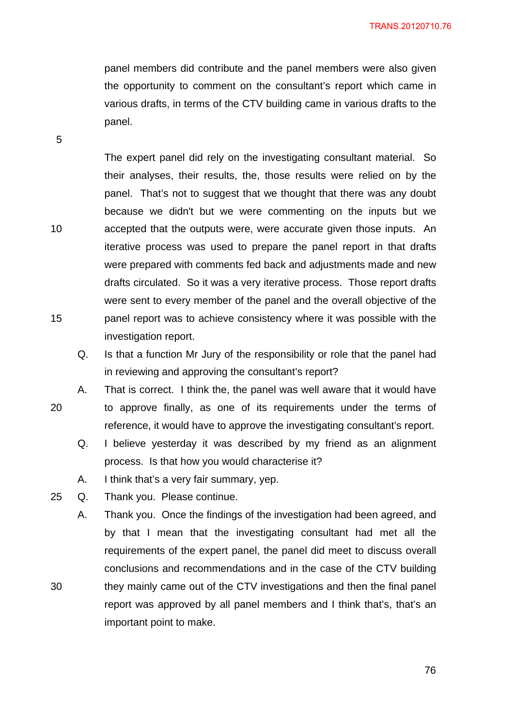panel members did contribute and the panel members were also given the opportunity to comment on the consultant's report which came in various drafts, in terms of the CTV building came in various drafts to the panel.

The expert panel did rely on the investigating consultant material. So their analyses, their results, the, those results were relied on by the panel. That's not to suggest that we thought that there was any doubt because we didn't but we were commenting on the inputs but we accepted that the outputs were, were accurate given those inputs. An iterative process was used to prepare the panel report in that drafts were prepared with comments fed back and adjustments made and new drafts circulated. So it was a very iterative process. Those report drafts were sent to every member of the panel and the overall objective of the panel report was to achieve consistency where it was possible with the investigation report.

- Q. Is that a function Mr Jury of the responsibility or role that the panel had in reviewing and approving the consultant's report?
- 20 A. That is correct. I think the, the panel was well aware that it would have to approve finally, as one of its requirements under the terms of reference, it would have to approve the investigating consultant's report.
	- Q. I believe yesterday it was described by my friend as an alignment process. Is that how you would characterise it?
	- A. I think that's a very fair summary, yep.
- 25 Q. Thank you. Please continue.
	- A. Thank you. Once the findings of the investigation had been agreed, and by that I mean that the investigating consultant had met all the requirements of the expert panel, the panel did meet to discuss overall conclusions and recommendations and in the case of the CTV building they mainly came out of the CTV investigations and then the final panel report was approved by all panel members and I think that's, that's an important point to make.

10

15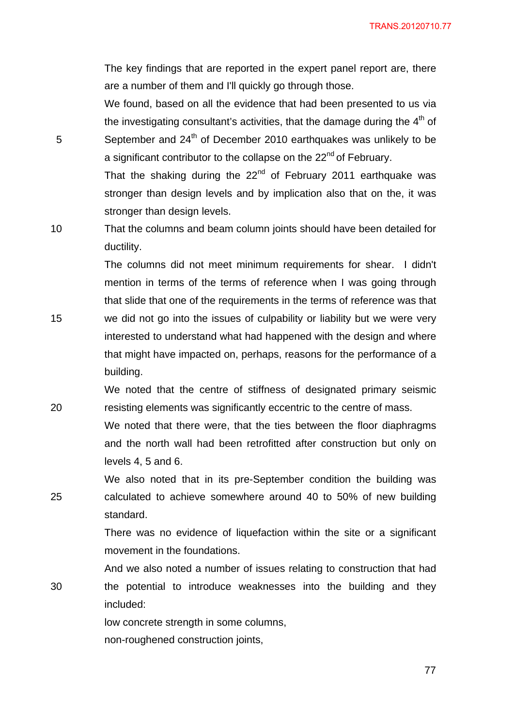The key findings that are reported in the expert panel report are, there are a number of them and I'll quickly go through those.

We found, based on all the evidence that had been presented to us via the investigating consultant's activities, that the damage during the  $4<sup>th</sup>$  of September and 24<sup>th</sup> of December 2010 earthquakes was unlikely to be a significant contributor to the collapse on the 22<sup>nd</sup> of February.

That the shaking during the  $22<sup>nd</sup>$  of February 2011 earthquake was stronger than design levels and by implication also that on the, it was stronger than design levels.

10 That the columns and beam column joints should have been detailed for ductility.

5

20

25

30

The columns did not meet minimum requirements for shear. I didn't mention in terms of the terms of reference when I was going through that slide that one of the requirements in the terms of reference was that

15 we did not go into the issues of culpability or liability but we were very interested to understand what had happened with the design and where that might have impacted on, perhaps, reasons for the performance of a building.

We noted that the centre of stiffness of designated primary seismic resisting elements was significantly eccentric to the centre of mass.

We noted that there were, that the ties between the floor diaphragms and the north wall had been retrofitted after construction but only on levels 4, 5 and 6.

We also noted that in its pre-September condition the building was calculated to achieve somewhere around 40 to 50% of new building standard.

There was no evidence of liquefaction within the site or a significant movement in the foundations.

And we also noted a number of issues relating to construction that had the potential to introduce weaknesses into the building and they included:

> low concrete strength in some columns, non-roughened construction joints,

> > <u>77 до село во п</u>редишни предишни предишни предишни предишни предишни предишни предишни предишни предишни преди<br>В 177 до село во предишни предишни предишни предишни предишни предишни предишни предишни предишни предишни пр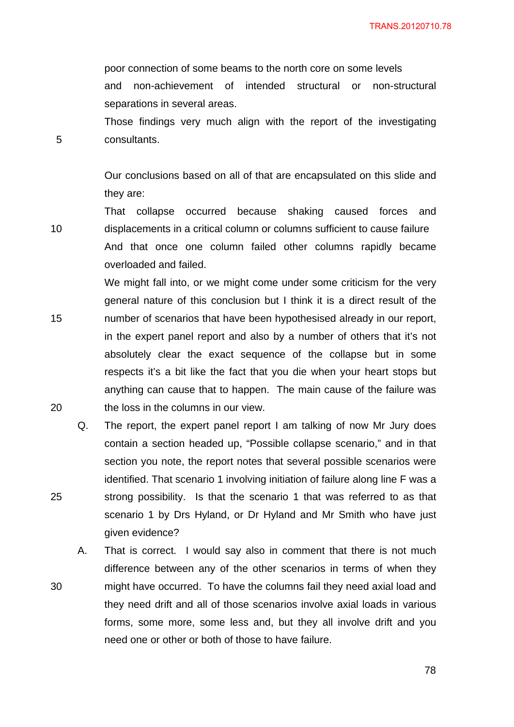poor connection of some beams to the north core on some levels and non-achievement of intended structural or non-structural separations in several areas.

Those findings very much align with the report of the investigating consultants.

Our conclusions based on all of that are encapsulated on this slide and they are:

That collapse occurred because shaking caused forces and displacements in a critical column or columns sufficient to cause failure And that once one column failed other columns rapidly became overloaded and failed.

We might fall into, or we might come under some criticism for the very general nature of this conclusion but I think it is a direct result of the number of scenarios that have been hypothesised already in our report, in the expert panel report and also by a number of others that it's not absolutely clear the exact sequence of the collapse but in some respects it's a bit like the fact that you die when your heart stops but anything can cause that to happen. The main cause of the failure was the loss in the columns in our view.

Q. The report, the expert panel report I am talking of now Mr Jury does contain a section headed up, "Possible collapse scenario," and in that section you note, the report notes that several possible scenarios were identified. That scenario 1 involving initiation of failure along line F was a strong possibility. Is that the scenario 1 that was referred to as that scenario 1 by Drs Hyland, or Dr Hyland and Mr Smith who have just given evidence?

A. That is correct. I would say also in comment that there is not much difference between any of the other scenarios in terms of when they might have occurred. To have the columns fail they need axial load and they need drift and all of those scenarios involve axial loads in various forms, some more, some less and, but they all involve drift and you need one or other or both of those to have failure.

5

10

15

20

25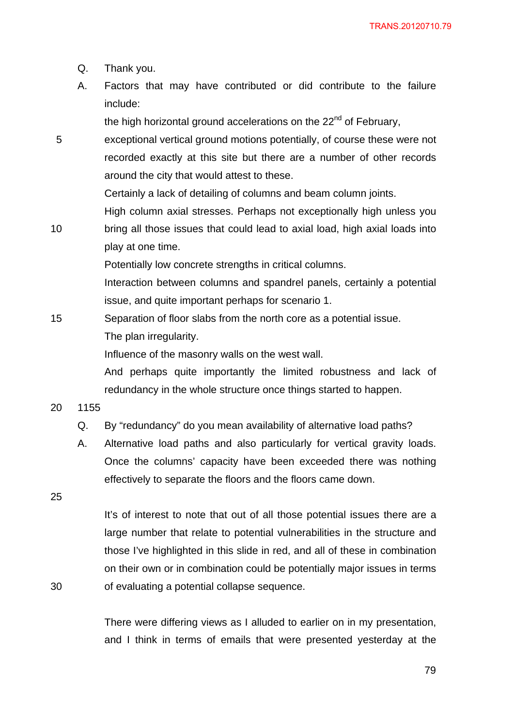- Q. Thank you.
- A. Factors that may have contributed or did contribute to the failure include:

the high horizontal ground accelerations on the  $22<sup>nd</sup>$  of February,

exceptional vertical ground motions potentially, of course these were not recorded exactly at this site but there are a number of other records around the city that would attest to these.

Certainly a lack of detailing of columns and beam column joints.

- High column axial stresses. Perhaps not exceptionally high unless you
- 10 bring all those issues that could lead to axial load, high axial loads into play at one time.

Potentially low concrete strengths in critical columns.

Interaction between columns and spandrel panels, certainly a potential issue, and quite important perhaps for scenario 1.

15 Separation of floor slabs from the north core as a potential issue. The plan irregularity.

Influence of the masonry walls on the west wall.

And perhaps quite importantly the limited robustness and lack of redundancy in the whole structure once things started to happen.

20 1155

5

- Q. By "redundancy" do you mean availability of alternative load paths?
- A. Alternative load paths and also particularly for vertical gravity loads. Once the columns' capacity have been exceeded there was nothing effectively to separate the floors and the floors came down.

25

30

It's of interest to note that out of all those potential issues there are a large number that relate to potential vulnerabilities in the structure and those I've highlighted in this slide in red, and all of these in combination on their own or in combination could be potentially major issues in terms of evaluating a potential collapse sequence.

There were differing views as I alluded to earlier on in my presentation, and I think in terms of emails that were presented yesterday at the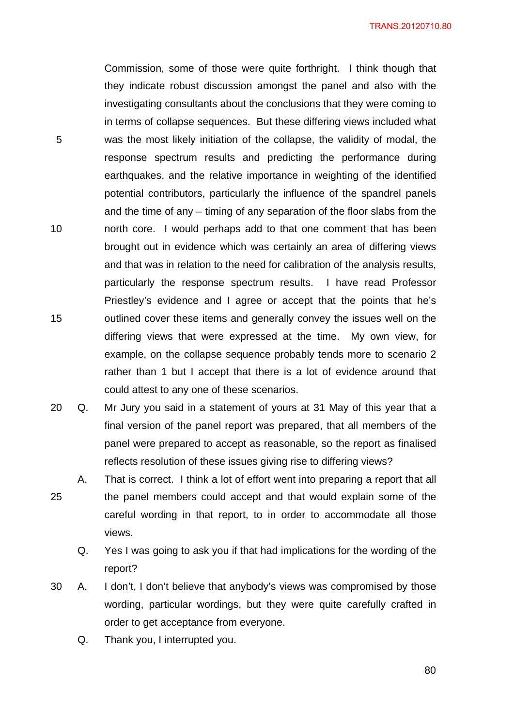TRANS.20120710.80

5 10 15 Commission, some of those were quite forthright. I think though that they indicate robust discussion amongst the panel and also with the investigating consultants about the conclusions that they were coming to in terms of collapse sequences. But these differing views included what was the most likely initiation of the collapse, the validity of modal, the response spectrum results and predicting the performance during earthquakes, and the relative importance in weighting of the identified potential contributors, particularly the influence of the spandrel panels and the time of any – timing of any separation of the floor slabs from the north core. I would perhaps add to that one comment that has been brought out in evidence which was certainly an area of differing views and that was in relation to the need for calibration of the analysis results, particularly the response spectrum results. I have read Professor Priestley's evidence and I agree or accept that the points that he's outlined cover these items and generally convey the issues well on the differing views that were expressed at the time. My own view, for example, on the collapse sequence probably tends more to scenario 2 rather than 1 but I accept that there is a lot of evidence around that could attest to any one of these scenarios.

- 20 Q. Mr Jury you said in a statement of yours at 31 May of this year that a final version of the panel report was prepared, that all members of the panel were prepared to accept as reasonable, so the report as finalised reflects resolution of these issues giving rise to differing views?
- 25 A. That is correct. I think a lot of effort went into preparing a report that all the panel members could accept and that would explain some of the careful wording in that report, to in order to accommodate all those views.
	- Q. Yes I was going to ask you if that had implications for the wording of the report?
- 30 A. I don't, I don't believe that anybody's views was compromised by those wording, particular wordings, but they were quite carefully crafted in order to get acceptance from everyone.
	- Q. Thank you, I interrupted you.

en andere de la constantin de la constantin de la constantin de la constantin de la constantin de la constanti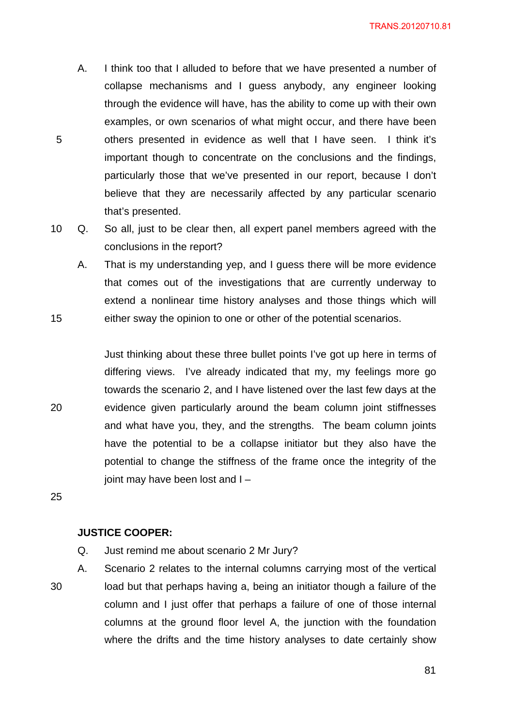- A. I think too that I alluded to before that we have presented a number of collapse mechanisms and I guess anybody, any engineer looking through the evidence will have, has the ability to come up with their own examples, or own scenarios of what might occur, and there have been others presented in evidence as well that I have seen. I think it's important though to concentrate on the conclusions and the findings, particularly those that we've presented in our report, because I don't believe that they are necessarily affected by any particular scenario that's presented.
- 10 Q. So all, just to be clear then, all expert panel members agreed with the conclusions in the report?
	- A. That is my understanding yep, and I guess there will be more evidence that comes out of the investigations that are currently underway to extend a nonlinear time history analyses and those things which will either sway the opinion to one or other of the potential scenarios.

Just thinking about these three bullet points I've got up here in terms of differing views. I've already indicated that my, my feelings more go towards the scenario 2, and I have listened over the last few days at the evidence given particularly around the beam column joint stiffnesses and what have you, they, and the strengths. The beam column joints have the potential to be a collapse initiator but they also have the potential to change the stiffness of the frame once the integrity of the joint may have been lost and I –

25

20

15

5

# **JUSTICE COOPER:**

Q. Just remind me about scenario 2 Mr Jury?

30 A. Scenario 2 relates to the internal columns carrying most of the vertical load but that perhaps having a, being an initiator though a failure of the column and I just offer that perhaps a failure of one of those internal columns at the ground floor level A, the junction with the foundation where the drifts and the time history analyses to date certainly show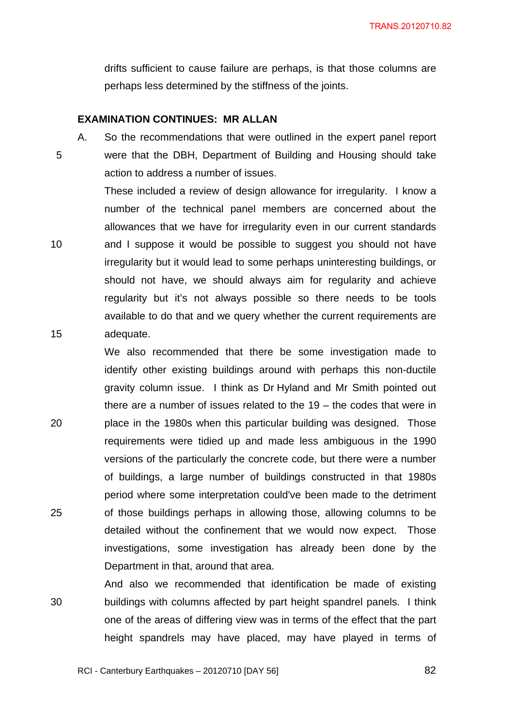drifts sufficient to cause failure are perhaps, is that those columns are perhaps less determined by the stiffness of the joints.

### **EXAMINATION CONTINUES: MR ALLAN**

A. So the recommendations that were outlined in the expert panel report 5 were that the DBH, Department of Building and Housing should take action to address a number of issues.

These included a review of design allowance for irregularity. I know a number of the technical panel members are concerned about the allowances that we have for irregularity even in our current standards 10 and I suppose it would be possible to suggest you should not have irregularity but it would lead to some perhaps uninteresting buildings, or should not have, we should always aim for regularity and achieve regularity but it's not always possible so there needs to be tools available to do that and we query whether the current requirements are 15 adequate.

We also recommended that there be some investigation made to identify other existing buildings around with perhaps this non-ductile gravity column issue. I think as Dr Hyland and Mr Smith pointed out there are a number of issues related to the 19 – the codes that were in 20 place in the 1980s when this particular building was designed. Those requirements were tidied up and made less ambiguous in the 1990 versions of the particularly the concrete code, but there were a number of buildings, a large number of buildings constructed in that 1980s period where some interpretation could've been made to the detriment 25 of those buildings perhaps in allowing those, allowing columns to be detailed without the confinement that we would now expect. Those investigations, some investigation has already been done by the Department in that, around that area.

And also we recommended that identification be made of existing 30 buildings with columns affected by part height spandrel panels. I think one of the areas of differing view was in terms of the effect that the part height spandrels may have placed, may have played in terms of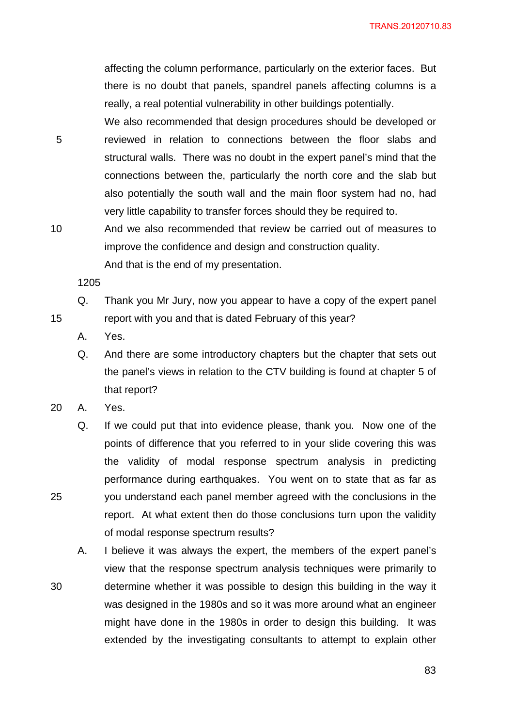affecting the column performance, particularly on the exterior faces. But there is no doubt that panels, spandrel panels affecting columns is a really, a real potential vulnerability in other buildings potentially.

5 We also recommended that design procedures should be developed or reviewed in relation to connections between the floor slabs and structural walls. There was no doubt in the expert panel's mind that the connections between the, particularly the north core and the slab but also potentially the south wall and the main floor system had no, had very little capability to transfer forces should they be required to.

10 And we also recommended that review be carried out of measures to improve the confidence and design and construction quality.

And that is the end of my presentation.

1205

15

25

30

Q. Thank you Mr Jury, now you appear to have a copy of the expert panel report with you and that is dated February of this year?

A. Yes.

Q. And there are some introductory chapters but the chapter that sets out the panel's views in relation to the CTV building is found at chapter 5 of that report?

20 A. Yes.

Q. If we could put that into evidence please, thank you. Now one of the points of difference that you referred to in your slide covering this was the validity of modal response spectrum analysis in predicting performance during earthquakes. You went on to state that as far as you understand each panel member agreed with the conclusions in the report. At what extent then do those conclusions turn upon the validity of modal response spectrum results?

A. I believe it was always the expert, the members of the expert panel's view that the response spectrum analysis techniques were primarily to determine whether it was possible to design this building in the way it was designed in the 1980s and so it was more around what an engineer might have done in the 1980s in order to design this building. It was extended by the investigating consultants to attempt to explain other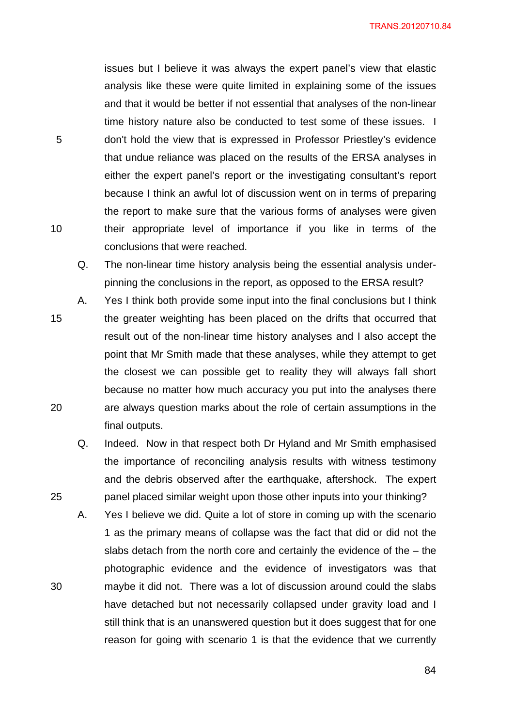TRANS.20120710.84

issues but I believe it was always the expert panel's view that elastic analysis like these were quite limited in explaining some of the issues and that it would be better if not essential that analyses of the non-linear time history nature also be conducted to test some of these issues. I don't hold the view that is expressed in Professor Priestley's evidence that undue reliance was placed on the results of the ERSA analyses in either the expert panel's report or the investigating consultant's report because I think an awful lot of discussion went on in terms of preparing the report to make sure that the various forms of analyses were given their appropriate level of importance if you like in terms of the conclusions that were reached.

Q. The non-linear time history analysis being the essential analysis underpinning the conclusions in the report, as opposed to the ERSA result?

- 15 A. Yes I think both provide some input into the final conclusions but I think the greater weighting has been placed on the drifts that occurred that result out of the non-linear time history analyses and I also accept the point that Mr Smith made that these analyses, while they attempt to get the closest we can possible get to reality they will always fall short because no matter how much accuracy you put into the analyses there are always question marks about the role of certain assumptions in the final outputs.
	- Q. Indeed. Now in that respect both Dr Hyland and Mr Smith emphasised the importance of reconciling analysis results with witness testimony and the debris observed after the earthquake, aftershock. The expert panel placed similar weight upon those other inputs into your thinking?
	- A. Yes I believe we did. Quite a lot of store in coming up with the scenario 1 as the primary means of collapse was the fact that did or did not the slabs detach from the north core and certainly the evidence of the – the photographic evidence and the evidence of investigators was that maybe it did not. There was a lot of discussion around could the slabs have detached but not necessarily collapsed under gravity load and I still think that is an unanswered question but it does suggest that for one reason for going with scenario 1 is that the evidence that we currently

10

5

20

25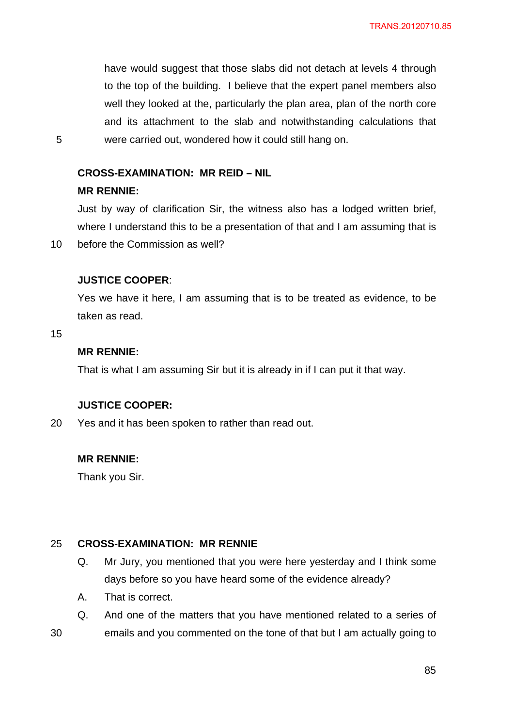have would suggest that those slabs did not detach at levels 4 through to the top of the building. I believe that the expert panel members also well they looked at the, particularly the plan area, plan of the north core and its attachment to the slab and notwithstanding calculations that were carried out, wondered how it could still hang on.

### **CROSS-EXAMINATION: MR REID – NIL**

#### **MR RENNIE:**

Just by way of clarification Sir, the witness also has a lodged written brief, where I understand this to be a presentation of that and I am assuming that is before the Commission as well?

### **JUSTICE COOPER**:

Yes we have it here, I am assuming that is to be treated as evidence, to be taken as read.

15

30

10

5

#### **MR RENNIE:**

That is what I am assuming Sir but it is already in if I can put it that way.

#### **JUSTICE COOPER:**

20 Yes and it has been spoken to rather than read out.

# **MR RENNIE:**

Thank you Sir.

#### 25 **CROSS-EXAMINATION: MR RENNIE**

- Q. Mr Jury, you mentioned that you were here yesterday and I think some days before so you have heard some of the evidence already?
- A. That is correct.
- Q. And one of the matters that you have mentioned related to a series of emails and you commented on the tone of that but I am actually going to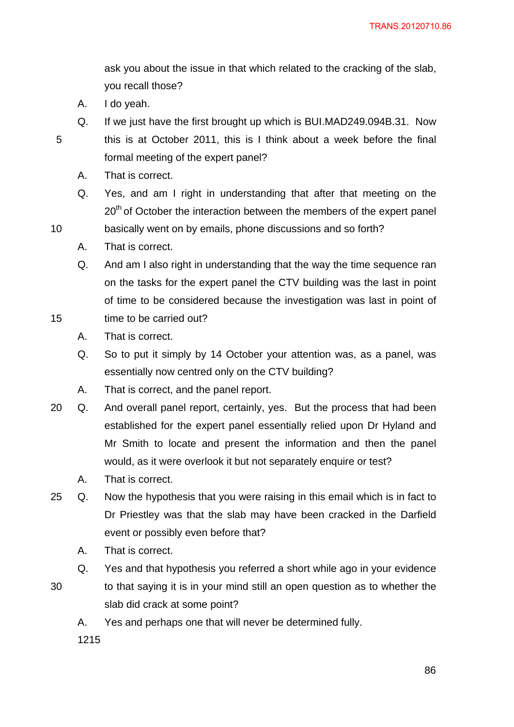ask you about the issue in that which related to the cracking of the slab, you recall those?

A. I do yeah.

- Q. If we just have the first brought up which is BUI.MAD249.094B.31. Now this is at October 2011, this is I think about a week before the final formal meeting of the expert panel?
- A. That is correct.
- Q. Yes, and am I right in understanding that after that meeting on the 20<sup>th</sup> of October the interaction between the members of the expert panel
- 10 basically went on by emails, phone discussions and so forth?
	- A. That is correct.
	- Q. And am I also right in understanding that the way the time sequence ran on the tasks for the expert panel the CTV building was the last in point of time to be considered because the investigation was last in point of
- 15 time to be carried out?
	- A. That is correct.
	- Q. So to put it simply by 14 October your attention was, as a panel, was essentially now centred only on the CTV building?
	- A. That is correct, and the panel report.
- 20 Q. And overall panel report, certainly, yes. But the process that had been established for the expert panel essentially relied upon Dr Hyland and Mr Smith to locate and present the information and then the panel would, as it were overlook it but not separately enquire or test?
	- A. That is correct.
- 25 Q. Now the hypothesis that you were raising in this email which is in fact to Dr Priestley was that the slab may have been cracked in the Darfield event or possibly even before that?
	- A. That is correct.
	- Q. Yes and that hypothesis you referred a short while ago in your evidence
- 30 to that saying it is in your mind still an open question as to whether the slab did crack at some point?
	- A. Yes and perhaps one that will never be determined fully.
	- 1215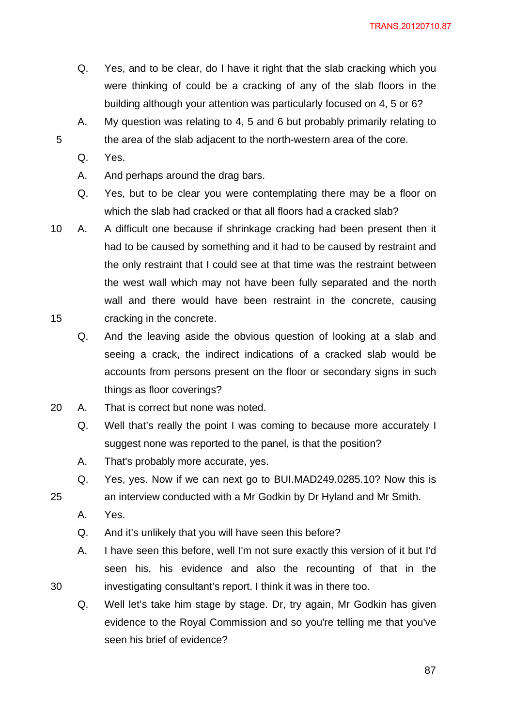TRANS.20120710.87

- Q. Yes, and to be clear, do I have it right that the slab cracking which you were thinking of could be a cracking of any of the slab floors in the building although your attention was particularly focused on 4, 5 or 6?
- A. My question was relating to 4, 5 and 6 but probably primarily relating to the area of the slab adjacent to the north-western area of the core.
- Q. Yes.

5

- A. And perhaps around the drag bars.
- Q. Yes, but to be clear you were contemplating there may be a floor on which the slab had cracked or that all floors had a cracked slab?
- 15 10 A. A difficult one because if shrinkage cracking had been present then it had to be caused by something and it had to be caused by restraint and the only restraint that I could see at that time was the restraint between the west wall which may not have been fully separated and the north wall and there would have been restraint in the concrete, causing cracking in the concrete.
	- Q. And the leaving aside the obvious question of looking at a slab and seeing a crack, the indirect indications of a cracked slab would be accounts from persons present on the floor or secondary signs in such things as floor coverings?
- 20 A. That is correct but none was noted.
	- Q. Well that's really the point I was coming to because more accurately I suggest none was reported to the panel, is that the position?
	- A. That's probably more accurate, yes.
	- Q. Yes, yes. Now if we can next go to BUI.MAD249.0285.10? Now this is
	- an interview conducted with a Mr Godkin by Dr Hyland and Mr Smith.
	- A. Yes.
	- Q. And it's unlikely that you will have seen this before?
	- A. I have seen this before, well I'm not sure exactly this version of it but I'd seen his, his evidence and also the recounting of that in the investigating consultant's report. I think it was in there too.
	- Q. Well let's take him stage by stage. Dr, try again, Mr Godkin has given evidence to the Royal Commission and so you're telling me that you've seen his brief of evidence?

25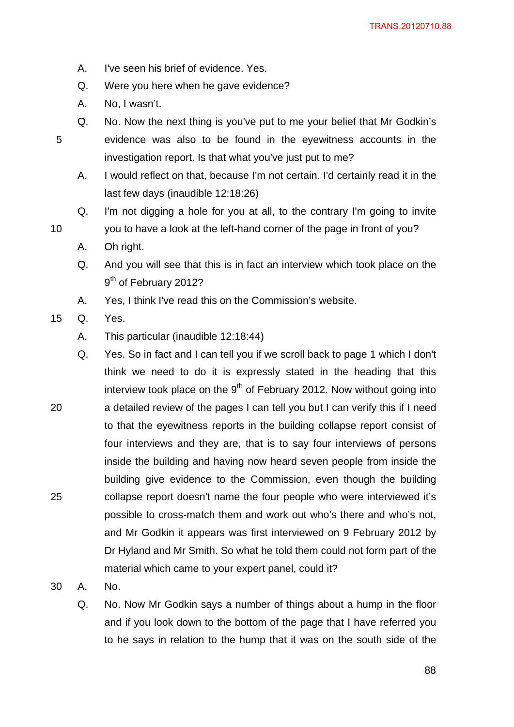- A. I've seen his brief of evidence. Yes.
- Q. Were you here when he gave evidence?
- A. No, I wasn't.
- Q. No. Now the next thing is you've put to me your belief that Mr Godkin's evidence was also to be found in the eyewitness accounts in the investigation report. Is that what you've just put to me?
	- A. I would reflect on that, because I'm not certain. I'd certainly read it in the last few days (inaudible 12:18:26)
- Q. I'm not digging a hole for you at all, to the contrary I'm going to invite you to have a look at the left-hand corner of the page in front of you?
- A. Oh right.
- Q. And you will see that this is in fact an interview which took place on the 9<sup>th</sup> of February 2012?
- A. Yes, I think I've read this on the Commission's website.
- 15 Q. Yes.

5

- A. This particular (inaudible 12:18:44)
- 20 25 Q. Yes. So in fact and I can tell you if we scroll back to page 1 which I don't think we need to do it is expressly stated in the heading that this interview took place on the  $9<sup>th</sup>$  of February 2012. Now without going into a detailed review of the pages I can tell you but I can verify this if I need to that the eyewitness reports in the building collapse report consist of four interviews and they are, that is to say four interviews of persons inside the building and having now heard seven people from inside the building give evidence to the Commission, even though the building collapse report doesn't name the four people who were interviewed it's possible to cross-match them and work out who's there and who's not, and Mr Godkin it appears was first interviewed on 9 February 2012 by Dr Hyland and Mr Smith. So what he told them could not form part of the material which came to your expert panel, could it?
- 30 A. No.
	- Q. No. Now Mr Godkin says a number of things about a hump in the floor and if you look down to the bottom of the page that I have referred you to he says in relation to the hump that it was on the south side of the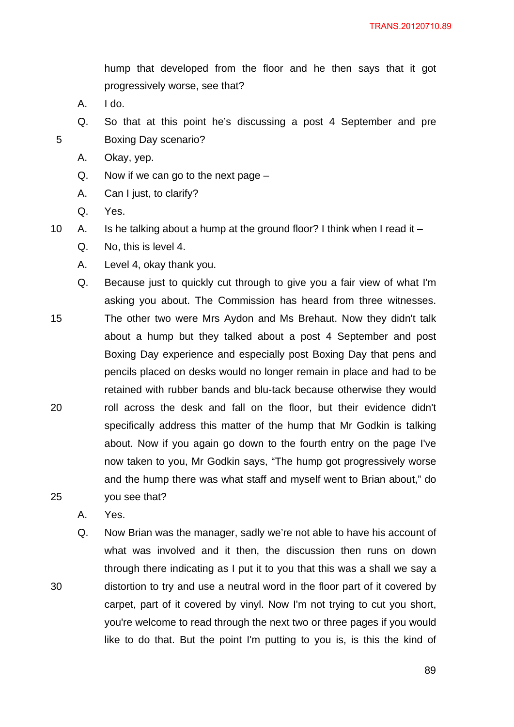hump that developed from the floor and he then says that it got progressively worse, see that?

A. I do.

5

- Q. So that at this point he's discussing a post 4 September and pre Boxing Day scenario?
- A. Okay, yep.
- Q. Now if we can go to the next page –
- A. Can I just, to clarify?
- Q. Yes.

10 A. Is he talking about a hump at the ground floor? I think when I read it –

- Q. No, this is level 4.
- A. Level 4, okay thank you.
- 15 20 25 Q. Because just to quickly cut through to give you a fair view of what I'm asking you about. The Commission has heard from three witnesses. The other two were Mrs Aydon and Ms Brehaut. Now they didn't talk about a hump but they talked about a post 4 September and post Boxing Day experience and especially post Boxing Day that pens and pencils placed on desks would no longer remain in place and had to be retained with rubber bands and blu-tack because otherwise they would roll across the desk and fall on the floor, but their evidence didn't specifically address this matter of the hump that Mr Godkin is talking about. Now if you again go down to the fourth entry on the page I've now taken to you, Mr Godkin says, "The hump got progressively worse and the hump there was what staff and myself went to Brian about," do you see that?
	- A. Yes.

30

Q. Now Brian was the manager, sadly we're not able to have his account of what was involved and it then, the discussion then runs on down through there indicating as I put it to you that this was a shall we say a distortion to try and use a neutral word in the floor part of it covered by carpet, part of it covered by vinyl. Now I'm not trying to cut you short, you're welcome to read through the next two or three pages if you would like to do that. But the point I'm putting to you is, is this the kind of

e a construction de la construction de la construction de la construction de la construction de la constructio<br>1890 : la construction de la construction de la construction de la construction de la construction de la const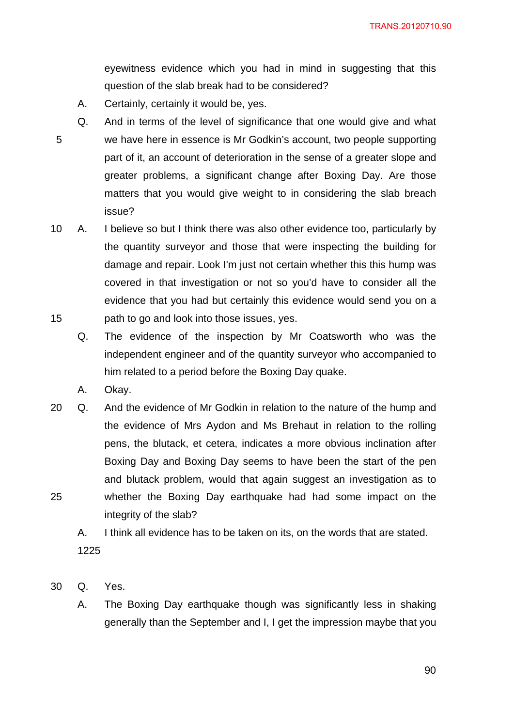eyewitness evidence which you had in mind in suggesting that this question of the slab break had to be considered?

- A. Certainly, certainly it would be, yes.
- 5 Q. And in terms of the level of significance that one would give and what we have here in essence is Mr Godkin's account, two people supporting part of it, an account of deterioration in the sense of a greater slope and greater problems, a significant change after Boxing Day. Are those matters that you would give weight to in considering the slab breach issue?
- 15 10 A. I believe so but I think there was also other evidence too, particularly by the quantity surveyor and those that were inspecting the building for damage and repair. Look I'm just not certain whether this this hump was covered in that investigation or not so you'd have to consider all the evidence that you had but certainly this evidence would send you on a path to go and look into those issues, yes.
	- Q. The evidence of the inspection by Mr Coatsworth who was the independent engineer and of the quantity surveyor who accompanied to him related to a period before the Boxing Day quake.
	- A. Okay.
- 25 20 Q. And the evidence of Mr Godkin in relation to the nature of the hump and the evidence of Mrs Aydon and Ms Brehaut in relation to the rolling pens, the blutack, et cetera, indicates a more obvious inclination after Boxing Day and Boxing Day seems to have been the start of the pen and blutack problem, would that again suggest an investigation as to whether the Boxing Day earthquake had had some impact on the integrity of the slab?
	- A. I think all evidence has to be taken on its, on the words that are stated. 1225
- 30 Q. Yes.
	- A. The Boxing Day earthquake though was significantly less in shaking generally than the September and I, I get the impression maybe that you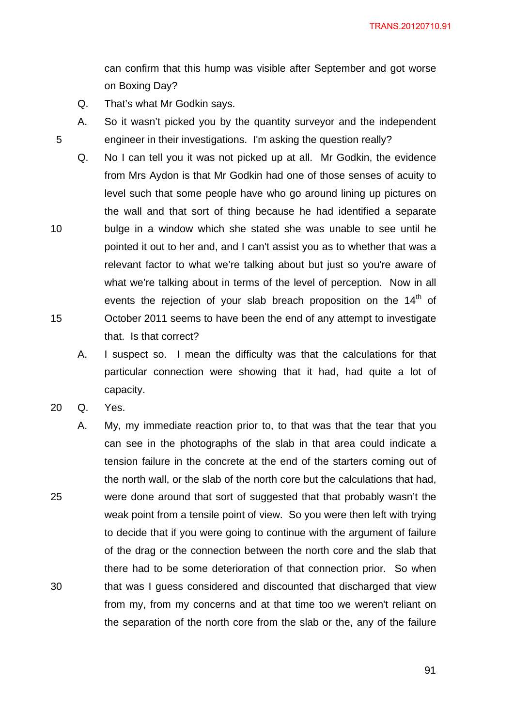can confirm that this hump was visible after September and got worse on Boxing Day?

- Q. That's what Mr Godkin says.
- A. So it wasn't picked you by the quantity surveyor and the independent engineer in their investigations. I'm asking the question really?
- Q. No I can tell you it was not picked up at all. Mr Godkin, the evidence from Mrs Aydon is that Mr Godkin had one of those senses of acuity to level such that some people have who go around lining up pictures on the wall and that sort of thing because he had identified a separate bulge in a window which she stated she was unable to see until he pointed it out to her and, and I can't assist you as to whether that was a relevant factor to what we're talking about but just so you're aware of what we're talking about in terms of the level of perception. Now in all events the rejection of your slab breach proposition on the 14<sup>th</sup> of October 2011 seems to have been the end of any attempt to investigate that. Is that correct?
	- A. I suspect so. I mean the difficulty was that the calculations for that particular connection were showing that it had, had quite a lot of capacity.
- 20 Q. Yes.

5

10

15

25 30 A. My, my immediate reaction prior to, to that was that the tear that you can see in the photographs of the slab in that area could indicate a tension failure in the concrete at the end of the starters coming out of the north wall, or the slab of the north core but the calculations that had, were done around that sort of suggested that that probably wasn't the weak point from a tensile point of view. So you were then left with trying to decide that if you were going to continue with the argument of failure of the drag or the connection between the north core and the slab that there had to be some deterioration of that connection prior. So when that was I guess considered and discounted that discharged that view from my, from my concerns and at that time too we weren't reliant on the separation of the north core from the slab or the, any of the failure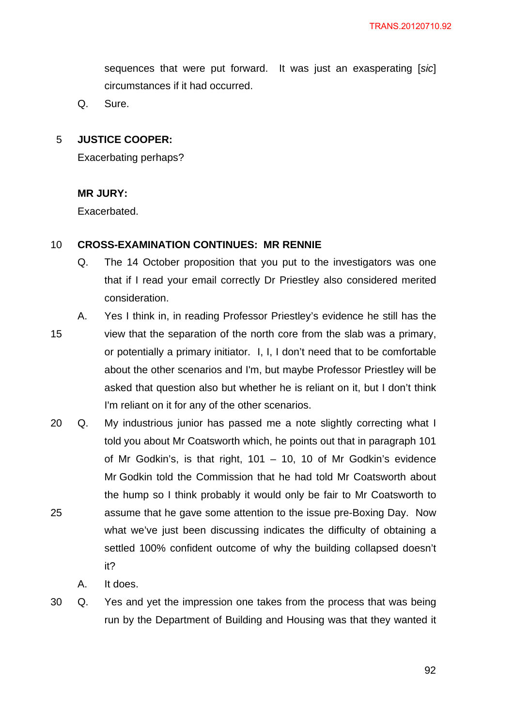sequences that were put forward. It was just an exasperating [*sic*] circumstances if it had occurred.

Q. Sure.

#### 5 **JUSTICE COOPER:**

Exacerbating perhaps?

# **MR JURY:**

Exacerbated.

#### 10 **CROSS-EXAMINATION CONTINUES: MR RENNIE**

- Q. The 14 October proposition that you put to the investigators was one that if I read your email correctly Dr Priestley also considered merited consideration.
- 15 A. Yes I think in, in reading Professor Priestley's evidence he still has the view that the separation of the north core from the slab was a primary, or potentially a primary initiator. I, I, I don't need that to be comfortable about the other scenarios and I'm, but maybe Professor Priestley will be asked that question also but whether he is reliant on it, but I don't think I'm reliant on it for any of the other scenarios.
- 25 20 Q. My industrious junior has passed me a note slightly correcting what I told you about Mr Coatsworth which, he points out that in paragraph 101 of Mr Godkin's, is that right, 101 – 10, 10 of Mr Godkin's evidence Mr Godkin told the Commission that he had told Mr Coatsworth about the hump so I think probably it would only be fair to Mr Coatsworth to assume that he gave some attention to the issue pre-Boxing Day. Now what we've just been discussing indicates the difficulty of obtaining a settled 100% confident outcome of why the building collapsed doesn't it?

A. It does.

30 Q. Yes and yet the impression one takes from the process that was being run by the Department of Building and Housing was that they wanted it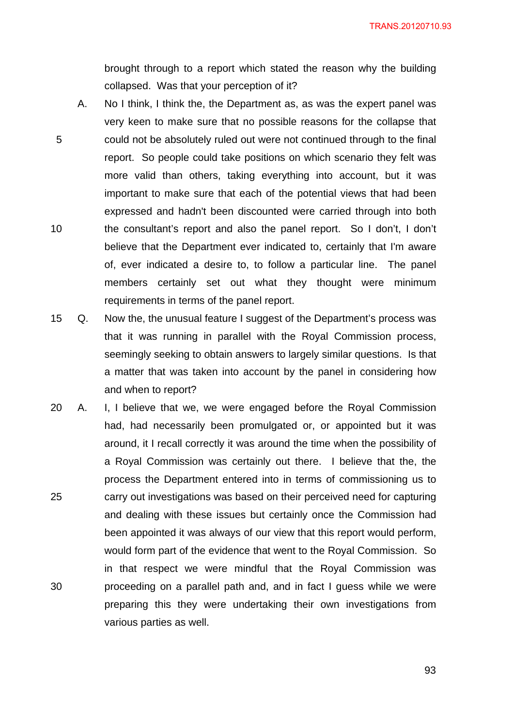brought through to a report which stated the reason why the building collapsed. Was that your perception of it?

- 5 10 A. No I think, I think the, the Department as, as was the expert panel was very keen to make sure that no possible reasons for the collapse that could not be absolutely ruled out were not continued through to the final report. So people could take positions on which scenario they felt was more valid than others, taking everything into account, but it was important to make sure that each of the potential views that had been expressed and hadn't been discounted were carried through into both the consultant's report and also the panel report. So I don't, I don't believe that the Department ever indicated to, certainly that I'm aware of, ever indicated a desire to, to follow a particular line. The panel members certainly set out what they thought were minimum requirements in terms of the panel report.
- 15 Q. Now the, the unusual feature I suggest of the Department's process was that it was running in parallel with the Royal Commission process, seemingly seeking to obtain answers to largely similar questions. Is that a matter that was taken into account by the panel in considering how and when to report?
- 25 30 20 A. I, I believe that we, we were engaged before the Royal Commission had, had necessarily been promulgated or, or appointed but it was around, it I recall correctly it was around the time when the possibility of a Royal Commission was certainly out there. I believe that the, the process the Department entered into in terms of commissioning us to carry out investigations was based on their perceived need for capturing and dealing with these issues but certainly once the Commission had been appointed it was always of our view that this report would perform, would form part of the evidence that went to the Royal Commission. So in that respect we were mindful that the Royal Commission was proceeding on a parallel path and, and in fact I guess while we were preparing this they were undertaking their own investigations from various parties as well.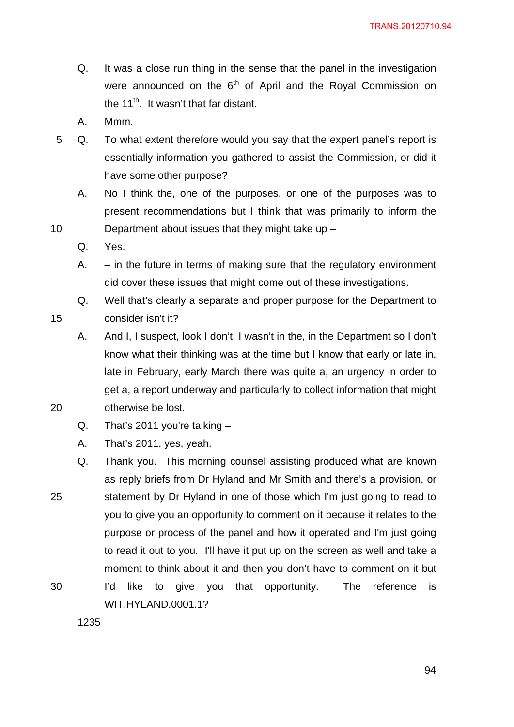- Q. It was a close run thing in the sense that the panel in the investigation were announced on the  $6<sup>th</sup>$  of April and the Royal Commission on the  $11^{th}$ . It wasn't that far distant.
- A. Mmm.
- 5 Q. To what extent therefore would you say that the expert panel's report is essentially information you gathered to assist the Commission, or did it have some other purpose?
	- A. No I think the, one of the purposes, or one of the purposes was to present recommendations but I think that was primarily to inform the Department about issues that they might take up –
	- Q. Yes.

10

15

20

- A. in the future in terms of making sure that the regulatory environment did cover these issues that might come out of these investigations.
- Q. Well that's clearly a separate and proper purpose for the Department to consider isn't it?
- A. And I, I suspect, look I don't, I wasn't in the, in the Department so I don't know what their thinking was at the time but I know that early or late in, late in February, early March there was quite a, an urgency in order to get a, a report underway and particularly to collect information that might otherwise be lost.
- Q. That's 2011 you're talking –
- A. That's 2011, yes, yeah.
- 25 30 Q. Thank you. This morning counsel assisting produced what are known as reply briefs from Dr Hyland and Mr Smith and there's a provision, or statement by Dr Hyland in one of those which I'm just going to read to you to give you an opportunity to comment on it because it relates to the purpose or process of the panel and how it operated and I'm just going to read it out to you. I'll have it put up on the screen as well and take a moment to think about it and then you don't have to comment on it but I'd like to give you that opportunity. The reference is WIT.HYLAND.0001.1?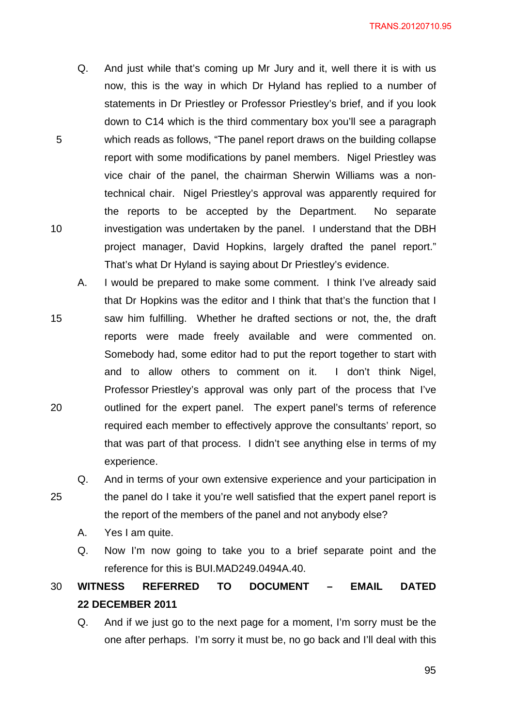- Q. And just while that's coming up Mr Jury and it, well there it is with us now, this is the way in which Dr Hyland has replied to a number of statements in Dr Priestley or Professor Priestley's brief, and if you look down to C14 which is the third commentary box you'll see a paragraph which reads as follows, "The panel report draws on the building collapse report with some modifications by panel members. Nigel Priestley was vice chair of the panel, the chairman Sherwin Williams was a nontechnical chair. Nigel Priestley's approval was apparently required for the reports to be accepted by the Department. No separate investigation was undertaken by the panel. I understand that the DBH project manager, David Hopkins, largely drafted the panel report." That's what Dr Hyland is saying about Dr Priestley's evidence.
- 15 20 A. I would be prepared to make some comment. I think I've already said that Dr Hopkins was the editor and I think that that's the function that I saw him fulfilling. Whether he drafted sections or not, the, the draft reports were made freely available and were commented on. Somebody had, some editor had to put the report together to start with and to allow others to comment on it. I don't think Nigel, Professor Priestley's approval was only part of the process that I've outlined for the expert panel. The expert panel's terms of reference required each member to effectively approve the consultants' report, so that was part of that process. I didn't see anything else in terms of my experience.
- 25 Q. And in terms of your own extensive experience and your participation in the panel do I take it you're well satisfied that the expert panel report is the report of the members of the panel and not anybody else?
	- A. Yes I am quite.

5

10

Q. Now I'm now going to take you to a brief separate point and the reference for this is BUI.MAD249.0494A.40.

#### 30 **WITNESS REFERRED TO DOCUMENT – EMAIL DATED 22 DECEMBER 2011**

Q. And if we just go to the next page for a moment, I'm sorry must be the one after perhaps. I'm sorry it must be, no go back and I'll deal with this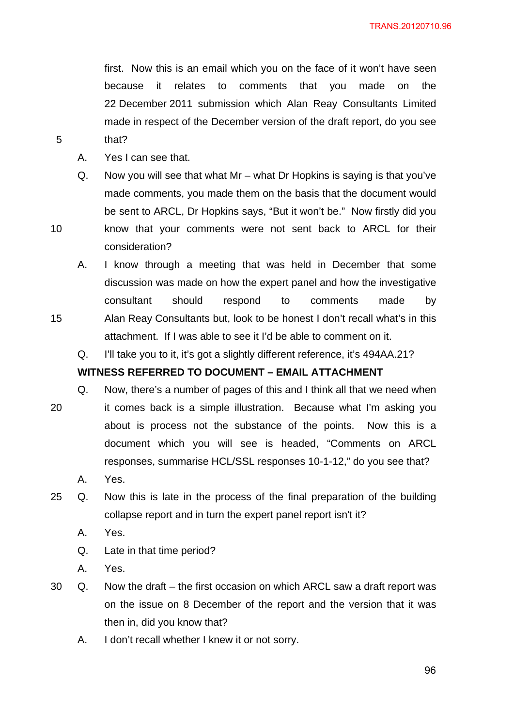first. Now this is an email which you on the face of it won't have seen because it relates to comments that you made on the 22 December 2011 submission which Alan Reay Consultants Limited made in respect of the December version of the draft report, do you see that?

- A. Yes I can see that.
- Q. Now you will see that what Mr what Dr Hopkins is saying is that you've made comments, you made them on the basis that the document would be sent to ARCL, Dr Hopkins says, "But it won't be." Now firstly did you know that your comments were not sent back to ARCL for their
- consideration?

5

10

- A. I know through a meeting that was held in December that some discussion was made on how the expert panel and how the investigative consultant should respond to comments made by Alan Reay Consultants but, look to be honest I don't recall what's in this attachment. If I was able to see it I'd be able to comment on it.
- Q. I'll take you to it, it's got a slightly different reference, it's 494AA.21?

# **WITNESS REFERRED TO DOCUMENT – EMAIL ATTACHMENT**

15

20 Q. Now, there's a number of pages of this and I think all that we need when it comes back is a simple illustration. Because what I'm asking you about is process not the substance of the points. Now this is a document which you will see is headed, "Comments on ARCL responses, summarise HCL/SSL responses 10-1-12," do you see that?

- A. Yes.
- 25 Q. Now this is late in the process of the final preparation of the building collapse report and in turn the expert panel report isn't it?
	- A. Yes.
	- Q. Late in that time period?
	- A. Yes.
- 30 Q. Now the draft the first occasion on which ARCL saw a draft report was on the issue on 8 December of the report and the version that it was then in, did you know that?
	- A. I don't recall whether I knew it or not sorry.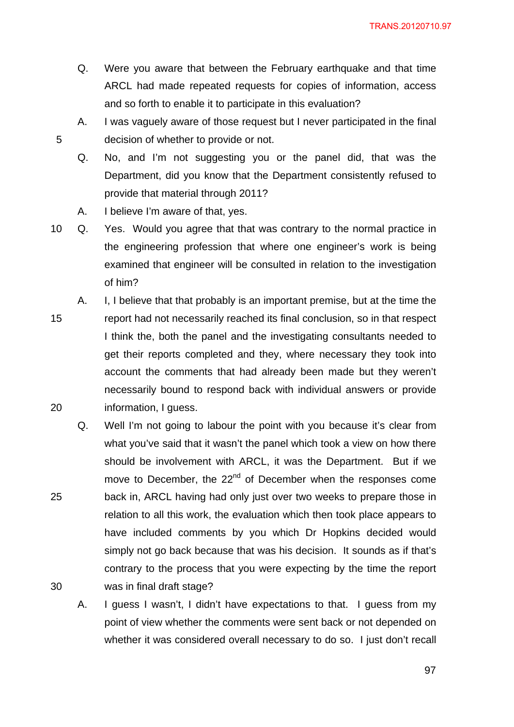TRANS.20120710.97

- Q. Were you aware that between the February earthquake and that time ARCL had made repeated requests for copies of information, access and so forth to enable it to participate in this evaluation?
- A. I was vaguely aware of those request but I never participated in the final decision of whether to provide or not.
- Q. No, and I'm not suggesting you or the panel did, that was the Department, did you know that the Department consistently refused to provide that material through 2011?
- A. I believe I'm aware of that, yes.

5

25

30

10 Q. Yes. Would you agree that that was contrary to the normal practice in the engineering profession that where one engineer's work is being examined that engineer will be consulted in relation to the investigation of him?

15 20 A. I, I believe that that probably is an important premise, but at the time the report had not necessarily reached its final conclusion, so in that respect I think the, both the panel and the investigating consultants needed to get their reports completed and they, where necessary they took into account the comments that had already been made but they weren't necessarily bound to respond back with individual answers or provide information, I guess.

Q. Well I'm not going to labour the point with you because it's clear from what you've said that it wasn't the panel which took a view on how there should be involvement with ARCL, it was the Department. But if we move to December, the 22<sup>nd</sup> of December when the responses come back in, ARCL having had only just over two weeks to prepare those in relation to all this work, the evaluation which then took place appears to have included comments by you which Dr Hopkins decided would simply not go back because that was his decision. It sounds as if that's contrary to the process that you were expecting by the time the report was in final draft stage?

A. I guess I wasn't, I didn't have expectations to that. I guess from my point of view whether the comments were sent back or not depended on whether it was considered overall necessary to do so. I just don't recall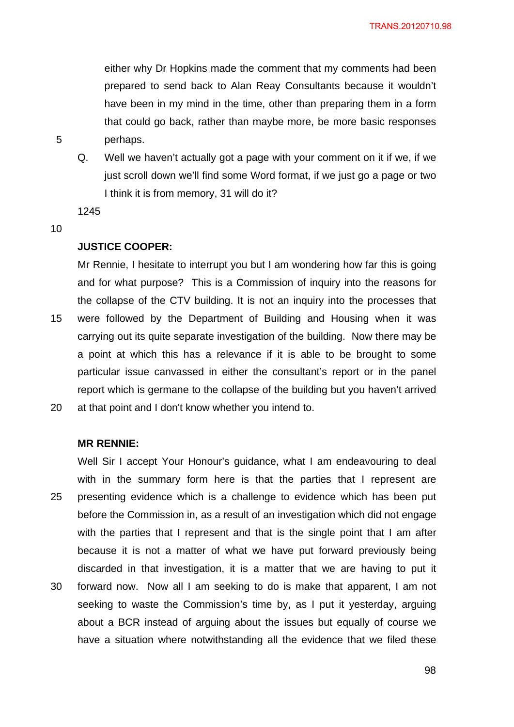either why Dr Hopkins made the comment that my comments had been prepared to send back to Alan Reay Consultants because it wouldn't have been in my mind in the time, other than preparing them in a form that could go back, rather than maybe more, be more basic responses perhaps.

Q. Well we haven't actually got a page with your comment on it if we, if we just scroll down we'll find some Word format, if we just go a page or two I think it is from memory, 31 will do it?

1245

10

5

## **JUSTICE COOPER:**

15 20 Mr Rennie, I hesitate to interrupt you but I am wondering how far this is going and for what purpose? This is a Commission of inquiry into the reasons for the collapse of the CTV building. It is not an inquiry into the processes that were followed by the Department of Building and Housing when it was carrying out its quite separate investigation of the building. Now there may be a point at which this has a relevance if it is able to be brought to some particular issue canvassed in either the consultant's report or in the panel report which is germane to the collapse of the building but you haven't arrived at that point and I don't know whether you intend to.

### **MR RENNIE:**

25 30 Well Sir I accept Your Honour's guidance, what I am endeavouring to deal with in the summary form here is that the parties that I represent are presenting evidence which is a challenge to evidence which has been put before the Commission in, as a result of an investigation which did not engage with the parties that I represent and that is the single point that I am after because it is not a matter of what we have put forward previously being discarded in that investigation, it is a matter that we are having to put it forward now. Now all I am seeking to do is make that apparent, I am not seeking to waste the Commission's time by, as I put it yesterday, arguing about a BCR instead of arguing about the issues but equally of course we have a situation where notwithstanding all the evidence that we filed these

e de la construcción de 1988 e 1989 e 1989 e 1989 e 1989 e 1989 e 1989 e 1989 e 1989 e 1989 e 1989 e 1989 e 1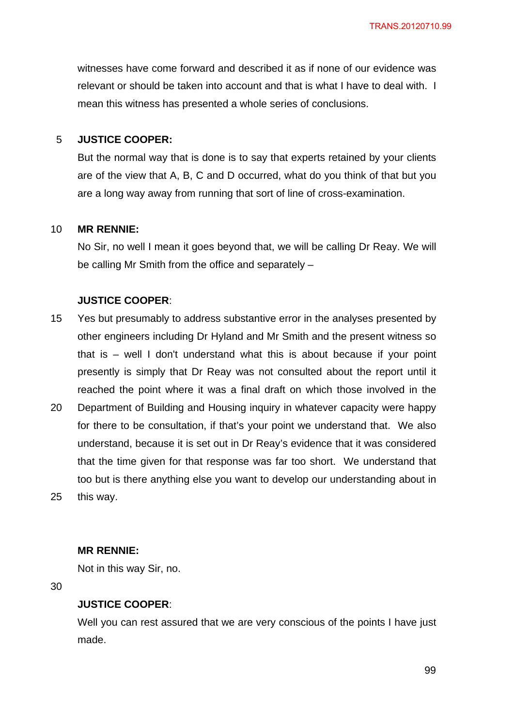witnesses have come forward and described it as if none of our evidence was relevant or should be taken into account and that is what I have to deal with. I mean this witness has presented a whole series of conclusions.

#### 5 **JUSTICE COOPER:**

But the normal way that is done is to say that experts retained by your clients are of the view that A, B, C and D occurred, what do you think of that but you are a long way away from running that sort of line of cross-examination.

#### 10 **MR RENNIE:**

No Sir, no well I mean it goes beyond that, we will be calling Dr Reay. We will be calling Mr Smith from the office and separately –

## **JUSTICE COOPER**:

- 15 20 Yes but presumably to address substantive error in the analyses presented by other engineers including Dr Hyland and Mr Smith and the present witness so that is – well I don't understand what this is about because if your point presently is simply that Dr Reay was not consulted about the report until it reached the point where it was a final draft on which those involved in the Department of Building and Housing inquiry in whatever capacity were happy
- 25 for there to be consultation, if that's your point we understand that. We also understand, because it is set out in Dr Reay's evidence that it was considered that the time given for that response was far too short. We understand that too but is there anything else you want to develop our understanding about in this way.

#### **MR RENNIE:**

Not in this way Sir, no.

30

#### **JUSTICE COOPER**:

Well you can rest assured that we are very conscious of the points I have just made.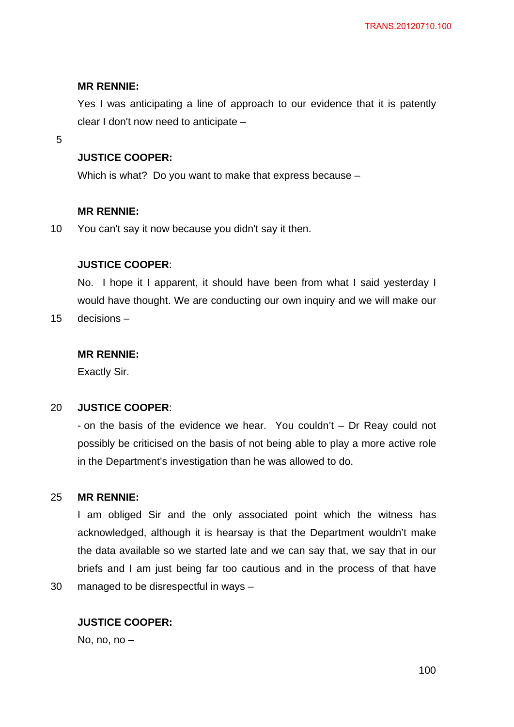## **MR RENNIE:**

Yes I was anticipating a line of approach to our evidence that it is patently clear I don't now need to anticipate –

5

## **JUSTICE COOPER:**

Which is what? Do you want to make that express because –

## **MR RENNIE:**

10 You can't say it now because you didn't say it then.

## **JUSTICE COOPER**:

No. I hope it I apparent, it should have been from what I said yesterday I would have thought. We are conducting our own inquiry and we will make our

15 decisions –

### **MR RENNIE:**

Exactly Sir.

#### 20 **JUSTICE COOPER**:

- on the basis of the evidence we hear. You couldn't – Dr Reay could not possibly be criticised on the basis of not being able to play a more active role in the Department's investigation than he was allowed to do.

#### 25 **MR RENNIE:**

30

I am obliged Sir and the only associated point which the witness has acknowledged, although it is hearsay is that the Department wouldn't make the data available so we started late and we can say that, we say that in our briefs and I am just being far too cautious and in the process of that have managed to be disrespectful in ways –

# **JUSTICE COOPER:**

No, no, no  $-$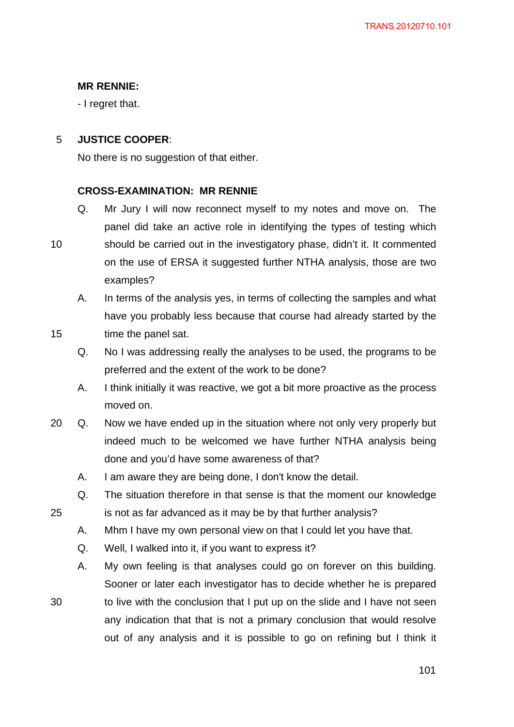# **MR RENNIE:**

- I regret that.

#### 5 **JUSTICE COOPER**:

No there is no suggestion of that either.

#### **CROSS-EXAMINATION: MR RENNIE**

- Q. Mr Jury I will now reconnect myself to my notes and move on. The panel did take an active role in identifying the types of testing which should be carried out in the investigatory phase, didn't it. It commented
- on the use of ERSA it suggested further NTHA analysis, those are two examples? A. In terms of the analysis yes, in terms of collecting the samples and what
- 15

25

10

- time the panel sat.
	- Q. No I was addressing really the analyses to be used, the programs to be preferred and the extent of the work to be done?

have you probably less because that course had already started by the

- A. I think initially it was reactive, we got a bit more proactive as the process moved on.
- 20 Q. Now we have ended up in the situation where not only very properly but indeed much to be welcomed we have further NTHA analysis being done and you'd have some awareness of that?
	- A. I am aware they are being done, I don't know the detail.
	- Q. The situation therefore in that sense is that the moment our knowledge is not as far advanced as it may be by that further analysis?
	- A. Mhm I have my own personal view on that I could let you have that.
	- Q. Well, I walked into it, if you want to express it?
	- A. My own feeling is that analyses could go on forever on this building. Sooner or later each investigator has to decide whether he is prepared
- 30 to live with the conclusion that I put up on the slide and I have not seen any indication that that is not a primary conclusion that would resolve out of any analysis and it is possible to go on refining but I think it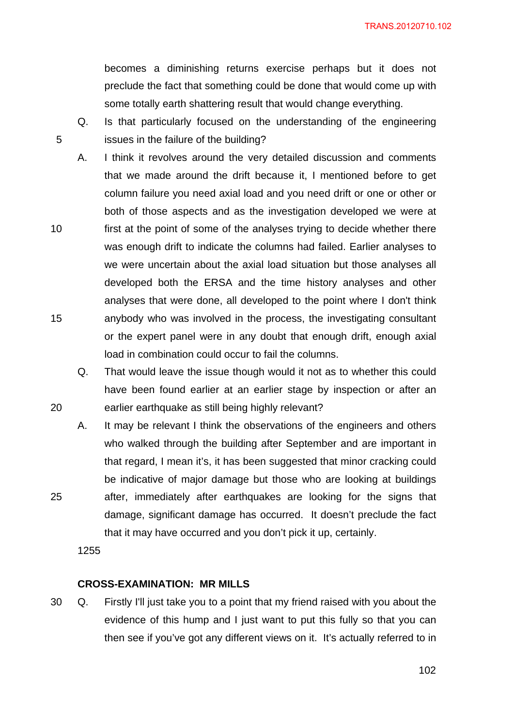becomes a diminishing returns exercise perhaps but it does not preclude the fact that something could be done that would come up with some totally earth shattering result that would change everything.

- Q. Is that particularly focused on the understanding of the engineering issues in the failure of the building?
- A. I think it revolves around the very detailed discussion and comments that we made around the drift because it, I mentioned before to get column failure you need axial load and you need drift or one or other or both of those aspects and as the investigation developed we were at first at the point of some of the analyses trying to decide whether there was enough drift to indicate the columns had failed. Earlier analyses to we were uncertain about the axial load situation but those analyses all developed both the ERSA and the time history analyses and other analyses that were done, all developed to the point where I don't think
- 15 anybody who was involved in the process, the investigating consultant or the expert panel were in any doubt that enough drift, enough axial load in combination could occur to fail the columns.
	- Q. That would leave the issue though would it not as to whether this could have been found earlier at an earlier stage by inspection or after an earlier earthquake as still being highly relevant?
	- A. It may be relevant I think the observations of the engineers and others who walked through the building after September and are important in that regard, I mean it's, it has been suggested that minor cracking could be indicative of major damage but those who are looking at buildings after, immediately after earthquakes are looking for the signs that damage, significant damage has occurred. It doesn't preclude the fact that it may have occurred and you don't pick it up, certainly.

1255

5

10

20

25

# **CROSS-EXAMINATION: MR MILLS**

30 Q. Firstly I'll just take you to a point that my friend raised with you about the evidence of this hump and I just want to put this fully so that you can then see if you've got any different views on it. It's actually referred to in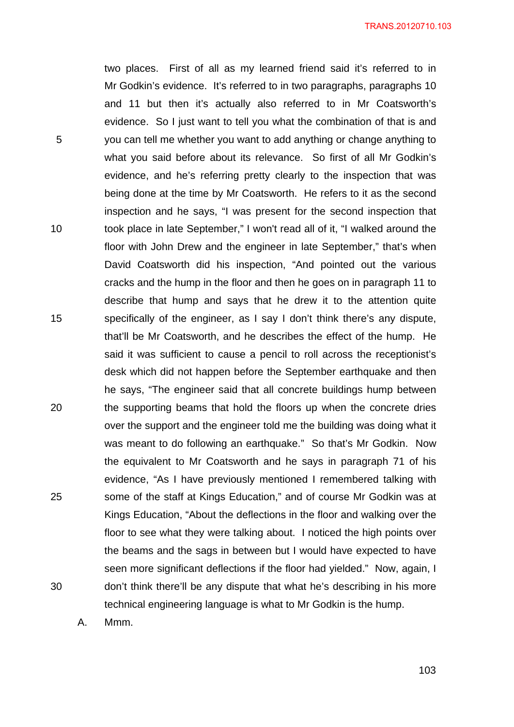TRANS.20120710.103

two places. First of all as my learned friend said it's referred to in Mr Godkin's evidence. It's referred to in two paragraphs, paragraphs 10 and 11 but then it's actually also referred to in Mr Coatsworth's evidence. So I just want to tell you what the combination of that is and you can tell me whether you want to add anything or change anything to what you said before about its relevance. So first of all Mr Godkin's evidence, and he's referring pretty clearly to the inspection that was being done at the time by Mr Coatsworth. He refers to it as the second inspection and he says, "I was present for the second inspection that took place in late September," I won't read all of it, "I walked around the floor with John Drew and the engineer in late September," that's when David Coatsworth did his inspection, "And pointed out the various cracks and the hump in the floor and then he goes on in paragraph 11 to describe that hump and says that he drew it to the attention quite specifically of the engineer, as I say I don't think there's any dispute, that'll be Mr Coatsworth, and he describes the effect of the hump. He said it was sufficient to cause a pencil to roll across the receptionist's desk which did not happen before the September earthquake and then he says, "The engineer said that all concrete buildings hump between the supporting beams that hold the floors up when the concrete dries over the support and the engineer told me the building was doing what it was meant to do following an earthquake." So that's Mr Godkin. Now the equivalent to Mr Coatsworth and he says in paragraph 71 of his evidence, "As I have previously mentioned I remembered talking with some of the staff at Kings Education," and of course Mr Godkin was at Kings Education, "About the deflections in the floor and walking over the floor to see what they were talking about. I noticed the high points over the beams and the sags in between but I would have expected to have seen more significant deflections if the floor had yielded." Now, again, I don't think there'll be any dispute that what he's describing in his more technical engineering language is what to Mr Godkin is the hump.

A. Mmm.

5

10

15

20

25

30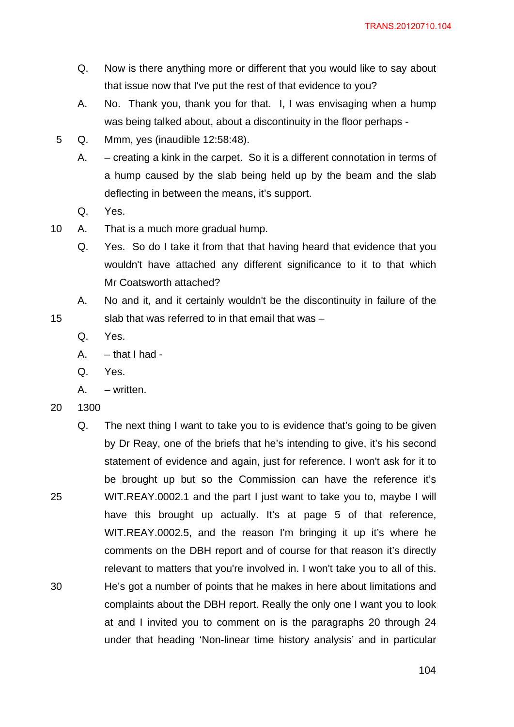- Q. Now is there anything more or different that you would like to say about that issue now that I've put the rest of that evidence to you?
- A. No. Thank you, thank you for that. I, I was envisaging when a hump was being talked about, about a discontinuity in the floor perhaps -
- 5 Q. Mmm, yes (inaudible 12:58:48).
	- A. creating a kink in the carpet. So it is a different connotation in terms of a hump caused by the slab being held up by the beam and the slab deflecting in between the means, it's support.
	- Q. Yes.
- 10 A. That is a much more gradual hump.
	- Q. Yes. So do I take it from that that having heard that evidence that you wouldn't have attached any different significance to it to that which Mr Coatsworth attached?
	- A. No and it, and it certainly wouldn't be the discontinuity in failure of the slab that was referred to in that email that was –
	- Q. Yes.
	- $A. that I had -$
	- Q. Yes.
	- A. written.
- 20 1300

15

25 30 Q. The next thing I want to take you to is evidence that's going to be given by Dr Reay, one of the briefs that he's intending to give, it's his second statement of evidence and again, just for reference. I won't ask for it to be brought up but so the Commission can have the reference it's WIT.REAY.0002.1 and the part I just want to take you to, maybe I will have this brought up actually. It's at page 5 of that reference, WIT.REAY.0002.5, and the reason I'm bringing it up it's where he comments on the DBH report and of course for that reason it's directly relevant to matters that you're involved in. I won't take you to all of this. He's got a number of points that he makes in here about limitations and complaints about the DBH report. Really the only one I want you to look at and I invited you to comment on is the paragraphs 20 through 24 under that heading 'Non-linear time history analysis' and in particular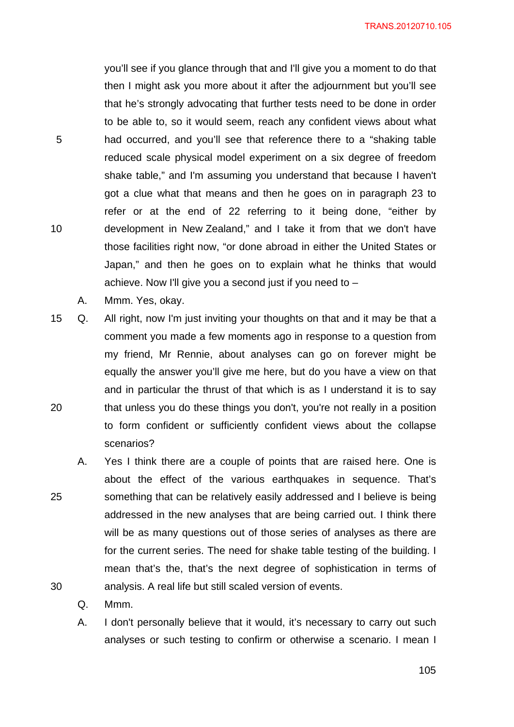you'll see if you glance through that and I'll give you a moment to do that then I might ask you more about it after the adjournment but you'll see that he's strongly advocating that further tests need to be done in order to be able to, so it would seem, reach any confident views about what had occurred, and you'll see that reference there to a "shaking table reduced scale physical model experiment on a six degree of freedom shake table," and I'm assuming you understand that because I haven't got a clue what that means and then he goes on in paragraph 23 to refer or at the end of 22 referring to it being done, "either by development in New Zealand," and I take it from that we don't have those facilities right now, "or done abroad in either the United States or Japan," and then he goes on to explain what he thinks that would achieve. Now I'll give you a second just if you need to  $-$ 

A. Mmm. Yes, okay.

5

10

25

- 20 15 Q. All right, now I'm just inviting your thoughts on that and it may be that a comment you made a few moments ago in response to a question from my friend, Mr Rennie, about analyses can go on forever might be equally the answer you'll give me here, but do you have a view on that and in particular the thrust of that which is as I understand it is to say that unless you do these things you don't, you're not really in a position to form confident or sufficiently confident views about the collapse scenarios?
	- A. Yes I think there are a couple of points that are raised here. One is about the effect of the various earthquakes in sequence. That's something that can be relatively easily addressed and I believe is being addressed in the new analyses that are being carried out. I think there will be as many questions out of those series of analyses as there are for the current series. The need for shake table testing of the building. I mean that's the, that's the next degree of sophistication in terms of analysis. A real life but still scaled version of events.
		- Q. Mmm.
		- A. I don't personally believe that it would, it's necessary to carry out such analyses or such testing to confirm or otherwise a scenario. I mean I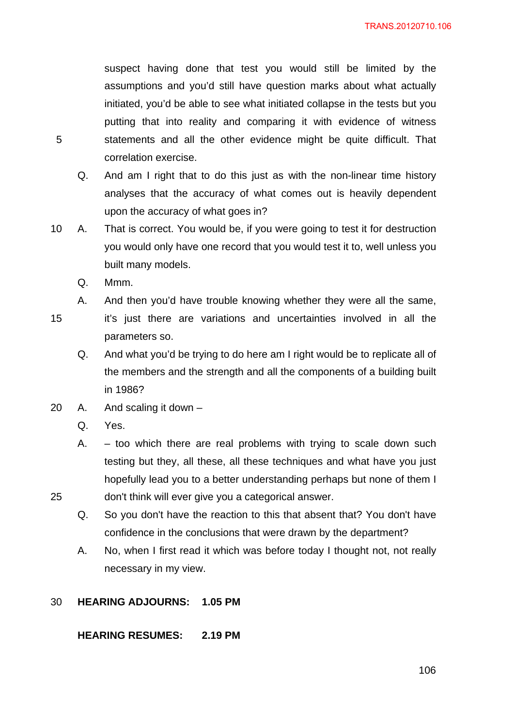suspect having done that test you would still be limited by the assumptions and you'd still have question marks about what actually initiated, you'd be able to see what initiated collapse in the tests but you putting that into reality and comparing it with evidence of witness statements and all the other evidence might be quite difficult. That correlation exercise.

- Q. And am I right that to do this just as with the non-linear time history analyses that the accuracy of what comes out is heavily dependent upon the accuracy of what goes in?
- 10 A. That is correct. You would be, if you were going to test it for destruction you would only have one record that you would test it to, well unless you built many models.
	- Q. Mmm.
	- A. And then you'd have trouble knowing whether they were all the same,
- 15

25

5

it's just there are variations and uncertainties involved in all the parameters so.

- Q. And what you'd be trying to do here am I right would be to replicate all of the members and the strength and all the components of a building built in 1986?
- 20 A. And scaling it down
	- Q. Yes.
	- A.  $-$  too which there are real problems with trying to scale down such testing but they, all these, all these techniques and what have you just hopefully lead you to a better understanding perhaps but none of them I don't think will ever give you a categorical answer.
	- Q. So you don't have the reaction to this that absent that? You don't have confidence in the conclusions that were drawn by the department?
	- A. No, when I first read it which was before today I thought not, not really necessary in my view.

#### 30 **HEARING ADJOURNS: 1.05 PM**

**HEARING RESUMES: 2.19 PM**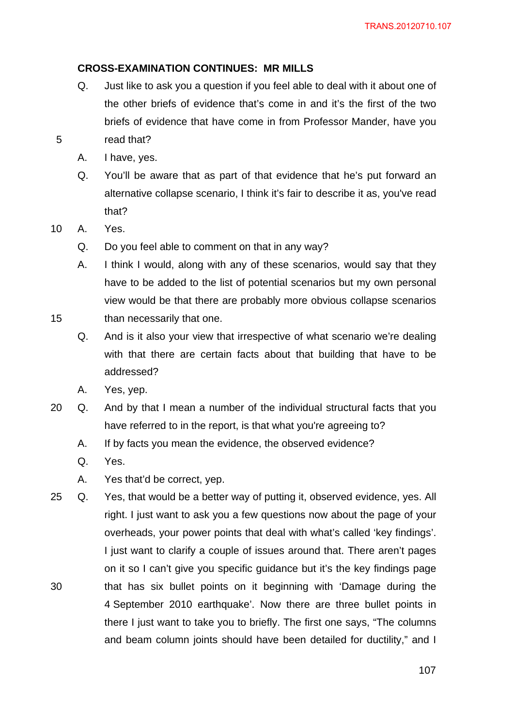# **CROSS-EXAMINATION CONTINUES: MR MILLS**

- Q. Just like to ask you a question if you feel able to deal with it about one of the other briefs of evidence that's come in and it's the first of the two briefs of evidence that have come in from Professor Mander, have you read that?
- A. I have, yes.
- Q. You'll be aware that as part of that evidence that he's put forward an alternative collapse scenario, I think it's fair to describe it as, you've read that?
- 10 A. Yes.

- Q. Do you feel able to comment on that in any way?
- A. I think I would, along with any of these scenarios, would say that they have to be added to the list of potential scenarios but my own personal view would be that there are probably more obvious collapse scenarios
- 15 than necessarily that one.
	- Q. And is it also your view that irrespective of what scenario we're dealing with that there are certain facts about that building that have to be addressed?
	- A. Yes, yep.
- 20 Q. And by that I mean a number of the individual structural facts that you have referred to in the report, is that what you're agreeing to?
	- A. If by facts you mean the evidence, the observed evidence?
	- Q. Yes.
	- A. Yes that'd be correct, yep.
- 30 25 Q. Yes, that would be a better way of putting it, observed evidence, yes. All right. I just want to ask you a few questions now about the page of your overheads, your power points that deal with what's called 'key findings'. I just want to clarify a couple of issues around that. There aren't pages on it so I can't give you specific guidance but it's the key findings page that has six bullet points on it beginning with 'Damage during the 4 September 2010 earthquake'. Now there are three bullet points in there I just want to take you to briefly. The first one says, "The columns and beam column joints should have been detailed for ductility," and I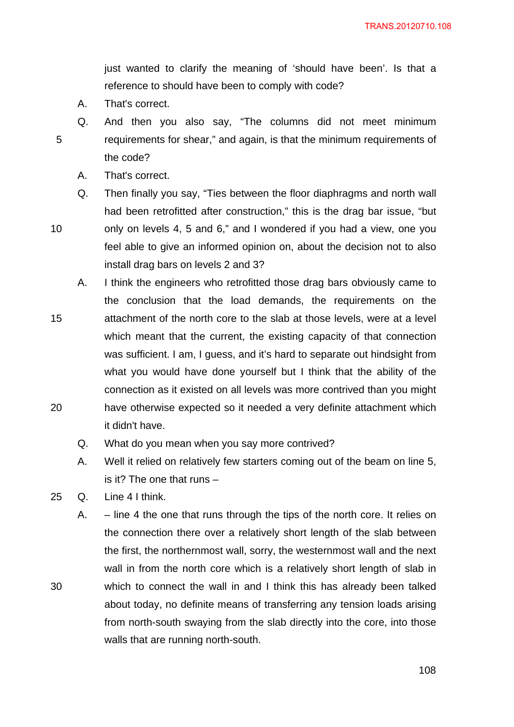just wanted to clarify the meaning of 'should have been'. Is that a reference to should have been to comply with code?

A. That's correct.

5

Q. And then you also say, "The columns did not meet minimum requirements for shear," and again, is that the minimum requirements of the code?

- A. That's correct.
- Q. Then finally you say, "Ties between the floor diaphragms and north wall had been retrofitted after construction," this is the drag bar issue, "but

10

only on levels 4, 5 and 6," and I wondered if you had a view, one you feel able to give an informed opinion on, about the decision not to also install drag bars on levels 2 and 3?

- 15 20 A. I think the engineers who retrofitted those drag bars obviously came to the conclusion that the load demands, the requirements on the attachment of the north core to the slab at those levels, were at a level which meant that the current, the existing capacity of that connection was sufficient. I am, I guess, and it's hard to separate out hindsight from what you would have done yourself but I think that the ability of the connection as it existed on all levels was more contrived than you might have otherwise expected so it needed a very definite attachment which it didn't have.
	- Q. What do you mean when you say more contrived?
	- A. Well it relied on relatively few starters coming out of the beam on line 5, is it? The one that runs –
- 25 Q. Line 4 I think.

30

A. – line 4 the one that runs through the tips of the north core. It relies on the connection there over a relatively short length of the slab between the first, the northernmost wall, sorry, the westernmost wall and the next wall in from the north core which is a relatively short length of slab in which to connect the wall in and I think this has already been talked about today, no definite means of transferring any tension loads arising from north-south swaying from the slab directly into the core, into those walls that are running north-south.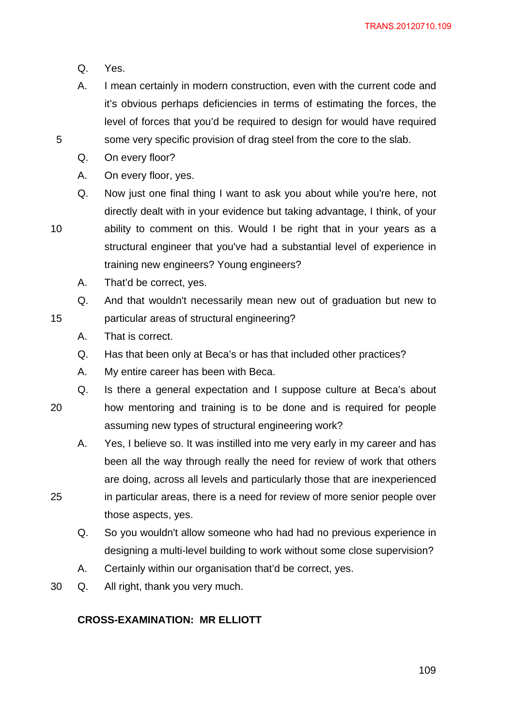- Q. Yes.
- A. I mean certainly in modern construction, even with the current code and it's obvious perhaps deficiencies in terms of estimating the forces, the level of forces that you'd be required to design for would have required some very specific provision of drag steel from the core to the slab.
- Q. On every floor?
- A. On every floor, yes.
- Q. Now just one final thing I want to ask you about while you're here, not directly dealt with in your evidence but taking advantage, I think, of your ability to comment on this. Would I be right that in your years as a

15

25

5

structural engineer that you've had a substantial level of experience in training new engineers? Young engineers?

A. That'd be correct, yes.

Q. And that wouldn't necessarily mean new out of graduation but new to particular areas of structural engineering?

- A. That is correct.
- Q. Has that been only at Beca's or has that included other practices?
- A. My entire career has been with Beca.

Q. Is there a general expectation and I suppose culture at Beca's about

- 20 how mentoring and training is to be done and is required for people assuming new types of structural engineering work?
	- A. Yes, I believe so. It was instilled into me very early in my career and has been all the way through really the need for review of work that others are doing, across all levels and particularly those that are inexperienced in particular areas, there is a need for review of more senior people over
	- those aspects, yes. Q. So you wouldn't allow someone who had had no previous experience in
		- designing a multi-level building to work without some close supervision?
		- A. Certainly within our organisation that'd be correct, yes.
- 30 Q. All right, thank you very much.

# **CROSS-EXAMINATION: MR ELLIOTT**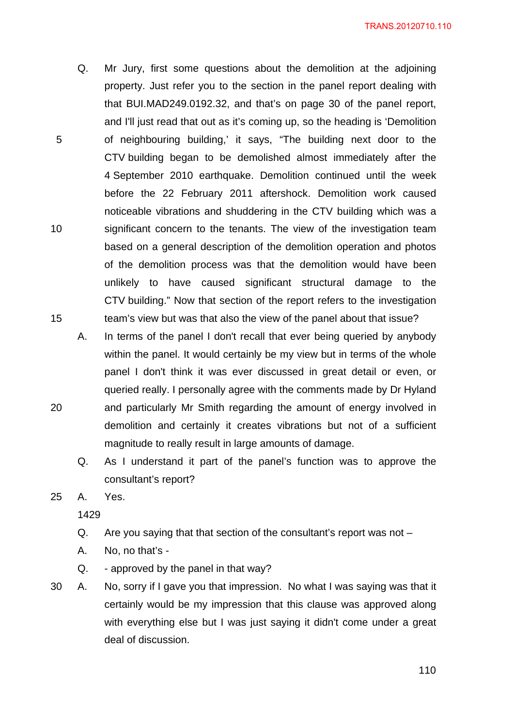Q. Mr Jury, first some questions about the demolition at the adjoining property. Just refer you to the section in the panel report dealing with that BUI.MAD249.0192.32, and that's on page 30 of the panel report, and I'll just read that out as it's coming up, so the heading is 'Demolition of neighbouring building,' it says, "The building next door to the CTV building began to be demolished almost immediately after the 4 September 2010 earthquake. Demolition continued until the week before the 22 February 2011 aftershock. Demolition work caused noticeable vibrations and shuddering in the CTV building which was a significant concern to the tenants. The view of the investigation team based on a general description of the demolition operation and photos of the demolition process was that the demolition would have been unlikely to have caused significant structural damage to the CTV building." Now that section of the report refers to the investigation team's view but was that also the view of the panel about that issue?

A. In terms of the panel I don't recall that ever being queried by anybody within the panel. It would certainly be my view but in terms of the whole panel I don't think it was ever discussed in great detail or even, or queried really. I personally agree with the comments made by Dr Hyland and particularly Mr Smith regarding the amount of energy involved in demolition and certainly it creates vibrations but not of a sufficient magnitude to really result in large amounts of damage.

Q. As I understand it part of the panel's function was to approve the consultant's report?

25 A. Yes.

5

10

15

20

- Q. Are you saying that that section of the consultant's report was not –
- A. No, no that's -
- Q. approved by the panel in that way?
- 30 A. No, sorry if I gave you that impression. No what I was saying was that it certainly would be my impression that this clause was approved along with everything else but I was just saying it didn't come under a great deal of discussion.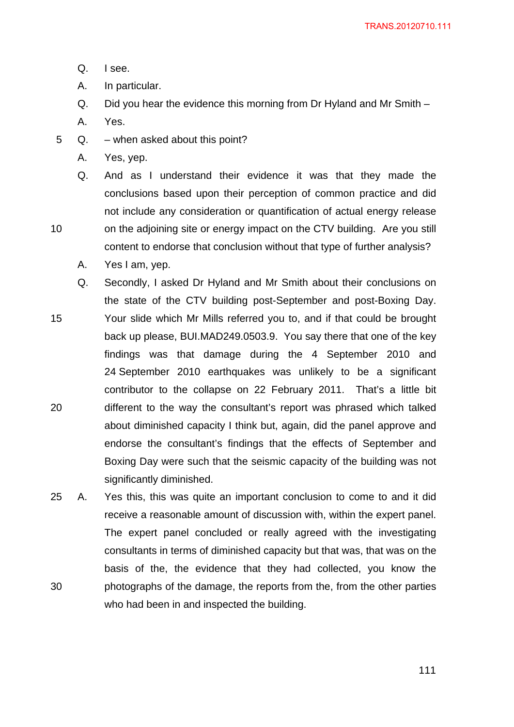- Q. I see.
- A. In particular.
- Q. Did you hear the evidence this morning from Dr Hyland and Mr Smith –
- A. Yes.

- 5 Q. when asked about this point?
	- A. Yes, yep.
	- Q. And as I understand their evidence it was that they made the conclusions based upon their perception of common practice and did not include any consideration or quantification of actual energy release on the adjoining site or energy impact on the CTV building. Are you still content to endorse that conclusion without that type of further analysis?
	- A. Yes I am, yep.
- 15 20 Q. Secondly, I asked Dr Hyland and Mr Smith about their conclusions on the state of the CTV building post-September and post-Boxing Day. Your slide which Mr Mills referred you to, and if that could be brought back up please, BUI.MAD249.0503.9. You say there that one of the key findings was that damage during the 4 September 2010 and 24 September 2010 earthquakes was unlikely to be a significant contributor to the collapse on 22 February 2011. That's a little bit different to the way the consultant's report was phrased which talked about diminished capacity I think but, again, did the panel approve and endorse the consultant's findings that the effects of September and Boxing Day were such that the seismic capacity of the building was not significantly diminished.
- 30 25 A. Yes this, this was quite an important conclusion to come to and it did receive a reasonable amount of discussion with, within the expert panel. The expert panel concluded or really agreed with the investigating consultants in terms of diminished capacity but that was, that was on the basis of the, the evidence that they had collected, you know the photographs of the damage, the reports from the, from the other parties who had been in and inspected the building.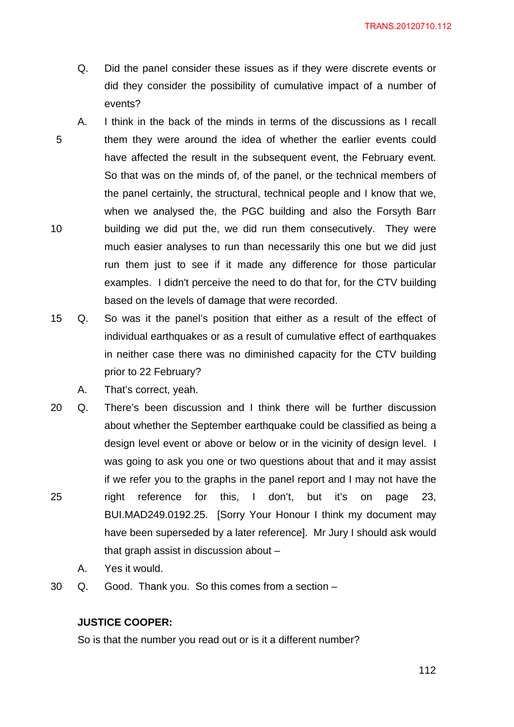- Q. Did the panel consider these issues as if they were discrete events or did they consider the possibility of cumulative impact of a number of events?
- 5 10 A. I think in the back of the minds in terms of the discussions as I recall them they were around the idea of whether the earlier events could have affected the result in the subsequent event, the February event. So that was on the minds of, of the panel, or the technical members of the panel certainly, the structural, technical people and I know that we, when we analysed the, the PGC building and also the Forsyth Barr building we did put the, we did run them consecutively. They were much easier analyses to run than necessarily this one but we did just run them just to see if it made any difference for those particular examples. I didn't perceive the need to do that for, for the CTV building based on the levels of damage that were recorded.
- 15 Q. So was it the panel's position that either as a result of the effect of individual earthquakes or as a result of cumulative effect of earthquakes in neither case there was no diminished capacity for the CTV building prior to 22 February?
	- A. That's correct, yeah.
- 25 20 Q. There's been discussion and I think there will be further discussion about whether the September earthquake could be classified as being a design level event or above or below or in the vicinity of design level. I was going to ask you one or two questions about that and it may assist if we refer you to the graphs in the panel report and I may not have the right reference for this, I don't, but it's on page 23, BUI.MAD249.0192.25. [Sorry Your Honour I think my document may have been superseded by a later reference]. Mr Jury I should ask would that graph assist in discussion about –
	- A. Yes it would.
- 30 Q. Good. Thank you. So this comes from a section –

## **JUSTICE COOPER:**

So is that the number you read out or is it a different number?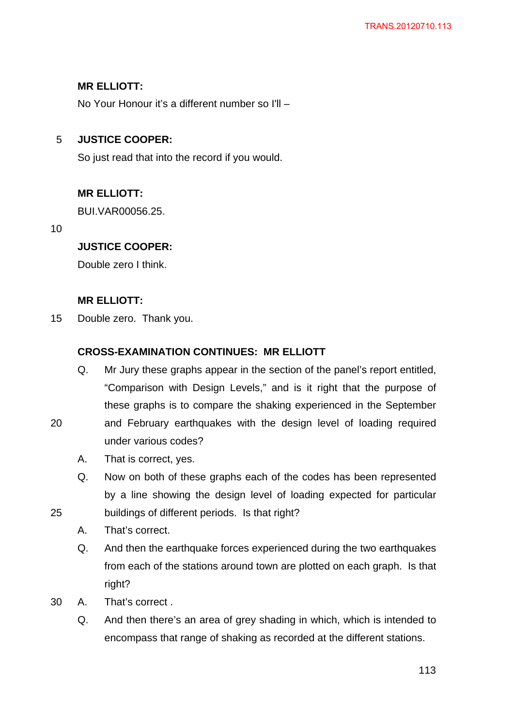# **MR ELLIOTT:**

No Your Honour it's a different number so I'll –

#### 5 **JUSTICE COOPER:**

So just read that into the record if you would.

# **MR ELLIOTT:**

BUI.VAR00056.25.

10

25

# **JUSTICE COOPER:**

Double zero I think.

# **MR ELLIOTT:**

15 Double zero. Thank you.

# **CROSS-EXAMINATION CONTINUES: MR ELLIOTT**

- Q. Mr Jury these graphs appear in the section of the panel's report entitled, "Comparison with Design Levels," and is it right that the purpose of these graphs is to compare the shaking experienced in the September
- 20 and February earthquakes with the design level of loading required under various codes?
	- A. That is correct, yes.
	- Q. Now on both of these graphs each of the codes has been represented by a line showing the design level of loading expected for particular buildings of different periods. Is that right?
	- A. That's correct.
	- Q. And then the earthquake forces experienced during the two earthquakes from each of the stations around town are plotted on each graph. Is that right?
- 30 A. That's correct .
	- Q. And then there's an area of grey shading in which, which is intended to encompass that range of shaking as recorded at the different stations.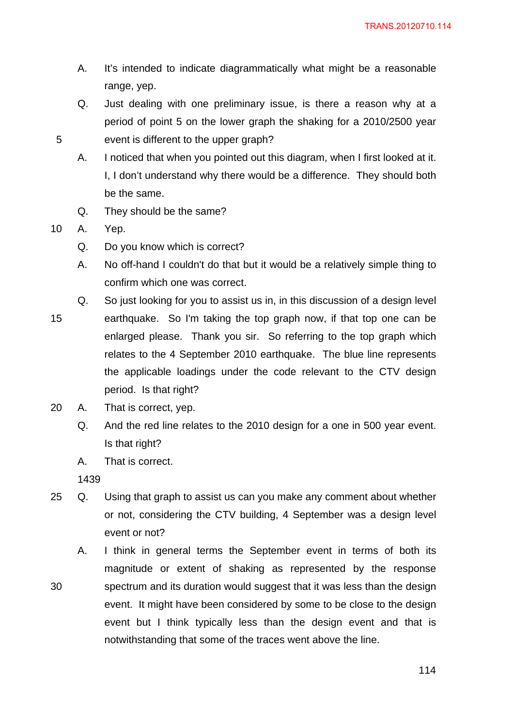- A. It's intended to indicate diagrammatically what might be a reasonable range, yep.
- Q. Just dealing with one preliminary issue, is there a reason why at a period of point 5 on the lower graph the shaking for a 2010/2500 year event is different to the upper graph?
- A. I noticed that when you pointed out this diagram, when I first looked at it. I, I don't understand why there would be a difference. They should both be the same.
- Q. They should be the same?

10 A. Yep.

5

- Q. Do you know which is correct?
- A. No off-hand I couldn't do that but it would be a relatively simple thing to confirm which one was correct.
- 15 Q. So just looking for you to assist us in, in this discussion of a design level earthquake. So I'm taking the top graph now, if that top one can be enlarged please. Thank you sir. So referring to the top graph which relates to the 4 September 2010 earthquake. The blue line represents the applicable loadings under the code relevant to the CTV design period. Is that right?
- 20 A. That is correct, yep.
	- Q. And the red line relates to the 2010 design for a one in 500 year event. Is that right?
	- A. That is correct.

- 25 Q. Using that graph to assist us can you make any comment about whether or not, considering the CTV building, 4 September was a design level event or not?
- 30 A. I think in general terms the September event in terms of both its magnitude or extent of shaking as represented by the response spectrum and its duration would suggest that it was less than the design event. It might have been considered by some to be close to the design event but I think typically less than the design event and that is notwithstanding that some of the traces went above the line.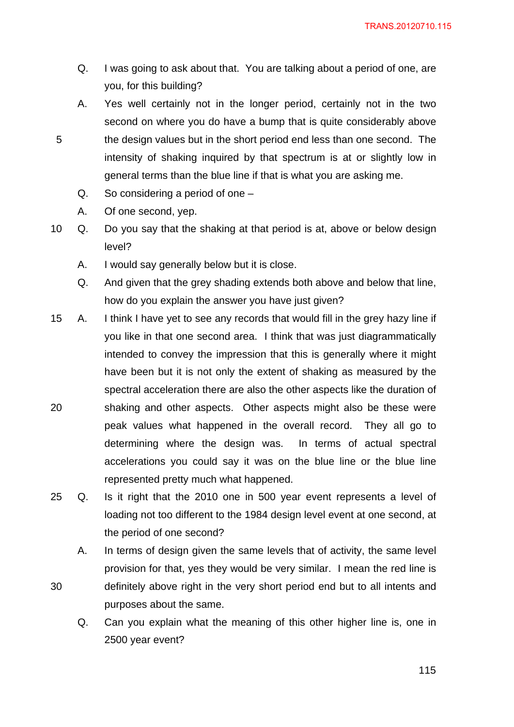- Q. I was going to ask about that. You are talking about a period of one, are you, for this building?
- A. Yes well certainly not in the longer period, certainly not in the two second on where you do have a bump that is quite considerably above the design values but in the short period end less than one second. The intensity of shaking inquired by that spectrum is at or slightly low in general terms than the blue line if that is what you are asking me.
	- Q. So considering a period of one –
	- A. Of one second, yep.

- 10 Q. Do you say that the shaking at that period is at, above or below design level?
	- A. I would say generally below but it is close.
	- Q. And given that the grey shading extends both above and below that line, how do you explain the answer you have just given?
- 20 15 A. I think I have yet to see any records that would fill in the grey hazy line if you like in that one second area. I think that was just diagrammatically intended to convey the impression that this is generally where it might have been but it is not only the extent of shaking as measured by the spectral acceleration there are also the other aspects like the duration of shaking and other aspects. Other aspects might also be these were peak values what happened in the overall record. They all go to determining where the design was. In terms of actual spectral accelerations you could say it was on the blue line or the blue line represented pretty much what happened.
- 25 Q. Is it right that the 2010 one in 500 year event represents a level of loading not too different to the 1984 design level event at one second, at the period of one second?
	- A. In terms of design given the same levels that of activity, the same level provision for that, yes they would be very similar. I mean the red line is definitely above right in the very short period end but to all intents and purposes about the same.
		- Q. Can you explain what the meaning of this other higher line is, one in 2500 year event?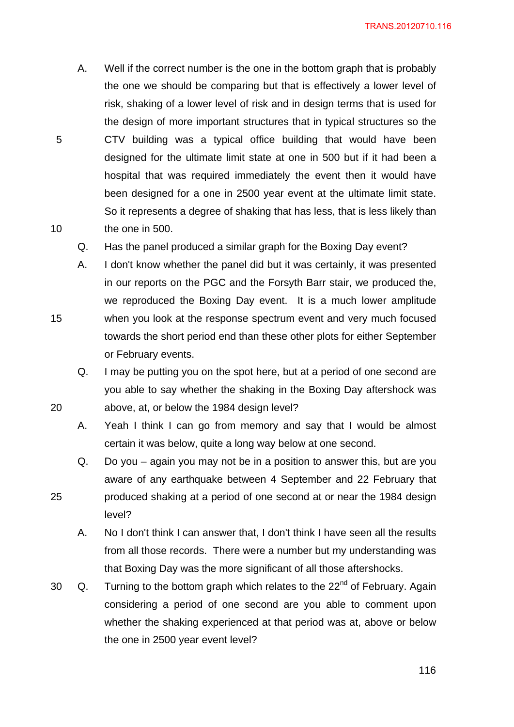A. Well if the correct number is the one in the bottom graph that is probably the one we should be comparing but that is effectively a lower level of risk, shaking of a lower level of risk and in design terms that is used for the design of more important structures that in typical structures so the CTV building was a typical office building that would have been designed for the ultimate limit state at one in 500 but if it had been a hospital that was required immediately the event then it would have been designed for a one in 2500 year event at the ultimate limit state. So it represents a degree of shaking that has less, that is less likely than the one in 500.

5

10

15

20

- Q. Has the panel produced a similar graph for the Boxing Day event?
- A. I don't know whether the panel did but it was certainly, it was presented in our reports on the PGC and the Forsyth Barr stair, we produced the, we reproduced the Boxing Day event. It is a much lower amplitude when you look at the response spectrum event and very much focused towards the short period end than these other plots for either September or February events.
	- Q. I may be putting you on the spot here, but at a period of one second are you able to say whether the shaking in the Boxing Day aftershock was above, at, or below the 1984 design level?
	- A. Yeah I think I can go from memory and say that I would be almost certain it was below, quite a long way below at one second.
- Q. Do you again you may not be in a position to answer this, but are you aware of any earthquake between 4 September and 22 February that produced shaking at a period of one second at or near the 1984 design level?
	- A. No I don't think I can answer that, I don't think I have seen all the results from all those records. There were a number but my understanding was that Boxing Day was the more significant of all those aftershocks.
- 30  $\alpha$ . Turning to the bottom graph which relates to the 22<sup>nd</sup> of February. Again considering a period of one second are you able to comment upon whether the shaking experienced at that period was at, above or below the one in 2500 year event level?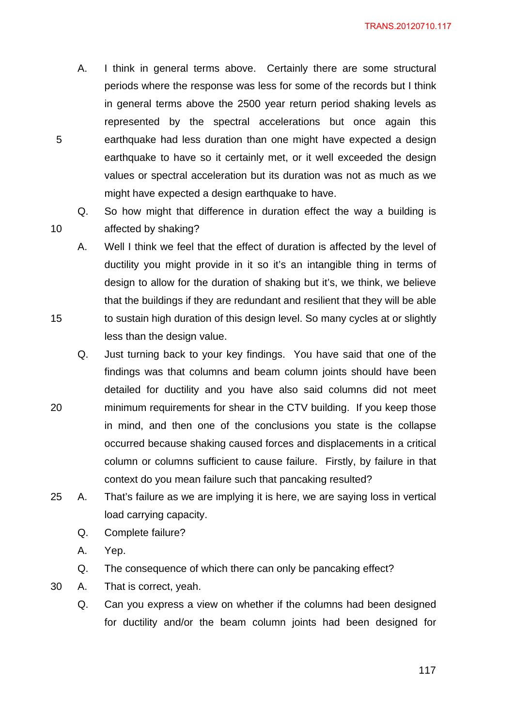- A. I think in general terms above. Certainly there are some structural periods where the response was less for some of the records but I think in general terms above the 2500 year return period shaking levels as represented by the spectral accelerations but once again this earthquake had less duration than one might have expected a design earthquake to have so it certainly met, or it well exceeded the design values or spectral acceleration but its duration was not as much as we might have expected a design earthquake to have.
- Q. So how might that difference in duration effect the way a building is affected by shaking?
- A. Well I think we feel that the effect of duration is affected by the level of ductility you might provide in it so it's an intangible thing in terms of design to allow for the duration of shaking but it's, we think, we believe that the buildings if they are redundant and resilient that they will be able to sustain high duration of this design level. So many cycles at or slightly less than the design value.
- 20 Q. Just turning back to your key findings. You have said that one of the findings was that columns and beam column joints should have been detailed for ductility and you have also said columns did not meet minimum requirements for shear in the CTV building. If you keep those in mind, and then one of the conclusions you state is the collapse occurred because shaking caused forces and displacements in a critical column or columns sufficient to cause failure. Firstly, by failure in that context do you mean failure such that pancaking resulted?
- 25 A. That's failure as we are implying it is here, we are saying loss in vertical load carrying capacity.
	- Q. Complete failure?
	- A. Yep.

10

- Q. The consequence of which there can only be pancaking effect?
- 30 A. That is correct, yeah.
	- Q. Can you express a view on whether if the columns had been designed for ductility and/or the beam column joints had been designed for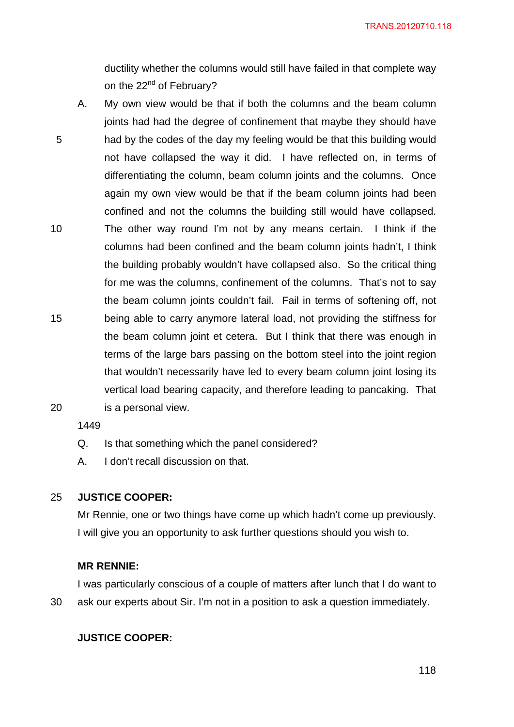ductility whether the columns would still have failed in that complete way on the 22<sup>nd</sup> of February?

5 10 15 A. My own view would be that if both the columns and the beam column joints had had the degree of confinement that maybe they should have had by the codes of the day my feeling would be that this building would not have collapsed the way it did. I have reflected on, in terms of differentiating the column, beam column joints and the columns. Once again my own view would be that if the beam column joints had been confined and not the columns the building still would have collapsed. The other way round I'm not by any means certain. I think if the columns had been confined and the beam column joints hadn't, I think the building probably wouldn't have collapsed also. So the critical thing for me was the columns, confinement of the columns. That's not to say the beam column joints couldn't fail. Fail in terms of softening off, not being able to carry anymore lateral load, not providing the stiffness for the beam column joint et cetera. But I think that there was enough in terms of the large bars passing on the bottom steel into the joint region that wouldn't necessarily have led to every beam column joint losing its vertical load bearing capacity, and therefore leading to pancaking. That is a personal view.

20

1449

- Q. Is that something which the panel considered?
- A. I don't recall discussion on that.

#### 25 **JUSTICE COOPER:**

Mr Rennie, one or two things have come up which hadn't come up previously. I will give you an opportunity to ask further questions should you wish to.

### **MR RENNIE:**

30 I was particularly conscious of a couple of matters after lunch that I do want to ask our experts about Sir. I'm not in a position to ask a question immediately.

## **JUSTICE COOPER:**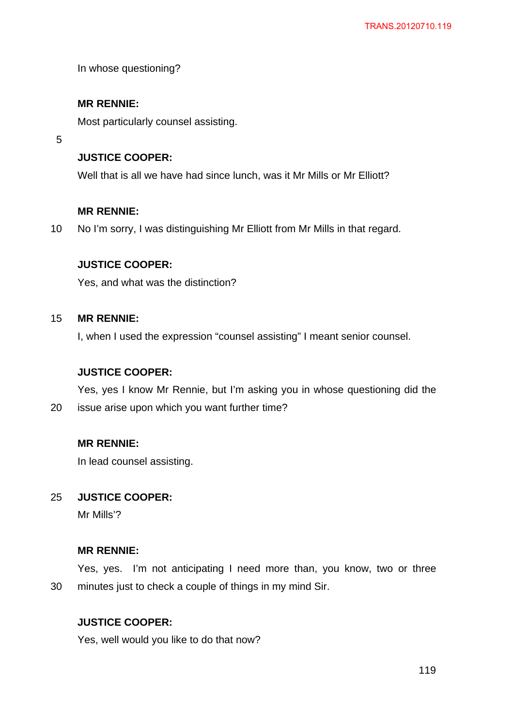In whose questioning?

### **MR RENNIE:**

Most particularly counsel assisting.

5

## **JUSTICE COOPER:**

Well that is all we have had since lunch, was it Mr Mills or Mr Elliott?

### **MR RENNIE:**

10 No I'm sorry, I was distinguishing Mr Elliott from Mr Mills in that regard.

### **JUSTICE COOPER:**

Yes, and what was the distinction?

#### 15 **MR RENNIE:**

I, when I used the expression "counsel assisting" I meant senior counsel.

## **JUSTICE COOPER:**

20 Yes, yes I know Mr Rennie, but I'm asking you in whose questioning did the issue arise upon which you want further time?

### **MR RENNIE:**

In lead counsel assisting.

#### 25 **JUSTICE COOPER:**

Mr Mills'?

### **MR RENNIE:**

30 Yes, yes. I'm not anticipating I need more than, you know, two or three minutes just to check a couple of things in my mind Sir.

## **JUSTICE COOPER:**

Yes, well would you like to do that now?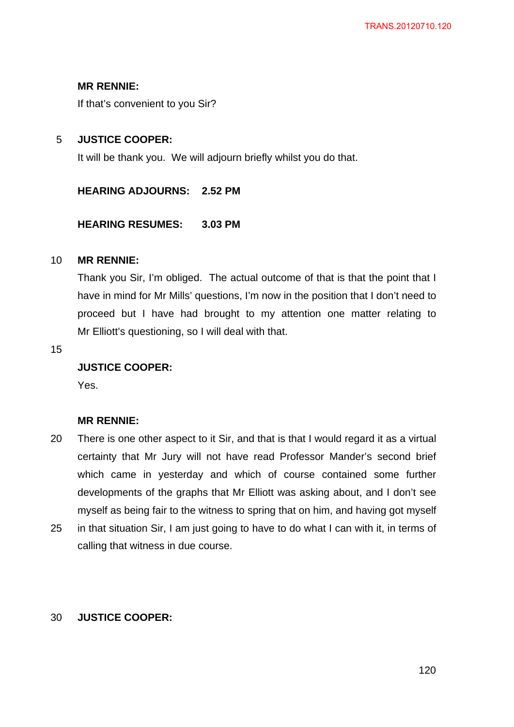## **MR RENNIE:**

If that's convenient to you Sir?

#### 5 **JUSTICE COOPER:**

It will be thank you. We will adjourn briefly whilst you do that.

### **HEARING ADJOURNS: 2.52 PM**

### **HEARING RESUMES: 3.03 PM**

#### 10 **MR RENNIE:**

Thank you Sir, I'm obliged. The actual outcome of that is that the point that I have in mind for Mr Mills' questions, I'm now in the position that I don't need to proceed but I have had brought to my attention one matter relating to Mr Elliott's questioning, so I will deal with that.

15

## **JUSTICE COOPER:**

Yes.

## **MR RENNIE:**

- 20 There is one other aspect to it Sir, and that is that I would regard it as a virtual certainty that Mr Jury will not have read Professor Mander's second brief which came in yesterday and which of course contained some further developments of the graphs that Mr Elliott was asking about, and I don't see myself as being fair to the witness to spring that on him, and having got myself
- 25 in that situation Sir, I am just going to have to do what I can with it, in terms of calling that witness in due course.

#### 30 **JUSTICE COOPER:**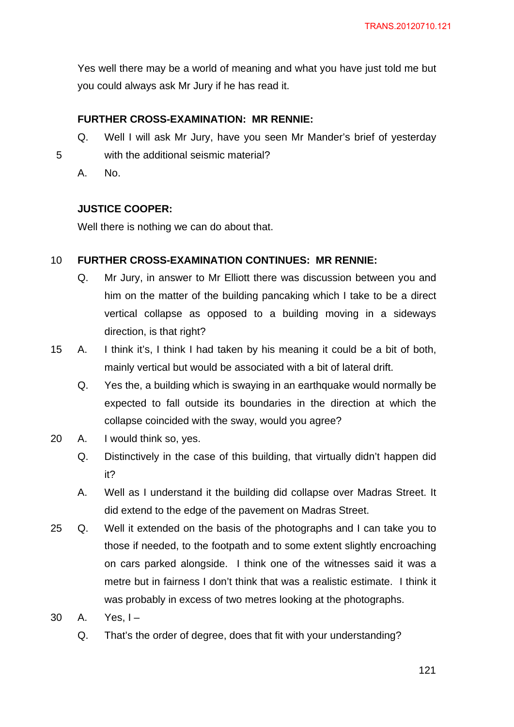Yes well there may be a world of meaning and what you have just told me but you could always ask Mr Jury if he has read it.

## **FURTHER CROSS-EXAMINATION: MR RENNIE:**

- Q. Well I will ask Mr Jury, have you seen Mr Mander's brief of yesterday with the additional seismic material?
	- A. No.

5

#### **JUSTICE COOPER:**

Well there is nothing we can do about that.

#### 10 **FURTHER CROSS-EXAMINATION CONTINUES: MR RENNIE:**

- Q. Mr Jury, in answer to Mr Elliott there was discussion between you and him on the matter of the building pancaking which I take to be a direct vertical collapse as opposed to a building moving in a sideways direction, is that right?
- 15 A. I think it's, I think I had taken by his meaning it could be a bit of both, mainly vertical but would be associated with a bit of lateral drift.
	- Q. Yes the, a building which is swaying in an earthquake would normally be expected to fall outside its boundaries in the direction at which the collapse coincided with the sway, would you agree?
- 20 A. I would think so, yes.
	- Q. Distinctively in the case of this building, that virtually didn't happen did it?
	- A. Well as I understand it the building did collapse over Madras Street. It did extend to the edge of the pavement on Madras Street.
- 25 Q. Well it extended on the basis of the photographs and I can take you to those if needed, to the footpath and to some extent slightly encroaching on cars parked alongside. I think one of the witnesses said it was a metre but in fairness I don't think that was a realistic estimate. I think it was probably in excess of two metres looking at the photographs.
- 30 A. Yes, I-
	- Q. That's the order of degree, does that fit with your understanding?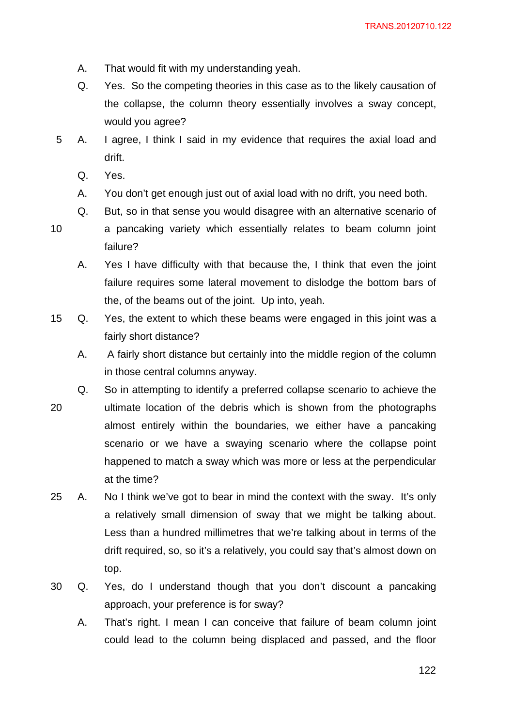- A. That would fit with my understanding yeah.
- Q. Yes. So the competing theories in this case as to the likely causation of the collapse, the column theory essentially involves a sway concept, would you agree?
- 5 A. I agree, I think I said in my evidence that requires the axial load and drift.
	- Q. Yes.
	- A. You don't get enough just out of axial load with no drift, you need both.
	- Q. But, so in that sense you would disagree with an alternative scenario of
- 10 a pancaking variety which essentially relates to beam column joint failure?
	- A. Yes I have difficulty with that because the, I think that even the joint failure requires some lateral movement to dislodge the bottom bars of the, of the beams out of the joint. Up into, yeah.
- 15 Q. Yes, the extent to which these beams were engaged in this joint was a fairly short distance?
	- A. A fairly short distance but certainly into the middle region of the column in those central columns anyway.
- 20 Q. So in attempting to identify a preferred collapse scenario to achieve the ultimate location of the debris which is shown from the photographs almost entirely within the boundaries, we either have a pancaking scenario or we have a swaying scenario where the collapse point happened to match a sway which was more or less at the perpendicular at the time?
- 25 A. No I think we've got to bear in mind the context with the sway. It's only a relatively small dimension of sway that we might be talking about. Less than a hundred millimetres that we're talking about in terms of the drift required, so, so it's a relatively, you could say that's almost down on top.
- 30 Q. Yes, do I understand though that you don't discount a pancaking approach, your preference is for sway?
	- A. That's right. I mean I can conceive that failure of beam column joint could lead to the column being displaced and passed, and the floor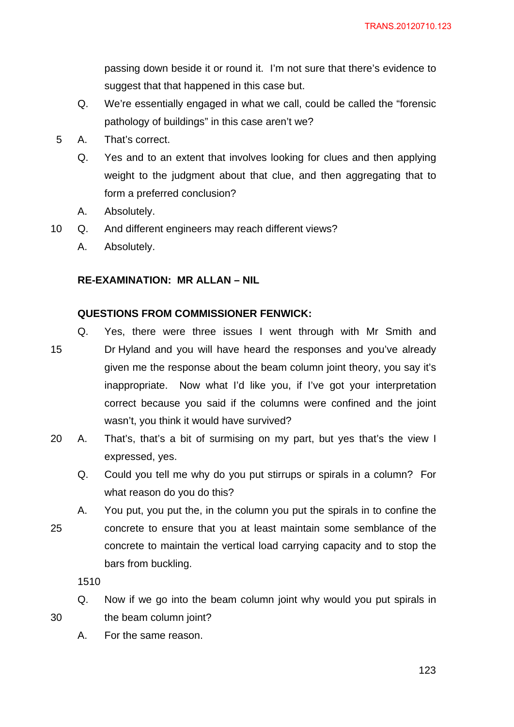passing down beside it or round it. I'm not sure that there's evidence to suggest that that happened in this case but.

- Q. We're essentially engaged in what we call, could be called the "forensic pathology of buildings" in this case aren't we?
- 5 A. That's correct.
	- Q. Yes and to an extent that involves looking for clues and then applying weight to the judgment about that clue, and then aggregating that to form a preferred conclusion?
	- A. Absolutely.
- 10 Q. And different engineers may reach different views?
	- A. Absolutely.

## **RE-EXAMINATION: MR ALLAN – NIL**

#### **QUESTIONS FROM COMMISSIONER FENWICK:**

15 Q. Yes, there were three issues I went through with Mr Smith and Dr Hyland and you will have heard the responses and you've already given me the response about the beam column joint theory, you say it's inappropriate. Now what I'd like you, if I've got your interpretation correct because you said if the columns were confined and the joint wasn't, you think it would have survived?

- 20 A. That's, that's a bit of surmising on my part, but yes that's the view I expressed, yes.
	- Q. Could you tell me why do you put stirrups or spirals in a column? For what reason do you do this?
- 25 A. You put, you put the, in the column you put the spirals in to confine the concrete to ensure that you at least maintain some semblance of the concrete to maintain the vertical load carrying capacity and to stop the bars from buckling.

1510

- Q. Now if we go into the beam column joint why would you put spirals in the beam column joint?
- A. For the same reason.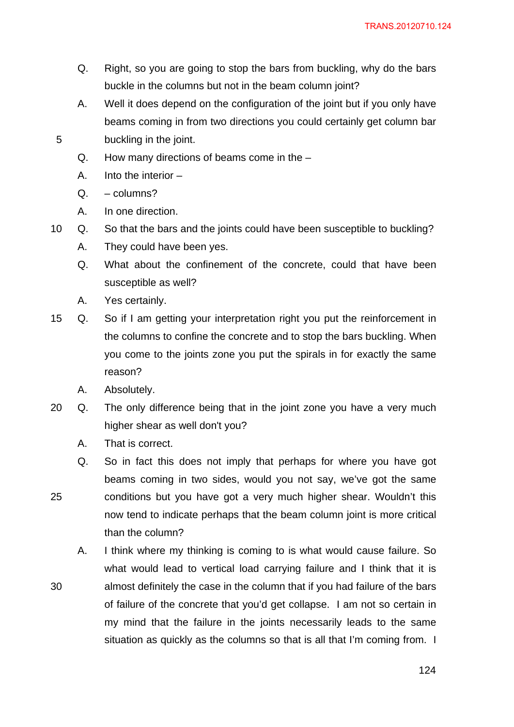- Q. Right, so you are going to stop the bars from buckling, why do the bars buckle in the columns but not in the beam column joint?
- A. Well it does depend on the configuration of the joint but if you only have beams coming in from two directions you could certainly get column bar buckling in the joint.
- Q. How many directions of beams come in the –
- A. Into the interior –
- Q. columns?

25

- A. In one direction.
- 10 Q. So that the bars and the joints could have been susceptible to buckling?
	- A. They could have been yes.
	- Q. What about the confinement of the concrete, could that have been susceptible as well?
	- A. Yes certainly.
- 15 Q. So if I am getting your interpretation right you put the reinforcement in the columns to confine the concrete and to stop the bars buckling. When you come to the joints zone you put the spirals in for exactly the same reason?
	- A. Absolutely.
- 20 Q. The only difference being that in the joint zone you have a very much higher shear as well don't you?
	- A. That is correct.
	- Q. So in fact this does not imply that perhaps for where you have got beams coming in two sides, would you not say, we've got the same conditions but you have got a very much higher shear. Wouldn't this now tend to indicate perhaps that the beam column joint is more critical than the column?
	- A. I think where my thinking is coming to is what would cause failure. So what would lead to vertical load carrying failure and I think that it is almost definitely the case in the column that if you had failure of the bars of failure of the concrete that you'd get collapse. I am not so certain in my mind that the failure in the joints necessarily leads to the same situation as quickly as the columns so that is all that I'm coming from. I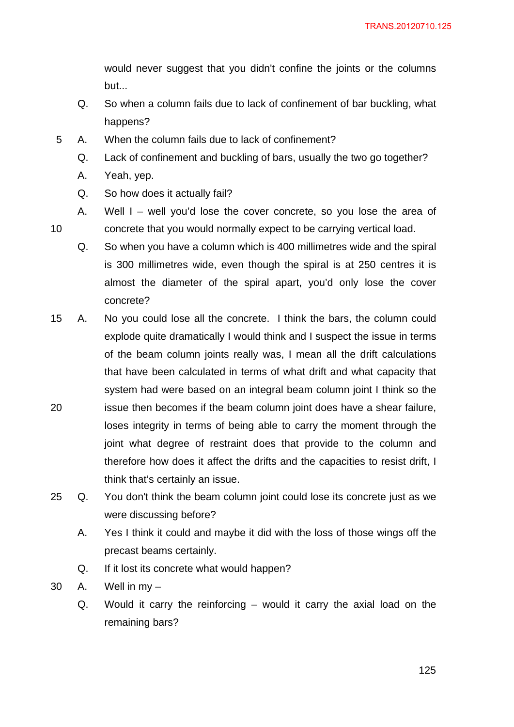would never suggest that you didn't confine the joints or the columns but...

- Q. So when a column fails due to lack of confinement of bar buckling, what happens?
- 5 A. When the column fails due to lack of confinement?
	- Q. Lack of confinement and buckling of bars, usually the two go together?
	- A. Yeah, yep.
	- Q. So how does it actually fail?
- 10 A. Well I – well you'd lose the cover concrete, so you lose the area of concrete that you would normally expect to be carrying vertical load.
	- Q. So when you have a column which is 400 millimetres wide and the spiral is 300 millimetres wide, even though the spiral is at 250 centres it is almost the diameter of the spiral apart, you'd only lose the cover concrete?
- 20 15 A. No you could lose all the concrete. I think the bars, the column could explode quite dramatically I would think and I suspect the issue in terms of the beam column joints really was, I mean all the drift calculations that have been calculated in terms of what drift and what capacity that system had were based on an integral beam column joint I think so the issue then becomes if the beam column joint does have a shear failure, loses integrity in terms of being able to carry the moment through the joint what degree of restraint does that provide to the column and therefore how does it affect the drifts and the capacities to resist drift, I
- 25 Q. You don't think the beam column joint could lose its concrete just as we were discussing before?
	- A. Yes I think it could and maybe it did with the loss of those wings off the precast beams certainly.
	- Q. If it lost its concrete what would happen?

think that's certainly an issue.

- 30 A. Well in my
	- Q. Would it carry the reinforcing would it carry the axial load on the remaining bars?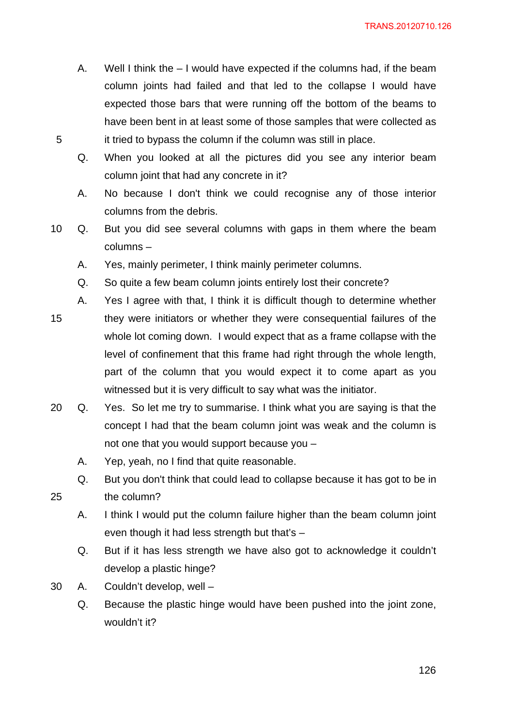- A. Well I think the I would have expected if the columns had, if the beam column joints had failed and that led to the collapse I would have expected those bars that were running off the bottom of the beams to have been bent in at least some of those samples that were collected as it tried to bypass the column if the column was still in place.
- Q. When you looked at all the pictures did you see any interior beam column joint that had any concrete in it?
- A. No because I don't think we could recognise any of those interior columns from the debris.
- 10 Q. But you did see several columns with gaps in them where the beam columns –
	- A. Yes, mainly perimeter, I think mainly perimeter columns.
	- Q. So quite a few beam column joints entirely lost their concrete?
- 15 A. Yes I agree with that, I think it is difficult though to determine whether they were initiators or whether they were consequential failures of the whole lot coming down. I would expect that as a frame collapse with the level of confinement that this frame had right through the whole length, part of the column that you would expect it to come apart as you witnessed but it is very difficult to say what was the initiator.
- 20 Q. Yes. So let me try to summarise. I think what you are saying is that the concept I had that the beam column joint was weak and the column is not one that you would support because you –
	- A. Yep, yeah, no I find that quite reasonable.
	- Q. But you don't think that could lead to collapse because it has got to be in the column?
	- A. I think I would put the column failure higher than the beam column joint even though it had less strength but that's –
	- Q. But if it has less strength we have also got to acknowledge it couldn't develop a plastic hinge?
- 30 A. Couldn't develop, well –

25

Q. Because the plastic hinge would have been pushed into the joint zone, wouldn't it?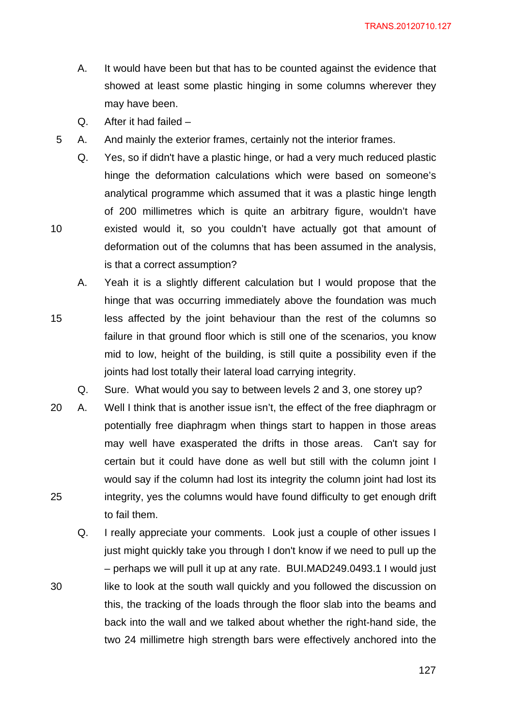- A. It would have been but that has to be counted against the evidence that showed at least some plastic hinging in some columns wherever they may have been.
- Q. After it had failed –

30

- 5 A. And mainly the exterior frames, certainly not the interior frames.
	- Q. Yes, so if didn't have a plastic hinge, or had a very much reduced plastic hinge the deformation calculations which were based on someone's analytical programme which assumed that it was a plastic hinge length of 200 millimetres which is quite an arbitrary figure, wouldn't have existed would it, so you couldn't have actually got that amount of deformation out of the columns that has been assumed in the analysis, is that a correct assumption?
- 15 A. Yeah it is a slightly different calculation but I would propose that the hinge that was occurring immediately above the foundation was much less affected by the joint behaviour than the rest of the columns so failure in that ground floor which is still one of the scenarios, you know mid to low, height of the building, is still quite a possibility even if the joints had lost totally their lateral load carrying integrity.

Q. Sure. What would you say to between levels 2 and 3, one storey up?

- 25 20 A. Well I think that is another issue isn't, the effect of the free diaphragm or potentially free diaphragm when things start to happen in those areas may well have exasperated the drifts in those areas. Can't say for certain but it could have done as well but still with the column joint I would say if the column had lost its integrity the column joint had lost its integrity, yes the columns would have found difficulty to get enough drift to fail them.
	- Q. I really appreciate your comments. Look just a couple of other issues I just might quickly take you through I don't know if we need to pull up the – perhaps we will pull it up at any rate. BUI.MAD249.0493.1 I would just like to look at the south wall quickly and you followed the discussion on this, the tracking of the loads through the floor slab into the beams and back into the wall and we talked about whether the right-hand side, the two 24 millimetre high strength bars were effectively anchored into the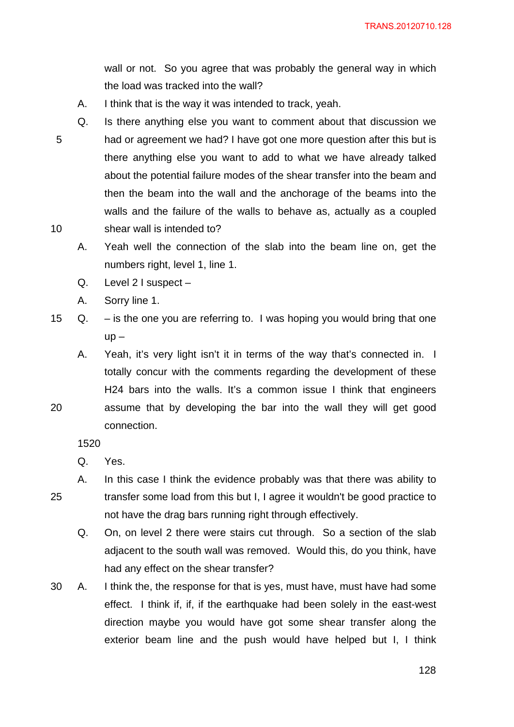wall or not. So you agree that was probably the general way in which the load was tracked into the wall?

- A. I think that is the way it was intended to track, yeah.
- 5 10 Q. Is there anything else you want to comment about that discussion we had or agreement we had? I have got one more question after this but is there anything else you want to add to what we have already talked about the potential failure modes of the shear transfer into the beam and then the beam into the wall and the anchorage of the beams into the walls and the failure of the walls to behave as, actually as a coupled shear wall is intended to?
	- A. Yeah well the connection of the slab into the beam line on, get the numbers right, level 1, line 1.
	- Q. Level 2 I suspect –
	- A. Sorry line 1.
- 15 Q. is the one you are referring to. I was hoping you would bring that one  $up -$ 
	- A. Yeah, it's very light isn't it in terms of the way that's connected in. I totally concur with the comments regarding the development of these H24 bars into the walls. It's a common issue I think that engineers assume that by developing the bar into the wall they will get good connection.

1520

20

Q. Yes.

- 25 A. In this case I think the evidence probably was that there was ability to transfer some load from this but I, I agree it wouldn't be good practice to not have the drag bars running right through effectively.
	- Q. On, on level 2 there were stairs cut through. So a section of the slab adjacent to the south wall was removed. Would this, do you think, have had any effect on the shear transfer?
- 30 A. I think the, the response for that is yes, must have, must have had some effect. I think if, if, if the earthquake had been solely in the east-west direction maybe you would have got some shear transfer along the exterior beam line and the push would have helped but I, I think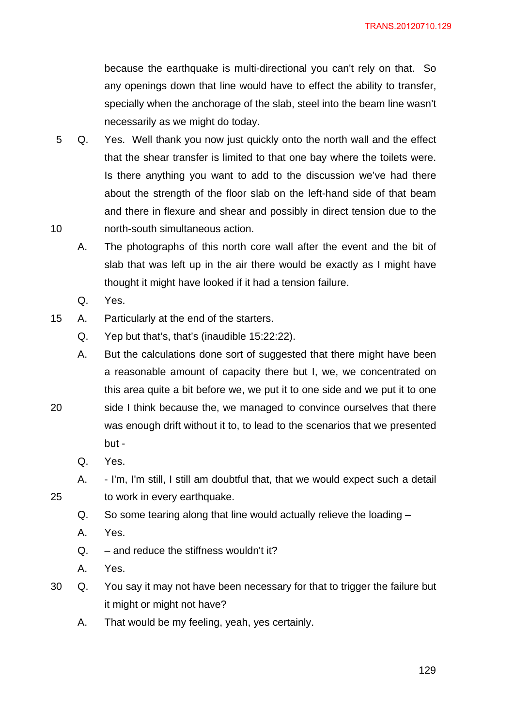because the earthquake is multi-directional you can't rely on that. So any openings down that line would have to effect the ability to transfer, specially when the anchorage of the slab, steel into the beam line wasn't necessarily as we might do today.

- 10 5 Q. Yes. Well thank you now just quickly onto the north wall and the effect that the shear transfer is limited to that one bay where the toilets were. Is there anything you want to add to the discussion we've had there about the strength of the floor slab on the left-hand side of that beam and there in flexure and shear and possibly in direct tension due to the north-south simultaneous action.
	- A. The photographs of this north core wall after the event and the bit of slab that was left up in the air there would be exactly as I might have thought it might have looked if it had a tension failure.
	- Q. Yes.
- 15 A. Particularly at the end of the starters.
	- Q. Yep but that's, that's (inaudible 15:22:22).
	- A. But the calculations done sort of suggested that there might have been a reasonable amount of capacity there but I, we, we concentrated on this area quite a bit before we, we put it to one side and we put it to one side I think because the, we managed to convince ourselves that there was enough drift without it to, to lead to the scenarios that we presented but -
		- Q. Yes.

20

- A. I'm, I'm still, I still am doubtful that, that we would expect such a detail to work in every earthquake.
- Q. So some tearing along that line would actually relieve the loading –
- A. Yes.
- $Q.$  and reduce the stiffness wouldn't it?
- A. Yes.
- 30 Q. You say it may not have been necessary for that to trigger the failure but it might or might not have?
	- A. That would be my feeling, yeah, yes certainly.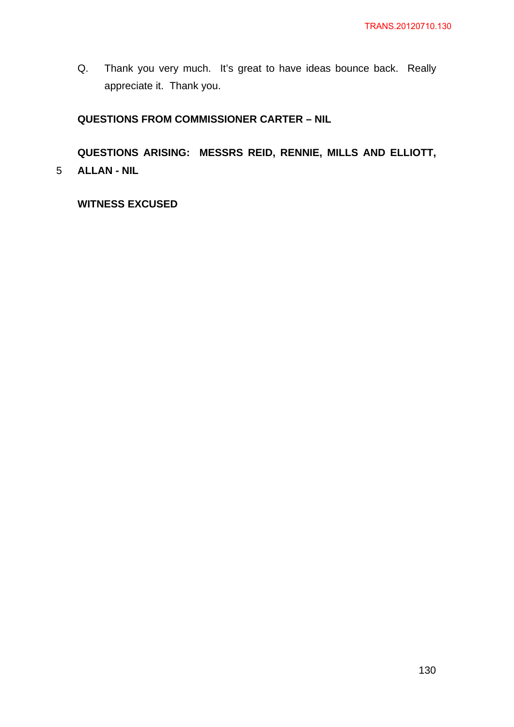Q. Thank you very much. It's great to have ideas bounce back. Really appreciate it. Thank you.

# **QUESTIONS FROM COMMISSIONER CARTER – NIL**

5 **ALLAN - NIL QUESTIONS ARISING: MESSRS REID, RENNIE, MILLS AND ELLIOTT,** 

**WITNESS EXCUSED**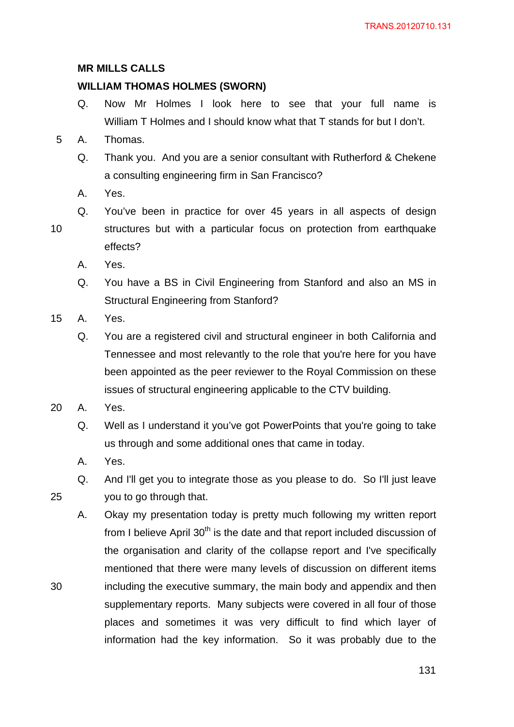## **MR MILLS CALLS**

# **WILLIAM THOMAS HOLMES (SWORN)**

- Q. Now Mr Holmes I look here to see that your full name is William T Holmes and I should know what that T stands for but I don't.
- 5 A. Thomas.
	- Q. Thank you. And you are a senior consultant with Rutherford & Chekene a consulting engineering firm in San Francisco?
	- A. Yes.
	- Q. You've been in practice for over 45 years in all aspects of design structures but with a particular focus on protection from earthquake effects?
		- A. Yes.
		- Q. You have a BS in Civil Engineering from Stanford and also an MS in Structural Engineering from Stanford?
- 15 A. Yes.

10

- Q. You are a registered civil and structural engineer in both California and Tennessee and most relevantly to the role that you're here for you have been appointed as the peer reviewer to the Royal Commission on these issues of structural engineering applicable to the CTV building.
- 20 A. Yes.

25

- Q. Well as I understand it you've got PowerPoints that you're going to take us through and some additional ones that came in today.
- A. Yes.
- Q. And I'll get you to integrate those as you please to do. So I'll just leave you to go through that.
- A. Okay my presentation today is pretty much following my written report from I believe April  $30<sup>th</sup>$  is the date and that report included discussion of the organisation and clarity of the collapse report and I've specifically mentioned that there were many levels of discussion on different items including the executive summary, the main body and appendix and then supplementary reports. Many subjects were covered in all four of those places and sometimes it was very difficult to find which layer of information had the key information. So it was probably due to the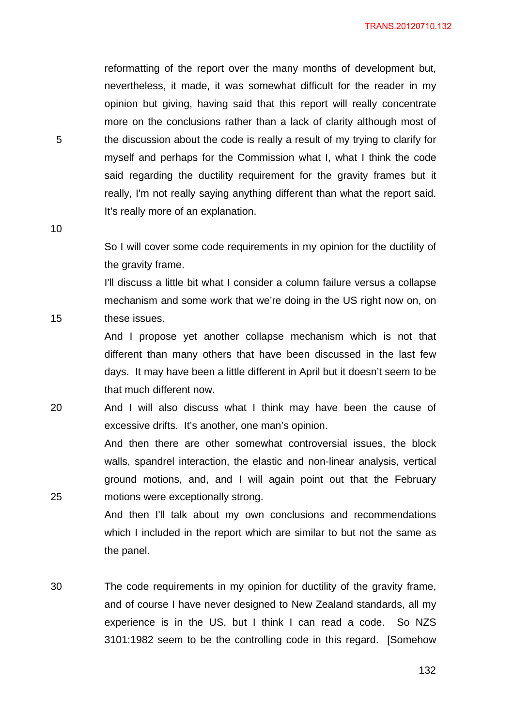reformatting of the report over the many months of development but, nevertheless, it made, it was somewhat difficult for the reader in my opinion but giving, having said that this report will really concentrate more on the conclusions rather than a lack of clarity although most of the discussion about the code is really a result of my trying to clarify for myself and perhaps for the Commission what I, what I think the code said regarding the ductility requirement for the gravity frames but it really, I'm not really saying anything different than what the report said. It's really more of an explanation.

10

15

25

5

So I will cover some code requirements in my opinion for the ductility of the gravity frame.

I'll discuss a little bit what I consider a column failure versus a collapse mechanism and some work that we're doing in the US right now on, on these issues.

And I propose yet another collapse mechanism which is not that different than many others that have been discussed in the last few days. It may have been a little different in April but it doesn't seem to be that much different now.

20 And I will also discuss what I think may have been the cause of excessive drifts. It's another, one man's opinion.

> And then there are other somewhat controversial issues, the block walls, spandrel interaction, the elastic and non-linear analysis, vertical ground motions, and, and I will again point out that the February motions were exceptionally strong.

> And then I'll talk about my own conclusions and recommendations which I included in the report which are similar to but not the same as the panel.

30 The code requirements in my opinion for ductility of the gravity frame, and of course I have never designed to New Zealand standards, all my experience is in the US, but I think I can read a code. So NZS 3101:1982 seem to be the controlling code in this regard. [Somehow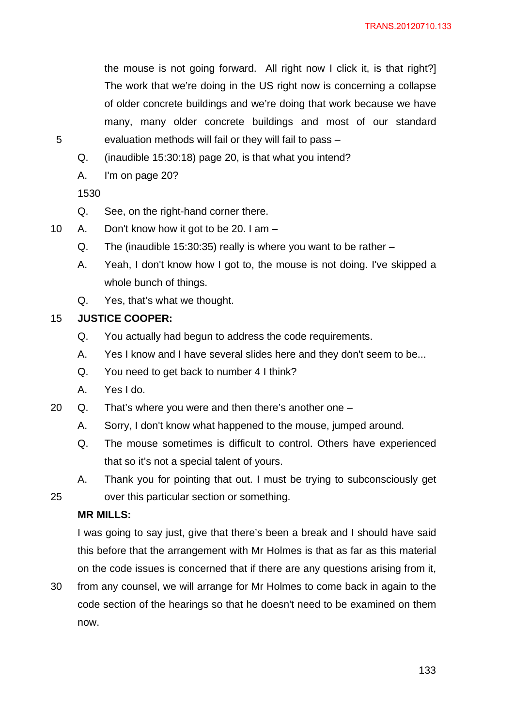the mouse is not going forward. All right now I click it, is that right?] The work that we're doing in the US right now is concerning a collapse of older concrete buildings and we're doing that work because we have many, many older concrete buildings and most of our standard evaluation methods will fail or they will fail to pass –

- Q. (inaudible 15:30:18) page 20, is that what you intend?
- A. I'm on page 20?

1530

5

- Q. See, on the right-hand corner there.
- 10 A. Don't know how it got to be 20. I am
	- Q. The (inaudible 15:30:35) really is where you want to be rather –
	- A. Yeah, I don't know how I got to, the mouse is not doing. I've skipped a whole bunch of things.
	- Q. Yes, that's what we thought.

#### 15 **JUSTICE COOPER:**

- Q. You actually had begun to address the code requirements.
- A. Yes I know and I have several slides here and they don't seem to be...
- Q. You need to get back to number 4 I think?
- A. Yes I do.
- 20 Q. That's where you were and then there's another one
	- A. Sorry, I don't know what happened to the mouse, jumped around.
	- Q. The mouse sometimes is difficult to control. Others have experienced that so it's not a special talent of yours.
	- A. Thank you for pointing that out. I must be trying to subconsciously get over this particular section or something.

#### **MR MILLS:**

25

I was going to say just, give that there's been a break and I should have said this before that the arrangement with Mr Holmes is that as far as this material on the code issues is concerned that if there are any questions arising from it,

30 from any counsel, we will arrange for Mr Holmes to come back in again to the code section of the hearings so that he doesn't need to be examined on them now.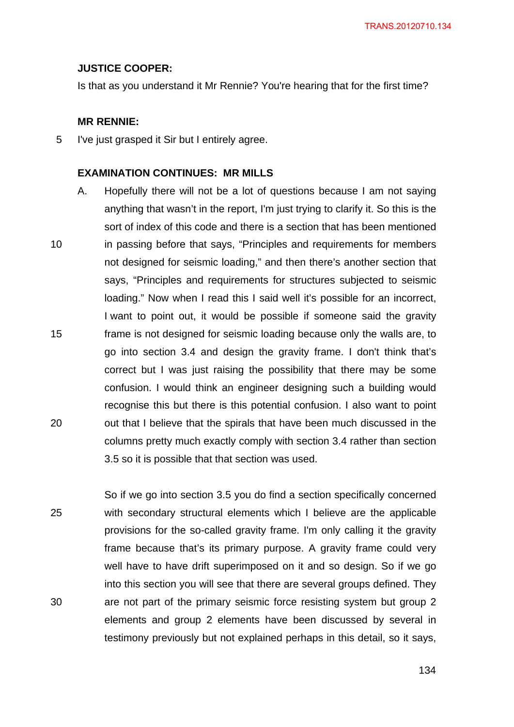#### **JUSTICE COOPER:**

Is that as you understand it Mr Rennie? You're hearing that for the first time?

#### **MR RENNIE:**

5 I've just grasped it Sir but I entirely agree.

### **EXAMINATION CONTINUES: MR MILLS**

10 15 20 A. Hopefully there will not be a lot of questions because I am not saying anything that wasn't in the report, I'm just trying to clarify it. So this is the sort of index of this code and there is a section that has been mentioned in passing before that says, "Principles and requirements for members not designed for seismic loading," and then there's another section that says, "Principles and requirements for structures subjected to seismic loading." Now when I read this I said well it's possible for an incorrect, I want to point out, it would be possible if someone said the gravity frame is not designed for seismic loading because only the walls are, to go into section 3.4 and design the gravity frame. I don't think that's correct but I was just raising the possibility that there may be some confusion. I would think an engineer designing such a building would recognise this but there is this potential confusion. I also want to point out that I believe that the spirals that have been much discussed in the columns pretty much exactly comply with section 3.4 rather than section 3.5 so it is possible that that section was used.

25 30 So if we go into section 3.5 you do find a section specifically concerned with secondary structural elements which I believe are the applicable provisions for the so-called gravity frame. I'm only calling it the gravity frame because that's its primary purpose. A gravity frame could very well have to have drift superimposed on it and so design. So if we go into this section you will see that there are several groups defined. They are not part of the primary seismic force resisting system but group 2 elements and group 2 elements have been discussed by several in testimony previously but not explained perhaps in this detail, so it says,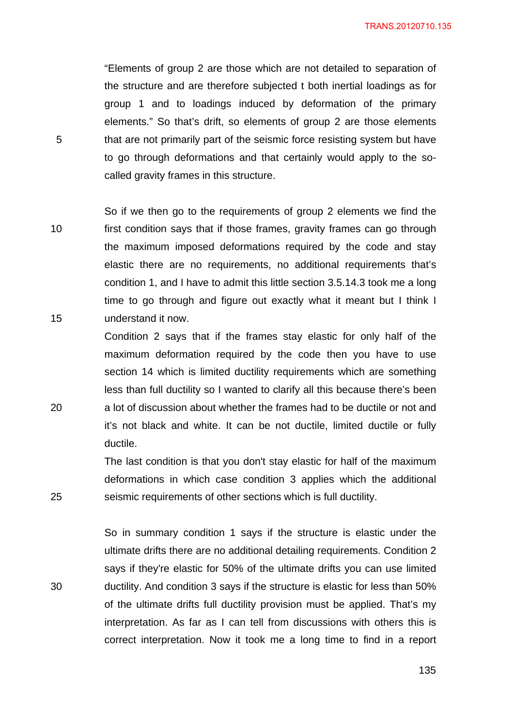"Elements of group 2 are those which are not detailed to separation of the structure and are therefore subjected t both inertial loadings as for group 1 and to loadings induced by deformation of the primary elements." So that's drift, so elements of group 2 are those elements that are not primarily part of the seismic force resisting system but have to go through deformations and that certainly would apply to the socalled gravity frames in this structure.

10 So if we then go to the requirements of group 2 elements we find the first condition says that if those frames, gravity frames can go through the maximum imposed deformations required by the code and stay elastic there are no requirements, no additional requirements that's

condition 1, and I have to admit this little section 3.5.14.3 took me a long time to go through and figure out exactly what it meant but I think I understand it now. Condition 2 says that if the frames stay elastic for only half of the maximum deformation required by the code then you have to use section 14 which is limited ductility requirements which are something

less than full ductility so I wanted to clarify all this because there's been a lot of discussion about whether the frames had to be ductile or not and it's not black and white. It can be not ductile, limited ductile or fully ductile.

The last condition is that you don't stay elastic for half of the maximum deformations in which case condition 3 applies which the additional seismic requirements of other sections which is full ductility.

So in summary condition 1 says if the structure is elastic under the ultimate drifts there are no additional detailing requirements. Condition 2 says if they're elastic for 50% of the ultimate drifts you can use limited ductility. And condition 3 says if the structure is elastic for less than 50% of the ultimate drifts full ductility provision must be applied. That's my interpretation. As far as I can tell from discussions with others this is correct interpretation. Now it took me a long time to find in a report

5

15

20

25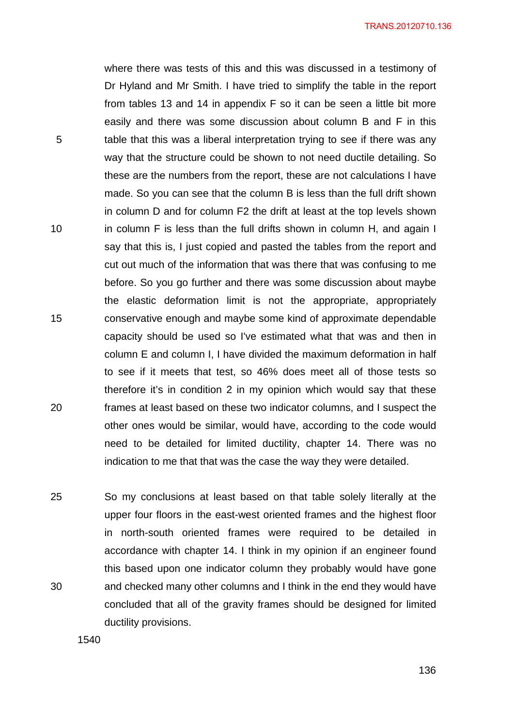where there was tests of this and this was discussed in a testimony of Dr Hyland and Mr Smith. I have tried to simplify the table in the report from tables 13 and 14 in appendix F so it can be seen a little bit more easily and there was some discussion about column B and F in this table that this was a liberal interpretation trying to see if there was any way that the structure could be shown to not need ductile detailing. So these are the numbers from the report, these are not calculations I have made. So you can see that the column B is less than the full drift shown in column D and for column F2 the drift at least at the top levels shown in column F is less than the full drifts shown in column H, and again I say that this is, I just copied and pasted the tables from the report and cut out much of the information that was there that was confusing to me before. So you go further and there was some discussion about maybe the elastic deformation limit is not the appropriate, appropriately conservative enough and maybe some kind of approximate dependable capacity should be used so I've estimated what that was and then in column E and column I, I have divided the maximum deformation in half to see if it meets that test, so 46% does meet all of those tests so therefore it's in condition 2 in my opinion which would say that these frames at least based on these two indicator columns, and I suspect the other ones would be similar, would have, according to the code would need to be detailed for limited ductility, chapter 14. There was no indication to me that that was the case the way they were detailed.

25 30 So my conclusions at least based on that table solely literally at the upper four floors in the east-west oriented frames and the highest floor in north-south oriented frames were required to be detailed in accordance with chapter 14. I think in my opinion if an engineer found this based upon one indicator column they probably would have gone and checked many other columns and I think in the end they would have concluded that all of the gravity frames should be designed for limited ductility provisions.

1540

5

10

15

20

<u>136 - 136 April 136 April 136 April 136 April 136 April 136 April 136 April 136 April 136 April 136 April 136 </u>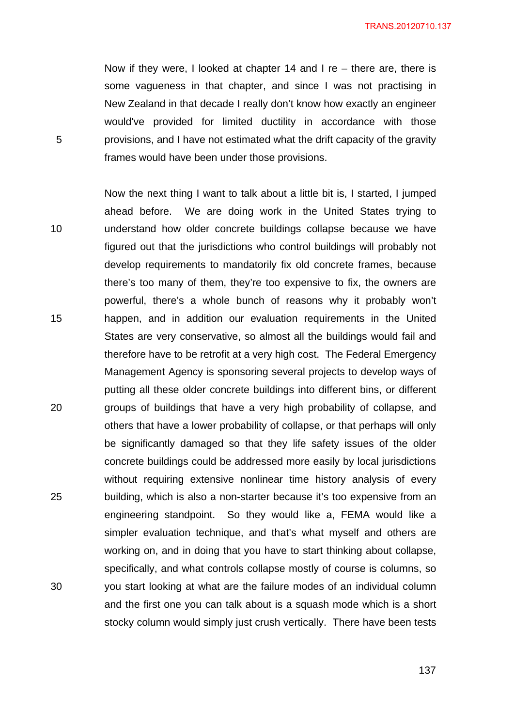Now if they were, I looked at chapter 14 and I re – there are, there is some vagueness in that chapter, and since I was not practising in New Zealand in that decade I really don't know how exactly an engineer would've provided for limited ductility in accordance with those provisions, and I have not estimated what the drift capacity of the gravity frames would have been under those provisions.

5

10 15 20 25 30 Now the next thing I want to talk about a little bit is, I started, I jumped ahead before. We are doing work in the United States trying to understand how older concrete buildings collapse because we have figured out that the jurisdictions who control buildings will probably not develop requirements to mandatorily fix old concrete frames, because there's too many of them, they're too expensive to fix, the owners are powerful, there's a whole bunch of reasons why it probably won't happen, and in addition our evaluation requirements in the United States are very conservative, so almost all the buildings would fail and therefore have to be retrofit at a very high cost. The Federal Emergency Management Agency is sponsoring several projects to develop ways of putting all these older concrete buildings into different bins, or different groups of buildings that have a very high probability of collapse, and others that have a lower probability of collapse, or that perhaps will only be significantly damaged so that they life safety issues of the older concrete buildings could be addressed more easily by local jurisdictions without requiring extensive nonlinear time history analysis of every building, which is also a non-starter because it's too expensive from an engineering standpoint. So they would like a, FEMA would like a simpler evaluation technique, and that's what myself and others are working on, and in doing that you have to start thinking about collapse, specifically, and what controls collapse mostly of course is columns, so you start looking at what are the failure modes of an individual column and the first one you can talk about is a squash mode which is a short stocky column would simply just crush vertically. There have been tests

137 (137 - 137 - 137 - 137 - 137 - 137 - 137 - 137 - 137 - 137 - 137 - 137 - 137 - 137 - 137 - 137 - 137 - 13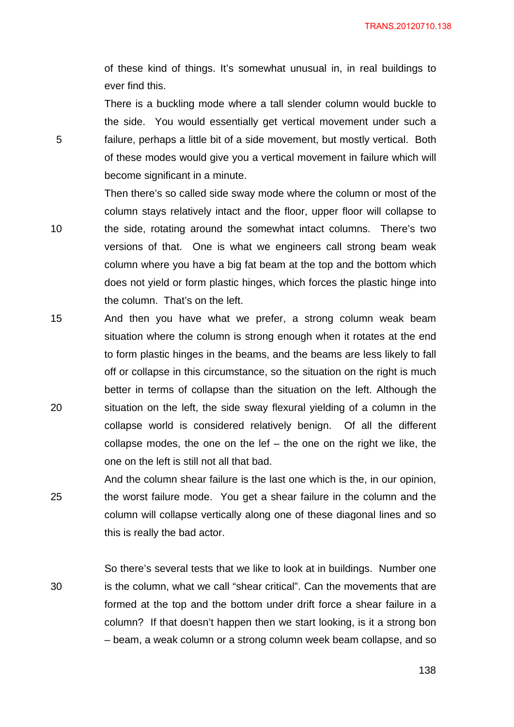of these kind of things. It's somewhat unusual in, in real buildings to ever find this.

There is a buckling mode where a tall slender column would buckle to the side. You would essentially get vertical movement under such a failure, perhaps a little bit of a side movement, but mostly vertical. Both of these modes would give you a vertical movement in failure which will become significant in a minute.

5

10

Then there's so called side sway mode where the column or most of the column stays relatively intact and the floor, upper floor will collapse to the side, rotating around the somewhat intact columns. There's two versions of that. One is what we engineers call strong beam weak column where you have a big fat beam at the top and the bottom which does not yield or form plastic hinges, which forces the plastic hinge into the column. That's on the left.

15 20 And then you have what we prefer, a strong column weak beam situation where the column is strong enough when it rotates at the end to form plastic hinges in the beams, and the beams are less likely to fall off or collapse in this circumstance, so the situation on the right is much better in terms of collapse than the situation on the left. Although the situation on the left, the side sway flexural yielding of a column in the collapse world is considered relatively benign. Of all the different collapse modes, the one on the lef  $-$  the one on the right we like, the one on the left is still not all that bad.

25 And the column shear failure is the last one which is the, in our opinion, the worst failure mode. You get a shear failure in the column and the column will collapse vertically along one of these diagonal lines and so this is really the bad actor.

30 So there's several tests that we like to look at in buildings. Number one is the column, what we call "shear critical". Can the movements that are formed at the top and the bottom under drift force a shear failure in a column? If that doesn't happen then we start looking, is it a strong bon – beam, a weak column or a strong column week beam collapse, and so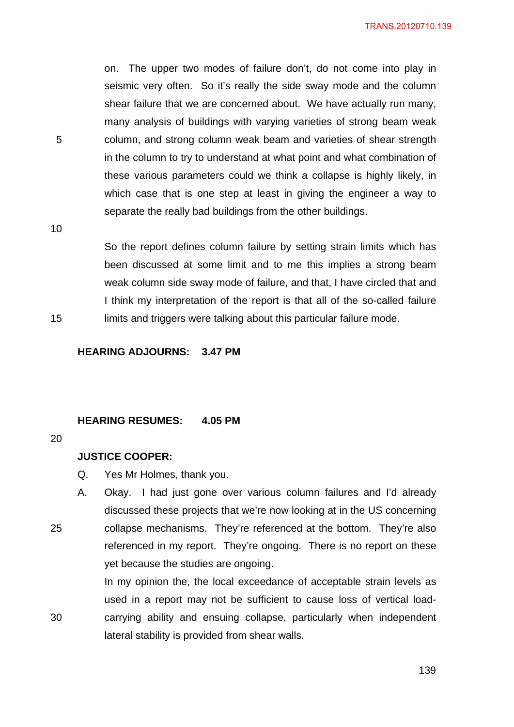on. The upper two modes of failure don't, do not come into play in seismic very often. So it's really the side sway mode and the column shear failure that we are concerned about. We have actually run many, many analysis of buildings with varying varieties of strong beam weak column, and strong column weak beam and varieties of shear strength in the column to try to understand at what point and what combination of these various parameters could we think a collapse is highly likely, in which case that is one step at least in giving the engineer a way to separate the really bad buildings from the other buildings.

10

15

5

So the report defines column failure by setting strain limits which has been discussed at some limit and to me this implies a strong beam weak column side sway mode of failure, and that, I have circled that and I think my interpretation of the report is that all of the so-called failure limits and triggers were talking about this particular failure mode.

**HEARING ADJOURNS: 3.47 PM** 

#### **HEARING RESUMES: 4.05 PM**

#### 20

25

30

#### **JUSTICE COOPER:**

- Q. Yes Mr Holmes, thank you.
- A. Okay. I had just gone over various column failures and I'd already discussed these projects that we're now looking at in the US concerning collapse mechanisms. They're referenced at the bottom. They're also referenced in my report. They're ongoing. There is no report on these yet because the studies are ongoing.

In my opinion the, the local exceedance of acceptable strain levels as used in a report may not be sufficient to cause loss of vertical loadcarrying ability and ensuing collapse, particularly when independent lateral stability is provided from shear walls.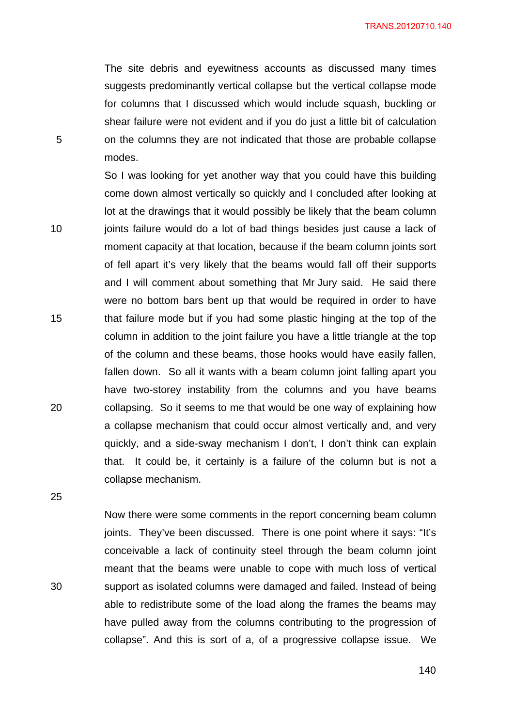The site debris and eyewitness accounts as discussed many times suggests predominantly vertical collapse but the vertical collapse mode for columns that I discussed which would include squash, buckling or shear failure were not evident and if you do just a little bit of calculation on the columns they are not indicated that those are probable collapse modes.

So I was looking for yet another way that you could have this building come down almost vertically so quickly and I concluded after looking at lot at the drawings that it would possibly be likely that the beam column joints failure would do a lot of bad things besides just cause a lack of moment capacity at that location, because if the beam column joints sort of fell apart it's very likely that the beams would fall off their supports and I will comment about something that Mr Jury said. He said there were no bottom bars bent up that would be required in order to have that failure mode but if you had some plastic hinging at the top of the column in addition to the joint failure you have a little triangle at the top of the column and these beams, those hooks would have easily fallen, fallen down. So all it wants with a beam column joint falling apart you have two-storey instability from the columns and you have beams collapsing. So it seems to me that would be one way of explaining how a collapse mechanism that could occur almost vertically and, and very quickly, and a side-sway mechanism I don't, I don't think can explain that. It could be, it certainly is a failure of the column but is not a collapse mechanism.

25

20

5

10

15

30

Now there were some comments in the report concerning beam column joints. They've been discussed. There is one point where it says: "It's conceivable a lack of continuity steel through the beam column joint meant that the beams were unable to cope with much loss of vertical support as isolated columns were damaged and failed. Instead of being able to redistribute some of the load along the frames the beams may have pulled away from the columns contributing to the progression of collapse". And this is sort of a, of a progressive collapse issue. We

<u>140</u>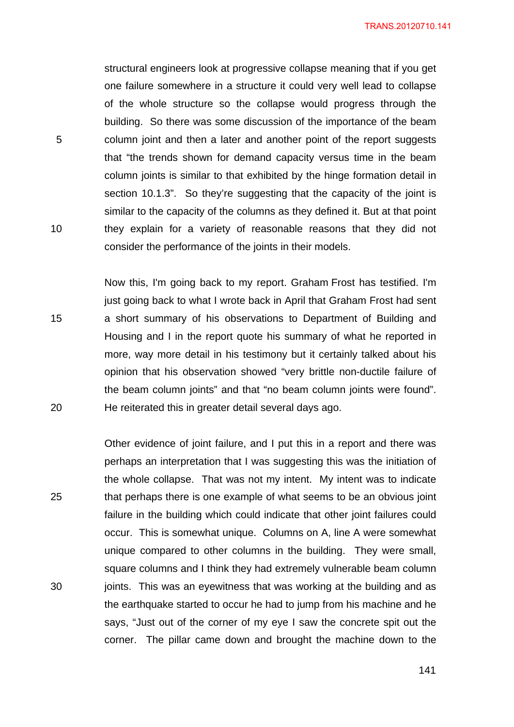structural engineers look at progressive collapse meaning that if you get one failure somewhere in a structure it could very well lead to collapse of the whole structure so the collapse would progress through the building. So there was some discussion of the importance of the beam column joint and then a later and another point of the report suggests that "the trends shown for demand capacity versus time in the beam column joints is similar to that exhibited by the hinge formation detail in section 10.1.3". So they're suggesting that the capacity of the joint is similar to the capacity of the columns as they defined it. But at that point they explain for a variety of reasonable reasons that they did not consider the performance of the joints in their models.

5

10

15

20

Now this, I'm going back to my report. Graham Frost has testified. I'm just going back to what I wrote back in April that Graham Frost had sent a short summary of his observations to Department of Building and Housing and I in the report quote his summary of what he reported in more, way more detail in his testimony but it certainly talked about his opinion that his observation showed "very brittle non-ductile failure of the beam column joints" and that "no beam column joints were found". He reiterated this in greater detail several days ago.

25 30 Other evidence of joint failure, and I put this in a report and there was perhaps an interpretation that I was suggesting this was the initiation of the whole collapse. That was not my intent. My intent was to indicate that perhaps there is one example of what seems to be an obvious joint failure in the building which could indicate that other joint failures could occur. This is somewhat unique. Columns on A, line A were somewhat unique compared to other columns in the building. They were small, square columns and I think they had extremely vulnerable beam column joints. This was an eyewitness that was working at the building and as the earthquake started to occur he had to jump from his machine and he says, "Just out of the corner of my eye I saw the concrete spit out the corner. The pillar came down and brought the machine down to the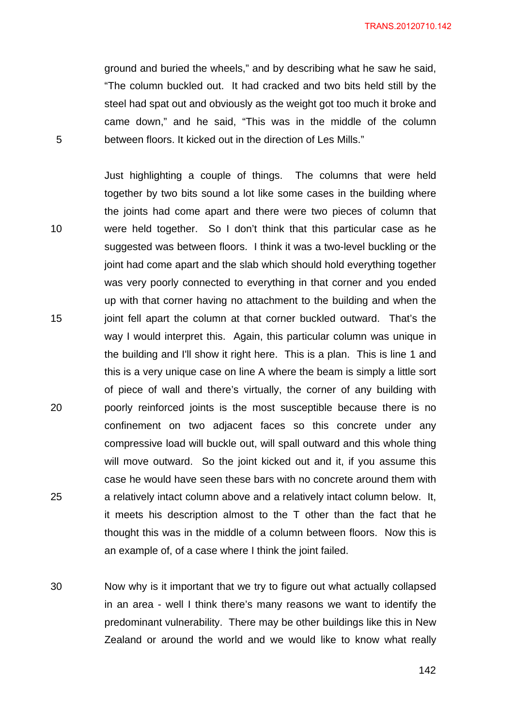ground and buried the wheels," and by describing what he saw he said, "The column buckled out. It had cracked and two bits held still by the steel had spat out and obviously as the weight got too much it broke and came down," and he said, "This was in the middle of the column between floors. It kicked out in the direction of Les Mills."

10 20 25 Just highlighting a couple of things. The columns that were held together by two bits sound a lot like some cases in the building where the joints had come apart and there were two pieces of column that were held together. So I don't think that this particular case as he suggested was between floors. I think it was a two-level buckling or the joint had come apart and the slab which should hold everything together was very poorly connected to everything in that corner and you ended up with that corner having no attachment to the building and when the joint fell apart the column at that corner buckled outward. That's the way I would interpret this. Again, this particular column was unique in the building and I'll show it right here. This is a plan. This is line 1 and this is a very unique case on line A where the beam is simply a little sort of piece of wall and there's virtually, the corner of any building with poorly reinforced joints is the most susceptible because there is no confinement on two adjacent faces so this concrete under any compressive load will buckle out, will spall outward and this whole thing will move outward. So the joint kicked out and it, if you assume this case he would have seen these bars with no concrete around them with a relatively intact column above and a relatively intact column below. It, it meets his description almost to the T other than the fact that he thought this was in the middle of a column between floors. Now this is an example of, of a case where I think the joint failed.

30 Now why is it important that we try to figure out what actually collapsed in an area - well I think there's many reasons we want to identify the predominant vulnerability. There may be other buildings like this in New Zealand or around the world and we would like to know what really

5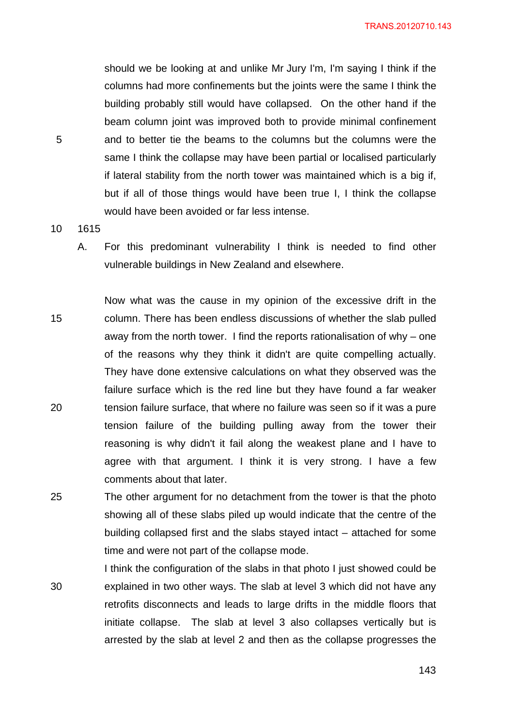should we be looking at and unlike Mr Jury I'm, I'm saying I think if the columns had more confinements but the joints were the same I think the building probably still would have collapsed. On the other hand if the beam column joint was improved both to provide minimal confinement and to better tie the beams to the columns but the columns were the same I think the collapse may have been partial or localised particularly if lateral stability from the north tower was maintained which is a big if, but if all of those things would have been true I, I think the collapse would have been avoided or far less intense.

5

- 10 1615
	- A. For this predominant vulnerability I think is needed to find other vulnerable buildings in New Zealand and elsewhere.

15 20 Now what was the cause in my opinion of the excessive drift in the column. There has been endless discussions of whether the slab pulled away from the north tower. I find the reports rationalisation of why – one of the reasons why they think it didn't are quite compelling actually. They have done extensive calculations on what they observed was the failure surface which is the red line but they have found a far weaker tension failure surface, that where no failure was seen so if it was a pure tension failure of the building pulling away from the tower their reasoning is why didn't it fail along the weakest plane and I have to agree with that argument. I think it is very strong. I have a few comments about that later.

- 25 The other argument for no detachment from the tower is that the photo showing all of these slabs piled up would indicate that the centre of the building collapsed first and the slabs stayed intact – attached for some time and were not part of the collapse mode.
- 30 I think the configuration of the slabs in that photo I just showed could be explained in two other ways. The slab at level 3 which did not have any retrofits disconnects and leads to large drifts in the middle floors that initiate collapse. The slab at level 3 also collapses vertically but is arrested by the slab at level 2 and then as the collapse progresses the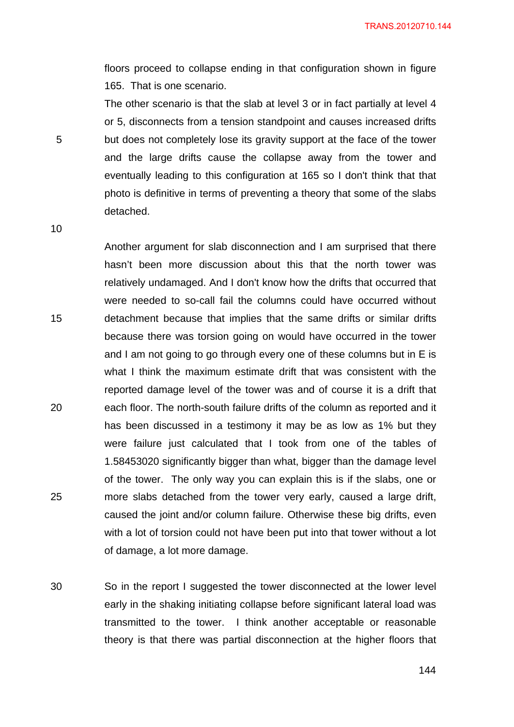floors proceed to collapse ending in that configuration shown in figure 165. That is one scenario.

The other scenario is that the slab at level 3 or in fact partially at level 4 or 5, disconnects from a tension standpoint and causes increased drifts but does not completely lose its gravity support at the face of the tower and the large drifts cause the collapse away from the tower and eventually leading to this configuration at 165 so I don't think that that photo is definitive in terms of preventing a theory that some of the slabs detached.

10

15

20

25

5

Another argument for slab disconnection and I am surprised that there hasn't been more discussion about this that the north tower was relatively undamaged. And I don't know how the drifts that occurred that were needed to so-call fail the columns could have occurred without detachment because that implies that the same drifts or similar drifts because there was torsion going on would have occurred in the tower and I am not going to go through every one of these columns but in E is what I think the maximum estimate drift that was consistent with the reported damage level of the tower was and of course it is a drift that each floor. The north-south failure drifts of the column as reported and it has been discussed in a testimony it may be as low as 1% but they were failure just calculated that I took from one of the tables of 1.58453020 significantly bigger than what, bigger than the damage level of the tower. The only way you can explain this is if the slabs, one or more slabs detached from the tower very early, caused a large drift, caused the joint and/or column failure. Otherwise these big drifts, even with a lot of torsion could not have been put into that tower without a lot of damage, a lot more damage.

30 So in the report I suggested the tower disconnected at the lower level early in the shaking initiating collapse before significant lateral load was transmitted to the tower. I think another acceptable or reasonable theory is that there was partial disconnection at the higher floors that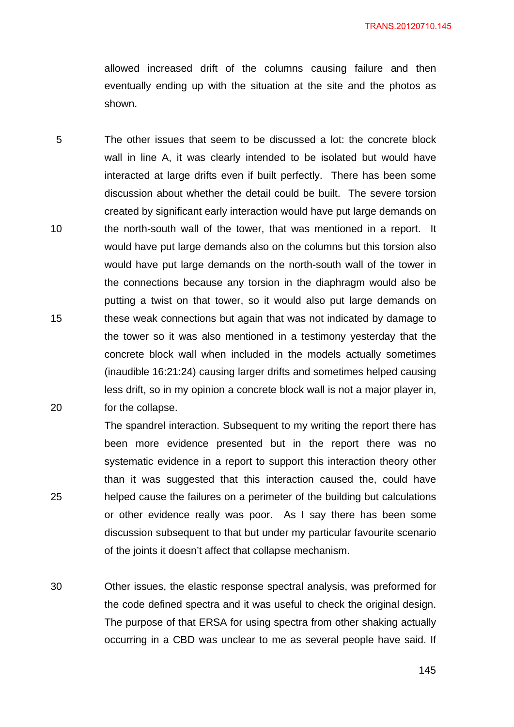allowed increased drift of the columns causing failure and then eventually ending up with the situation at the site and the photos as shown.

5 10 15 20 The other issues that seem to be discussed a lot: the concrete block wall in line A, it was clearly intended to be isolated but would have interacted at large drifts even if built perfectly. There has been some discussion about whether the detail could be built. The severe torsion created by significant early interaction would have put large demands on the north-south wall of the tower, that was mentioned in a report. It would have put large demands also on the columns but this torsion also would have put large demands on the north-south wall of the tower in the connections because any torsion in the diaphragm would also be putting a twist on that tower, so it would also put large demands on these weak connections but again that was not indicated by damage to the tower so it was also mentioned in a testimony yesterday that the concrete block wall when included in the models actually sometimes (inaudible 16:21:24) causing larger drifts and sometimes helped causing less drift, so in my opinion a concrete block wall is not a major player in, for the collapse.

The spandrel interaction. Subsequent to my writing the report there has been more evidence presented but in the report there was no systematic evidence in a report to support this interaction theory other than it was suggested that this interaction caused the, could have helped cause the failures on a perimeter of the building but calculations or other evidence really was poor. As I say there has been some discussion subsequent to that but under my particular favourite scenario of the joints it doesn't affect that collapse mechanism.

25

30 Other issues, the elastic response spectral analysis, was preformed for the code defined spectra and it was useful to check the original design. The purpose of that ERSA for using spectra from other shaking actually occurring in a CBD was unclear to me as several people have said. If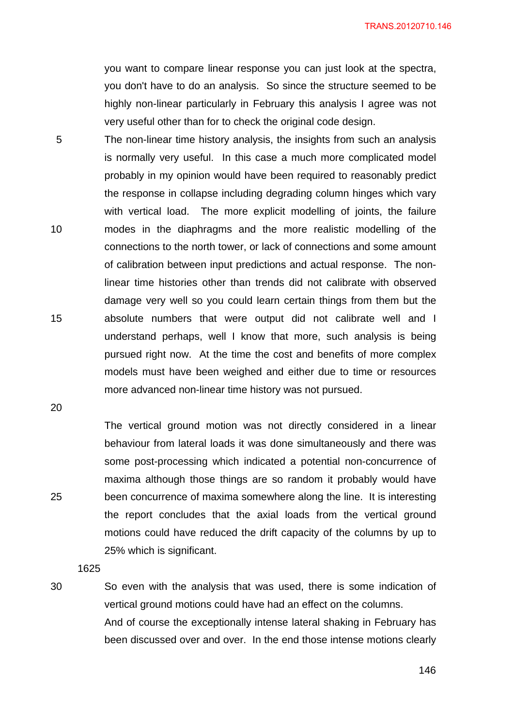TRANS.20120710.146

you want to compare linear response you can just look at the spectra, you don't have to do an analysis. So since the structure seemed to be highly non-linear particularly in February this analysis I agree was not very useful other than for to check the original code design.

5 10 15 The non-linear time history analysis, the insights from such an analysis is normally very useful. In this case a much more complicated model probably in my opinion would have been required to reasonably predict the response in collapse including degrading column hinges which vary with vertical load. The more explicit modelling of joints, the failure modes in the diaphragms and the more realistic modelling of the connections to the north tower, or lack of connections and some amount of calibration between input predictions and actual response. The nonlinear time histories other than trends did not calibrate with observed damage very well so you could learn certain things from them but the absolute numbers that were output did not calibrate well and I understand perhaps, well I know that more, such analysis is being pursued right now. At the time the cost and benefits of more complex models must have been weighed and either due to time or resources more advanced non-linear time history was not pursued.

20

25

30

The vertical ground motion was not directly considered in a linear behaviour from lateral loads it was done simultaneously and there was some post-processing which indicated a potential non-concurrence of maxima although those things are so random it probably would have been concurrence of maxima somewhere along the line. It is interesting the report concludes that the axial loads from the vertical ground motions could have reduced the drift capacity of the columns by up to 25% which is significant.

1625

So even with the analysis that was used, there is some indication of vertical ground motions could have had an effect on the columns. And of course the exceptionally intense lateral shaking in February has been discussed over and over. In the end those intense motions clearly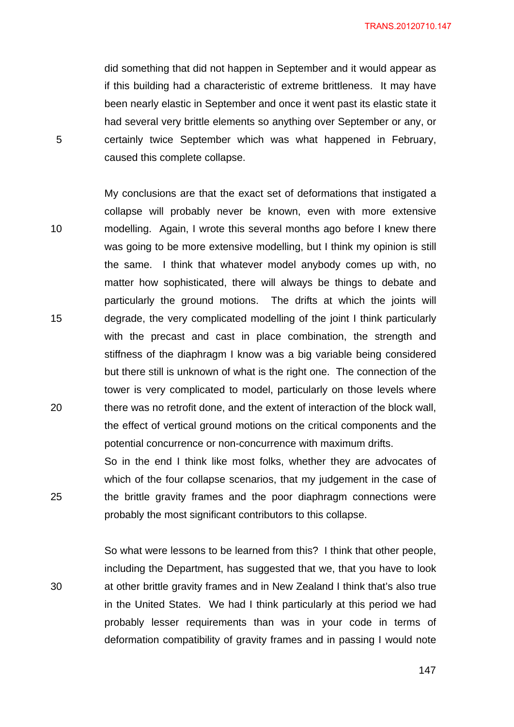TRANS.20120710.147

did something that did not happen in September and it would appear as if this building had a characteristic of extreme brittleness. It may have been nearly elastic in September and once it went past its elastic state it had several very brittle elements so anything over September or any, or certainly twice September which was what happened in February, caused this complete collapse.

10 20 My conclusions are that the exact set of deformations that instigated a collapse will probably never be known, even with more extensive modelling. Again, I wrote this several months ago before I knew there was going to be more extensive modelling, but I think my opinion is still the same. I think that whatever model anybody comes up with, no matter how sophisticated, there will always be things to debate and particularly the ground motions. The drifts at which the joints will degrade, the very complicated modelling of the joint I think particularly with the precast and cast in place combination, the strength and stiffness of the diaphragm I know was a big variable being considered but there still is unknown of what is the right one. The connection of the tower is very complicated to model, particularly on those levels where there was no retrofit done, and the extent of interaction of the block wall, the effect of vertical ground motions on the critical components and the potential concurrence or non-concurrence with maximum drifts.

So in the end I think like most folks, whether they are advocates of which of the four collapse scenarios, that my judgement in the case of the brittle gravity frames and the poor diaphragm connections were probably the most significant contributors to this collapse.

So what were lessons to be learned from this? I think that other people, including the Department, has suggested that we, that you have to look at other brittle gravity frames and in New Zealand I think that's also true in the United States. We had I think particularly at this period we had probably lesser requirements than was in your code in terms of deformation compatibility of gravity frames and in passing I would note

 $147$ 

5

15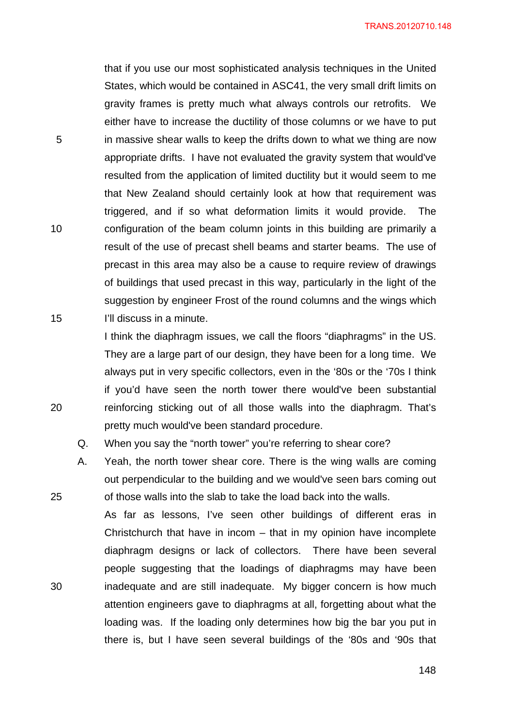that if you use our most sophisticated analysis techniques in the United States, which would be contained in ASC41, the very small drift limits on gravity frames is pretty much what always controls our retrofits. We either have to increase the ductility of those columns or we have to put in massive shear walls to keep the drifts down to what we thing are now appropriate drifts. I have not evaluated the gravity system that would've resulted from the application of limited ductility but it would seem to me that New Zealand should certainly look at how that requirement was triggered, and if so what deformation limits it would provide. The configuration of the beam column joints in this building are primarily a result of the use of precast shell beams and starter beams. The use of precast in this area may also be a cause to require review of drawings of buildings that used precast in this way, particularly in the light of the suggestion by engineer Frost of the round columns and the wings which I'll discuss in a minute.

I think the diaphragm issues, we call the floors "diaphragms" in the US. They are a large part of our design, they have been for a long time. We always put in very specific collectors, even in the '80s or the '70s I think if you'd have seen the north tower there would've been substantial reinforcing sticking out of all those walls into the diaphragm. That's pretty much would've been standard procedure.

- Q. When you say the "north tower" you're referring to shear core?
- A. Yeah, the north tower shear core. There is the wing walls are coming out perpendicular to the building and we would've seen bars coming out of those walls into the slab to take the load back into the walls.

As far as lessons, I've seen other buildings of different eras in Christchurch that have in incom – that in my opinion have incomplete diaphragm designs or lack of collectors. There have been several people suggesting that the loadings of diaphragms may have been inadequate and are still inadequate. My bigger concern is how much attention engineers gave to diaphragms at all, forgetting about what the loading was. If the loading only determines how big the bar you put in there is, but I have seen several buildings of the '80s and '90s that

5

15

10

20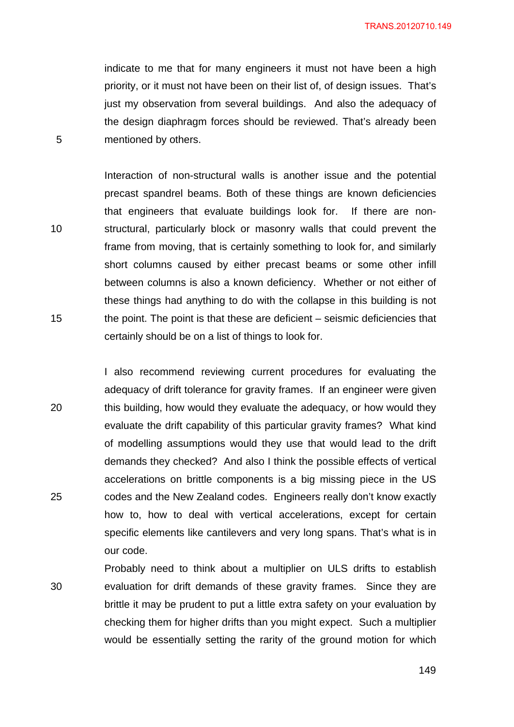indicate to me that for many engineers it must not have been a high priority, or it must not have been on their list of, of design issues. That's just my observation from several buildings. And also the adequacy of the design diaphragm forces should be reviewed. That's already been mentioned by others.

5

10

15

20

25

Interaction of non-structural walls is another issue and the potential precast spandrel beams. Both of these things are known deficiencies that engineers that evaluate buildings look for. If there are nonstructural, particularly block or masonry walls that could prevent the frame from moving, that is certainly something to look for, and similarly short columns caused by either precast beams or some other infill between columns is also a known deficiency. Whether or not either of these things had anything to do with the collapse in this building is not the point. The point is that these are deficient – seismic deficiencies that certainly should be on a list of things to look for.

I also recommend reviewing current procedures for evaluating the adequacy of drift tolerance for gravity frames. If an engineer were given this building, how would they evaluate the adequacy, or how would they evaluate the drift capability of this particular gravity frames? What kind of modelling assumptions would they use that would lead to the drift demands they checked? And also I think the possible effects of vertical accelerations on brittle components is a big missing piece in the US codes and the New Zealand codes. Engineers really don't know exactly how to, how to deal with vertical accelerations, except for certain specific elements like cantilevers and very long spans. That's what is in our code.

30 Probably need to think about a multiplier on ULS drifts to establish evaluation for drift demands of these gravity frames. Since they are brittle it may be prudent to put a little extra safety on your evaluation by checking them for higher drifts than you might expect. Such a multiplier would be essentially setting the rarity of the ground motion for which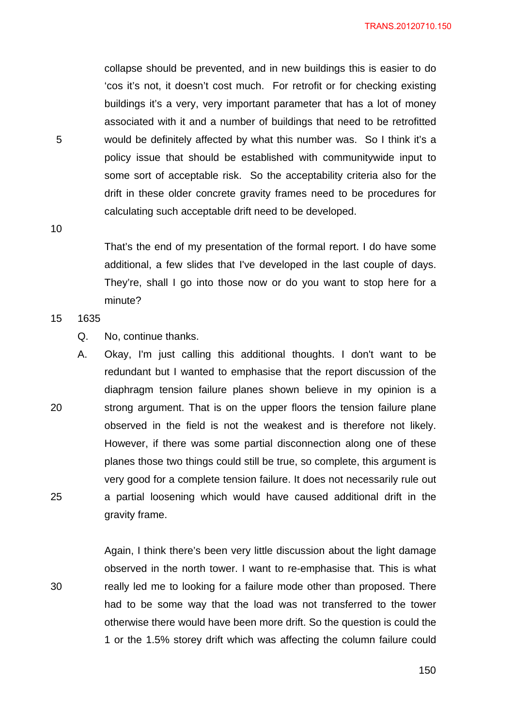collapse should be prevented, and in new buildings this is easier to do 'cos it's not, it doesn't cost much. For retrofit or for checking existing buildings it's a very, very important parameter that has a lot of money associated with it and a number of buildings that need to be retrofitted would be definitely affected by what this number was. So I think it's a policy issue that should be established with communitywide input to some sort of acceptable risk. So the acceptability criteria also for the drift in these older concrete gravity frames need to be procedures for calculating such acceptable drift need to be developed.

10

25

30

5

That's the end of my presentation of the formal report. I do have some additional, a few slides that I've developed in the last couple of days. They're, shall I go into those now or do you want to stop here for a minute?

#### 15 1635

- Q. No, continue thanks.
- 20 A. Okay, I'm just calling this additional thoughts. I don't want to be redundant but I wanted to emphasise that the report discussion of the diaphragm tension failure planes shown believe in my opinion is a strong argument. That is on the upper floors the tension failure plane observed in the field is not the weakest and is therefore not likely. However, if there was some partial disconnection along one of these planes those two things could still be true, so complete, this argument is very good for a complete tension failure. It does not necessarily rule out a partial loosening which would have caused additional drift in the gravity frame.

Again, I think there's been very little discussion about the light damage observed in the north tower. I want to re-emphasise that. This is what really led me to looking for a failure mode other than proposed. There had to be some way that the load was not transferred to the tower otherwise there would have been more drift. So the question is could the 1 or the 1.5% storey drift which was affecting the column failure could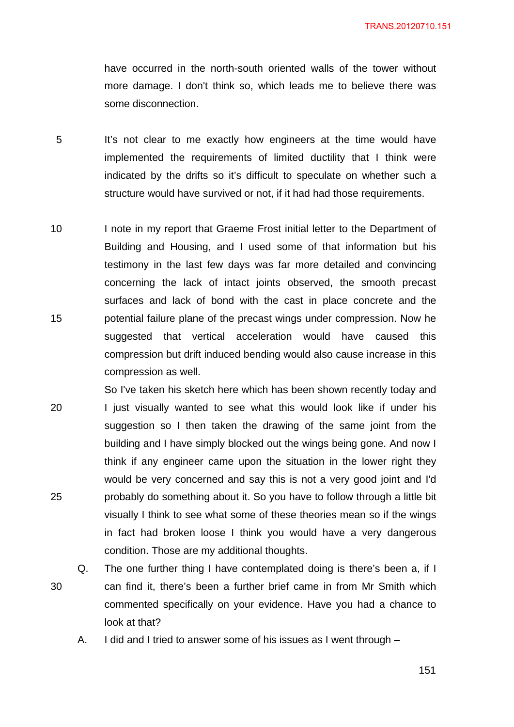have occurred in the north-south oriented walls of the tower without more damage. I don't think so, which leads me to believe there was some disconnection.

- 5 It's not clear to me exactly how engineers at the time would have implemented the requirements of limited ductility that I think were indicated by the drifts so it's difficult to speculate on whether such a structure would have survived or not, if it had had those requirements.
- 10 15 I note in my report that Graeme Frost initial letter to the Department of Building and Housing, and I used some of that information but his testimony in the last few days was far more detailed and convincing concerning the lack of intact joints observed, the smooth precast surfaces and lack of bond with the cast in place concrete and the potential failure plane of the precast wings under compression. Now he suggested that vertical acceleration would have caused this compression but drift induced bending would also cause increase in this compression as well.
- 20 25 So I've taken his sketch here which has been shown recently today and I just visually wanted to see what this would look like if under his suggestion so I then taken the drawing of the same joint from the building and I have simply blocked out the wings being gone. And now I think if any engineer came upon the situation in the lower right they would be very concerned and say this is not a very good joint and I'd probably do something about it. So you have to follow through a little bit visually I think to see what some of these theories mean so if the wings in fact had broken loose I think you would have a very dangerous condition. Those are my additional thoughts.
- 30 Q. The one further thing I have contemplated doing is there's been a, if I can find it, there's been a further brief came in from Mr Smith which commented specifically on your evidence. Have you had a chance to look at that?
	- A. I did and I tried to answer some of his issues as I went through –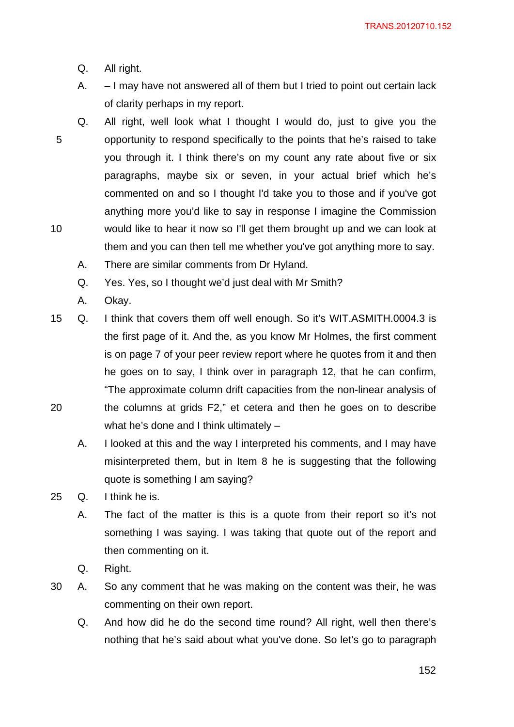- Q. All right.
- A. I may have not answered all of them but I tried to point out certain lack of clarity perhaps in my report.
- 5 10 Q. All right, well look what I thought I would do, just to give you the opportunity to respond specifically to the points that he's raised to take you through it. I think there's on my count any rate about five or six paragraphs, maybe six or seven, in your actual brief which he's commented on and so I thought I'd take you to those and if you've got anything more you'd like to say in response I imagine the Commission would like to hear it now so I'll get them brought up and we can look at them and you can then tell me whether you've got anything more to say.
	- A. There are similar comments from Dr Hyland.
	- Q. Yes. Yes, so I thought we'd just deal with Mr Smith?
	- A. Okay.
- 20 15 Q. I think that covers them off well enough. So it's WIT.ASMITH.0004.3 is the first page of it. And the, as you know Mr Holmes, the first comment is on page 7 of your peer review report where he quotes from it and then he goes on to say, I think over in paragraph 12, that he can confirm, "The approximate column drift capacities from the non-linear analysis of the columns at grids F2," et cetera and then he goes on to describe what he's done and I think ultimately –
	- A. I looked at this and the way I interpreted his comments, and I may have misinterpreted them, but in Item 8 he is suggesting that the following quote is something I am saying?
- 25 Q. I think he is.
	- A. The fact of the matter is this is a quote from their report so it's not something I was saying. I was taking that quote out of the report and then commenting on it.
	- Q. Right.
- 30 A. So any comment that he was making on the content was their, he was commenting on their own report.
	- Q. And how did he do the second time round? All right, well then there's nothing that he's said about what you've done. So let's go to paragraph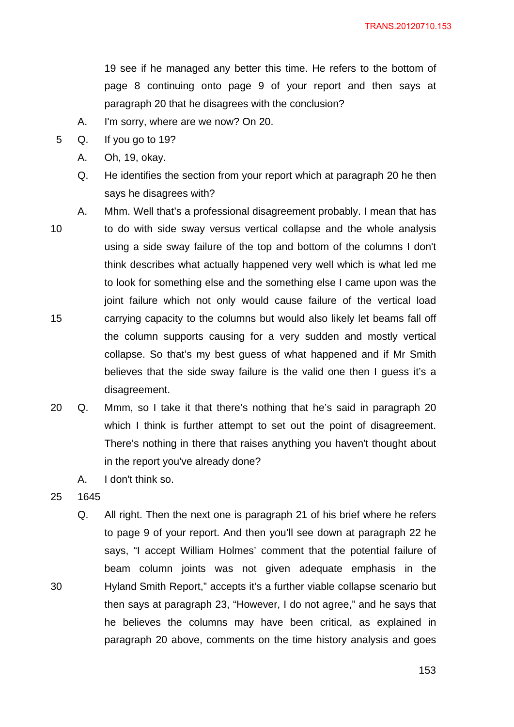19 see if he managed any better this time. He refers to the bottom of page 8 continuing onto page 9 of your report and then says at paragraph 20 that he disagrees with the conclusion?

- A. I'm sorry, where are we now? On 20.
- 5 Q. If you go to 19?
	- A. Oh, 19, okay.
	- Q. He identifies the section from your report which at paragraph 20 he then says he disagrees with?
- 10 15 A. Mhm. Well that's a professional disagreement probably. I mean that has to do with side sway versus vertical collapse and the whole analysis using a side sway failure of the top and bottom of the columns I don't think describes what actually happened very well which is what led me to look for something else and the something else I came upon was the joint failure which not only would cause failure of the vertical load carrying capacity to the columns but would also likely let beams fall off the column supports causing for a very sudden and mostly vertical collapse. So that's my best guess of what happened and if Mr Smith believes that the side sway failure is the valid one then I guess it's a disagreement.
	- 20 Q. Mmm, so I take it that there's nothing that he's said in paragraph 20 which I think is further attempt to set out the point of disagreement. There's nothing in there that raises anything you haven't thought about in the report you've already done?
		- A. I don't think so.
	- 25 1645

30

Q. All right. Then the next one is paragraph 21 of his brief where he refers to page 9 of your report. And then you'll see down at paragraph 22 he says, "I accept William Holmes' comment that the potential failure of beam column joints was not given adequate emphasis in the Hyland Smith Report," accepts it's a further viable collapse scenario but then says at paragraph 23, "However, I do not agree," and he says that he believes the columns may have been critical, as explained in paragraph 20 above, comments on the time history analysis and goes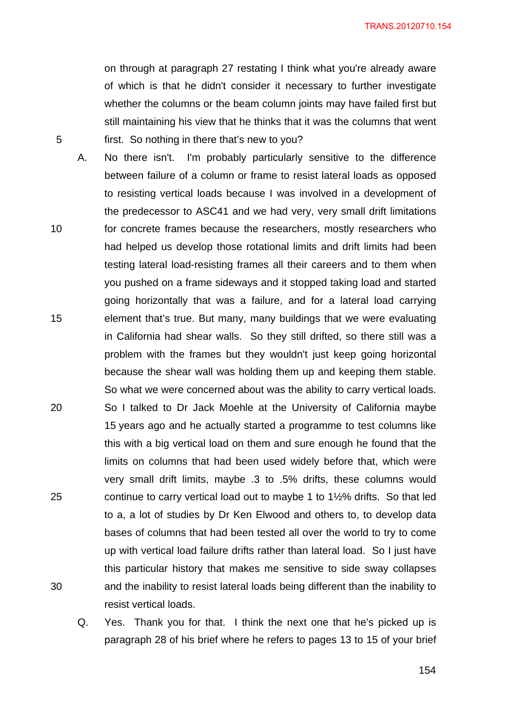TRANS.20120710.154

on through at paragraph 27 restating I think what you're already aware of which is that he didn't consider it necessary to further investigate whether the columns or the beam column joints may have failed first but still maintaining his view that he thinks that it was the columns that went first. So nothing in there that's new to you?

5

10 15 20 25 30 A. No there isn't. I'm probably particularly sensitive to the difference between failure of a column or frame to resist lateral loads as opposed to resisting vertical loads because I was involved in a development of the predecessor to ASC41 and we had very, very small drift limitations for concrete frames because the researchers, mostly researchers who had helped us develop those rotational limits and drift limits had been testing lateral load-resisting frames all their careers and to them when you pushed on a frame sideways and it stopped taking load and started going horizontally that was a failure, and for a lateral load carrying element that's true. But many, many buildings that we were evaluating in California had shear walls. So they still drifted, so there still was a problem with the frames but they wouldn't just keep going horizontal because the shear wall was holding them up and keeping them stable. So what we were concerned about was the ability to carry vertical loads. So I talked to Dr Jack Moehle at the University of California maybe 15 years ago and he actually started a programme to test columns like this with a big vertical load on them and sure enough he found that the limits on columns that had been used widely before that, which were very small drift limits, maybe .3 to .5% drifts, these columns would continue to carry vertical load out to maybe 1 to 1½% drifts. So that led to a, a lot of studies by Dr Ken Elwood and others to, to develop data bases of columns that had been tested all over the world to try to come up with vertical load failure drifts rather than lateral load. So I just have this particular history that makes me sensitive to side sway collapses and the inability to resist lateral loads being different than the inability to resist vertical loads.

Q. Yes. Thank you for that. I think the next one that he's picked up is paragraph 28 of his brief where he refers to pages 13 to 15 of your brief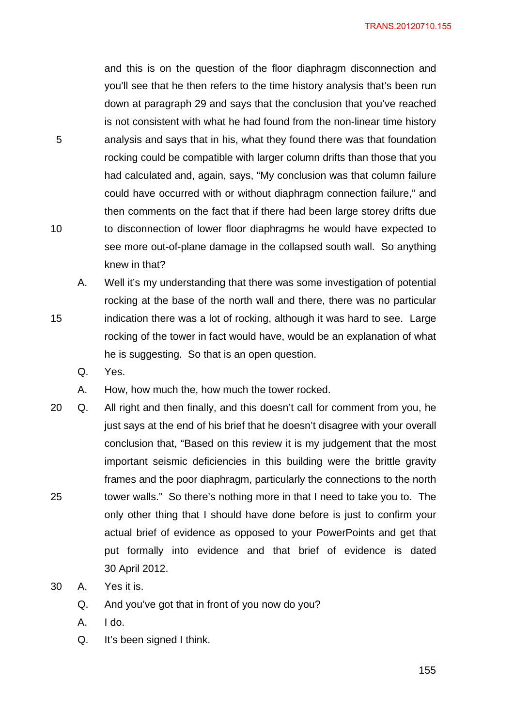and this is on the question of the floor diaphragm disconnection and you'll see that he then refers to the time history analysis that's been run down at paragraph 29 and says that the conclusion that you've reached is not consistent with what he had found from the non-linear time history analysis and says that in his, what they found there was that foundation rocking could be compatible with larger column drifts than those that you had calculated and, again, says, "My conclusion was that column failure could have occurred with or without diaphragm connection failure," and then comments on the fact that if there had been large storey drifts due to disconnection of lower floor diaphragms he would have expected to see more out-of-plane damage in the collapsed south wall. So anything knew in that?

- A. Well it's my understanding that there was some investigation of potential rocking at the base of the north wall and there, there was no particular indication there was a lot of rocking, although it was hard to see. Large rocking of the tower in fact would have, would be an explanation of what he is suggesting. So that is an open question.
	- Q. Yes.

5

10

- A. How, how much the, how much the tower rocked.
- 25 20 Q. All right and then finally, and this doesn't call for comment from you, he just says at the end of his brief that he doesn't disagree with your overall conclusion that, "Based on this review it is my judgement that the most important seismic deficiencies in this building were the brittle gravity frames and the poor diaphragm, particularly the connections to the north tower walls." So there's nothing more in that I need to take you to. The only other thing that I should have done before is just to confirm your actual brief of evidence as opposed to your PowerPoints and get that put formally into evidence and that brief of evidence is dated 30 April 2012.
- 30 A. Yes it is.
	- Q. And you've got that in front of you now do you?
	- A. I do.
	- Q. It's been signed I think.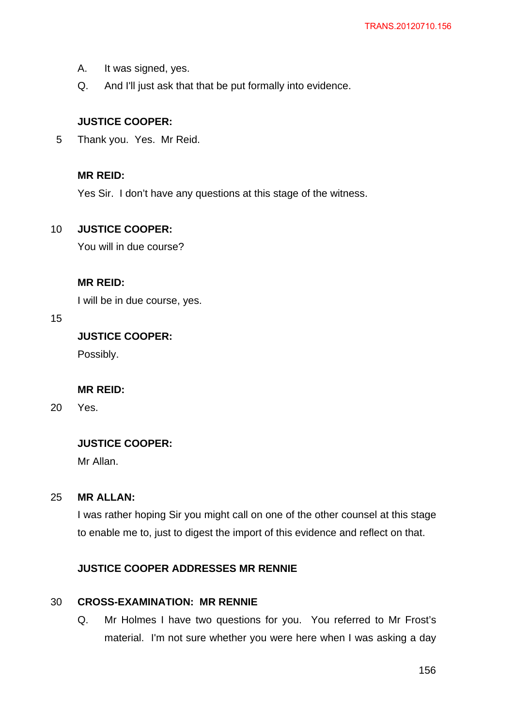- A. It was signed, yes.
- Q. And I'll just ask that that be put formally into evidence.

### **JUSTICE COOPER:**

5 Thank you. Yes. Mr Reid.

## **MR REID:**

Yes Sir. I don't have any questions at this stage of the witness.

#### 10 **JUSTICE COOPER:**

You will in due course?

## **MR REID:**

I will be in due course, yes.

### 15

**JUSTICE COOPER:** 

Possibly.

## **MR REID:**

20 Yes.

## **JUSTICE COOPER:**

Mr Allan.

#### 25 **MR ALLAN:**

I was rather hoping Sir you might call on one of the other counsel at this stage to enable me to, just to digest the import of this evidence and reflect on that.

### **JUSTICE COOPER ADDRESSES MR RENNIE**

#### 30 **CROSS-EXAMINATION: MR RENNIE**

Q. Mr Holmes I have two questions for you. You referred to Mr Frost's material. I'm not sure whether you were here when I was asking a day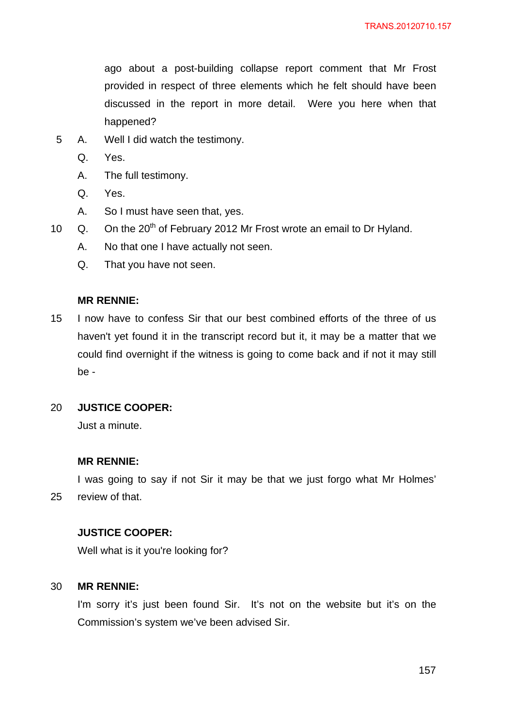ago about a post-building collapse report comment that Mr Frost provided in respect of three elements which he felt should have been discussed in the report in more detail. Were you here when that happened?

- 5 A. Well I did watch the testimony.
	- Q. Yes.
	- A. The full testimony.
	- Q. Yes.
	- A. So I must have seen that, yes.
- 10  $\alpha$ . On the 20<sup>th</sup> of February 2012 Mr Frost wrote an email to Dr Hyland.
	- A. No that one I have actually not seen.
	- Q. That you have not seen.

### **MR RENNIE:**

15 I now have to confess Sir that our best combined efforts of the three of us haven't yet found it in the transcript record but it, it may be a matter that we could find overnight if the witness is going to come back and if not it may still be -

#### 20 **JUSTICE COOPER:**

Just a minute.

### **MR RENNIE:**

25 I was going to say if not Sir it may be that we just forgo what Mr Holmes' review of that.

## **JUSTICE COOPER:**

Well what is it you're looking for?

#### 30 **MR RENNIE:**

I'm sorry it's just been found Sir. It's not on the website but it's on the Commission's system we've been advised Sir.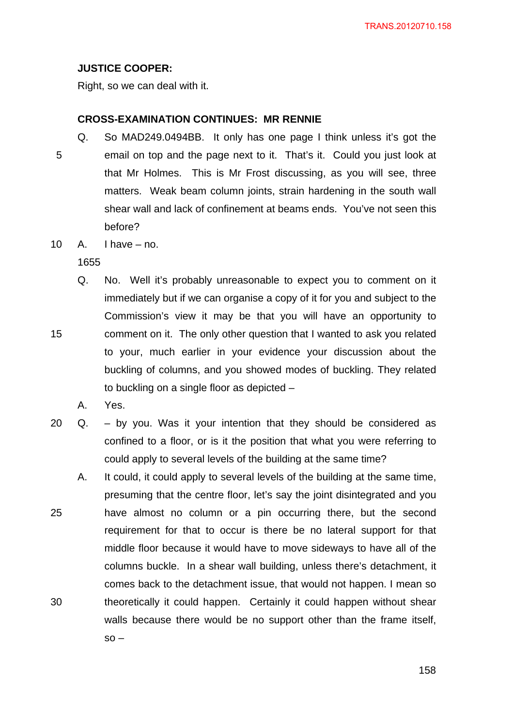## **JUSTICE COOPER:**

Right, so we can deal with it.

### **CROSS-EXAMINATION CONTINUES: MR RENNIE**

- 5 Q. So MAD249.0494BB. It only has one page I think unless it's got the email on top and the page next to it. That's it. Could you just look at that Mr Holmes. This is Mr Frost discussing, as you will see, three matters. Weak beam column joints, strain hardening in the south wall shear wall and lack of confinement at beams ends. You've not seen this before?
- 10  $A.$  I have  $-$  no.

1655

- Q. No. Well it's probably unreasonable to expect you to comment on it immediately but if we can organise a copy of it for you and subject to the Commission's view it may be that you will have an opportunity to comment on it. The only other question that I wanted to ask you related to your, much earlier in your evidence your discussion about the buckling of columns, and you showed modes of buckling. They related to buckling on a single floor as depicted –
	- A. Yes.
- 20 Q. by you. Was it your intention that they should be considered as confined to a floor, or is it the position that what you were referring to could apply to several levels of the building at the same time?
- 25 30 A. It could, it could apply to several levels of the building at the same time, presuming that the centre floor, let's say the joint disintegrated and you have almost no column or a pin occurring there, but the second requirement for that to occur is there be no lateral support for that middle floor because it would have to move sideways to have all of the columns buckle. In a shear wall building, unless there's detachment, it comes back to the detachment issue, that would not happen. I mean so theoretically it could happen. Certainly it could happen without shear walls because there would be no support other than the frame itself,  $so -$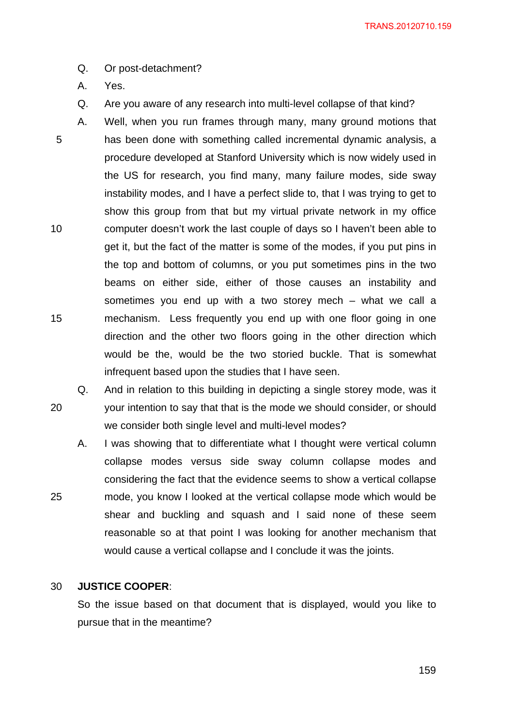- Q. Or post-detachment?
- A. Yes.
- Q. Are you aware of any research into multi-level collapse of that kind?
- 5 10 15 A. Well, when you run frames through many, many ground motions that has been done with something called incremental dynamic analysis, a procedure developed at Stanford University which is now widely used in the US for research, you find many, many failure modes, side sway instability modes, and I have a perfect slide to, that I was trying to get to show this group from that but my virtual private network in my office computer doesn't work the last couple of days so I haven't been able to get it, but the fact of the matter is some of the modes, if you put pins in the top and bottom of columns, or you put sometimes pins in the two beams on either side, either of those causes an instability and sometimes you end up with a two storey mech – what we call a mechanism. Less frequently you end up with one floor going in one direction and the other two floors going in the other direction which would be the, would be the two storied buckle. That is somewhat infrequent based upon the studies that I have seen.
- 20 Q. And in relation to this building in depicting a single storey mode, was it your intention to say that that is the mode we should consider, or should we consider both single level and multi-level modes?
	- A. I was showing that to differentiate what I thought were vertical column collapse modes versus side sway column collapse modes and considering the fact that the evidence seems to show a vertical collapse mode, you know I looked at the vertical collapse mode which would be shear and buckling and squash and I said none of these seem reasonable so at that point I was looking for another mechanism that would cause a vertical collapse and I conclude it was the joints.

#### 30 **JUSTICE COOPER**:

25

So the issue based on that document that is displayed, would you like to pursue that in the meantime?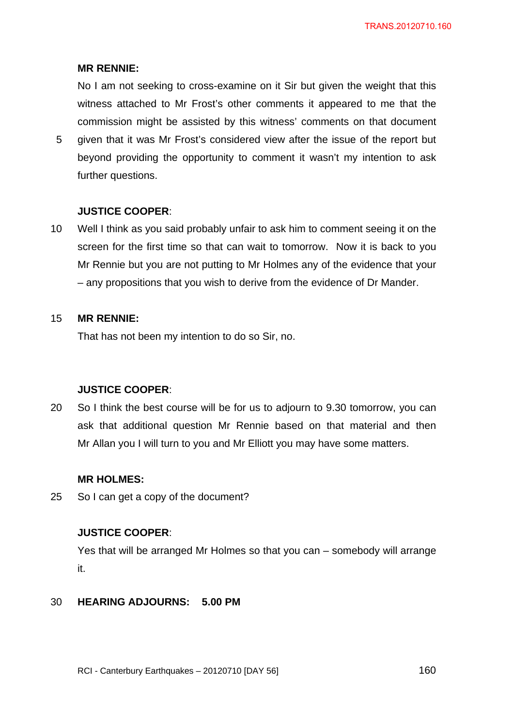## **MR RENNIE:**

No I am not seeking to cross-examine on it Sir but given the weight that this witness attached to Mr Frost's other comments it appeared to me that the commission might be assisted by this witness' comments on that document

5 given that it was Mr Frost's considered view after the issue of the report but beyond providing the opportunity to comment it wasn't my intention to ask further questions.

## **JUSTICE COOPER**:

10 Well I think as you said probably unfair to ask him to comment seeing it on the screen for the first time so that can wait to tomorrow. Now it is back to you Mr Rennie but you are not putting to Mr Holmes any of the evidence that your – any propositions that you wish to derive from the evidence of Dr Mander.

#### 15 **MR RENNIE:**

That has not been my intention to do so Sir, no.

## **JUSTICE COOPER**:

20 So I think the best course will be for us to adjourn to 9.30 tomorrow, you can ask that additional question Mr Rennie based on that material and then Mr Allan you I will turn to you and Mr Elliott you may have some matters.

## **MR HOLMES:**

25 So I can get a copy of the document?

## **JUSTICE COOPER**:

Yes that will be arranged Mr Holmes so that you can – somebody will arrange it.

#### 30 **HEARING ADJOURNS: 5.00 PM**